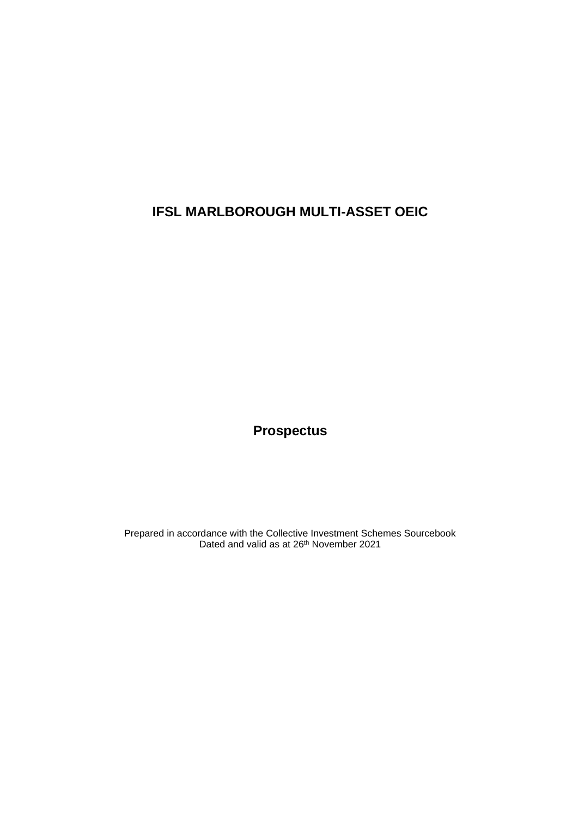# **IFSL MARLBOROUGH MULTI-ASSET OEIC**

**Prospectus**

Prepared in accordance with the Collective Investment Schemes Sourcebook Dated and valid as at 26<sup>th</sup> November 2021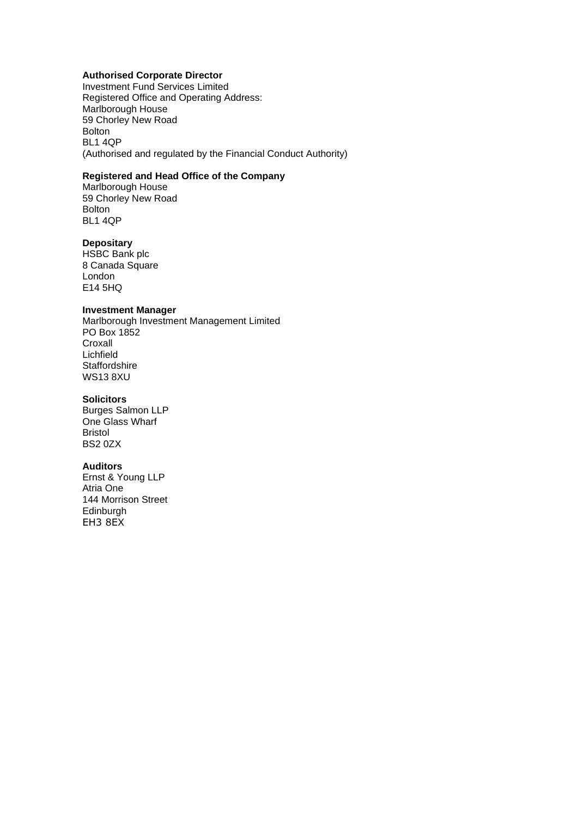# **Authorised Corporate Director**

Investment Fund Services Limited Registered Office and Operating Address: Marlborough House 59 Chorley New Road Bolton BL1 4QP (Authorised and regulated by the Financial Conduct Authority)

# **Registered and Head Office of the Company**

Marlborough House 59 Chorley New Road Bolton BL1 4QP

# **Depositary**

HSBC Bank plc 8 Canada Square London E14 5HQ

# **Investment Manager**

Marlborough Investment Management Limited PO Box 1852 Croxall Lichfield **Staffordshire** WS13 8XU

# **Solicitors**

Burges Salmon LLP One Glass Wharf Bristol BS2 0ZX

#### **Auditors**

Ernst & Young LLP Atria One 144 Morrison Street Edinburgh EH3 8EX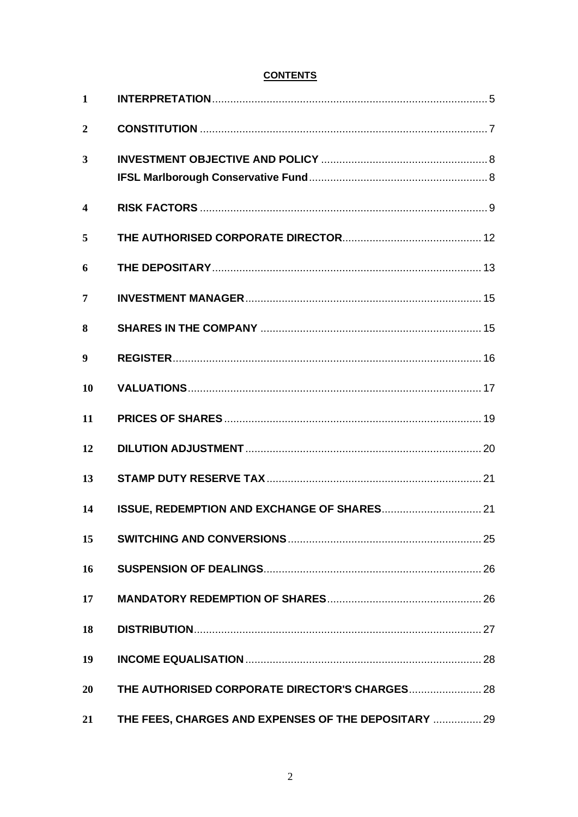# **CONTENTS**

| $\mathbf{1}$            |                                                      |  |
|-------------------------|------------------------------------------------------|--|
| $\overline{2}$          |                                                      |  |
| $\overline{\mathbf{3}}$ |                                                      |  |
| $\boldsymbol{4}$        |                                                      |  |
| 5                       |                                                      |  |
| 6                       |                                                      |  |
| 7                       |                                                      |  |
| 8                       |                                                      |  |
| 9                       |                                                      |  |
| 10                      |                                                      |  |
| 11                      |                                                      |  |
| 12                      |                                                      |  |
| 13                      |                                                      |  |
| 14                      |                                                      |  |
| 15                      |                                                      |  |
| 16                      |                                                      |  |
| 17                      |                                                      |  |
| 18                      |                                                      |  |
| 19                      |                                                      |  |
| 20                      |                                                      |  |
| 21                      | THE FEES, CHARGES AND EXPENSES OF THE DEPOSITARY  29 |  |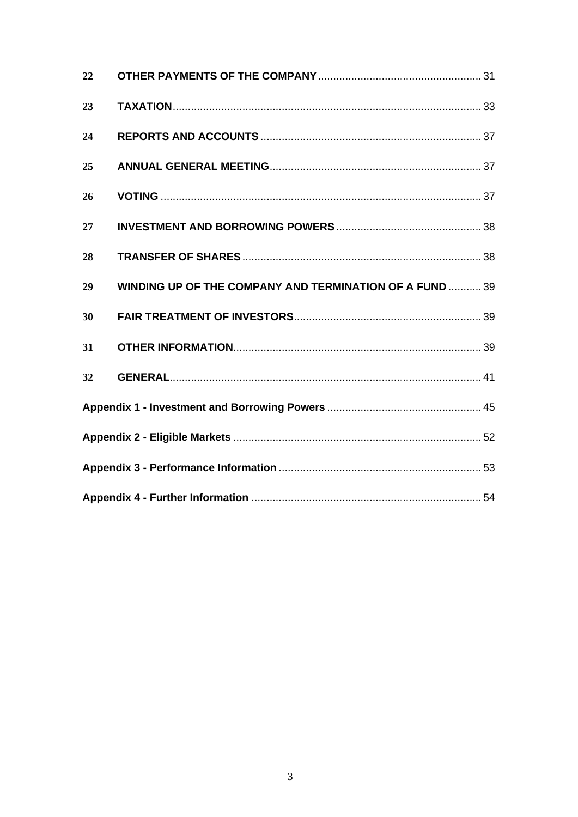| 22 |                                                                |  |
|----|----------------------------------------------------------------|--|
| 23 |                                                                |  |
| 24 |                                                                |  |
| 25 |                                                                |  |
| 26 |                                                                |  |
| 27 |                                                                |  |
| 28 |                                                                |  |
| 29 | <b>WINDING UP OF THE COMPANY AND TERMINATION OF A FUND  39</b> |  |
| 30 |                                                                |  |
| 31 |                                                                |  |
| 32 |                                                                |  |
|    |                                                                |  |
|    |                                                                |  |
|    |                                                                |  |
|    |                                                                |  |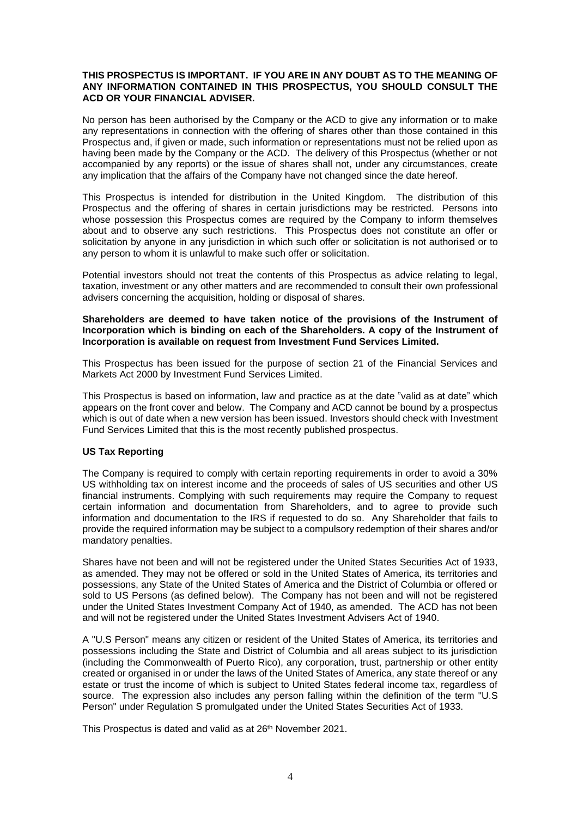#### **THIS PROSPECTUS IS IMPORTANT. IF YOU ARE IN ANY DOUBT AS TO THE MEANING OF ANY INFORMATION CONTAINED IN THIS PROSPECTUS, YOU SHOULD CONSULT THE ACD OR YOUR FINANCIAL ADVISER.**

No person has been authorised by the Company or the ACD to give any information or to make any representations in connection with the offering of shares other than those contained in this Prospectus and, if given or made, such information or representations must not be relied upon as having been made by the Company or the ACD. The delivery of this Prospectus (whether or not accompanied by any reports) or the issue of shares shall not, under any circumstances, create any implication that the affairs of the Company have not changed since the date hereof.

This Prospectus is intended for distribution in the United Kingdom. The distribution of this Prospectus and the offering of shares in certain jurisdictions may be restricted. Persons into whose possession this Prospectus comes are required by the Company to inform themselves about and to observe any such restrictions. This Prospectus does not constitute an offer or solicitation by anyone in any jurisdiction in which such offer or solicitation is not authorised or to any person to whom it is unlawful to make such offer or solicitation.

Potential investors should not treat the contents of this Prospectus as advice relating to legal, taxation, investment or any other matters and are recommended to consult their own professional advisers concerning the acquisition, holding or disposal of shares.

#### **Shareholders are deemed to have taken notice of the provisions of the Instrument of Incorporation which is binding on each of the Shareholders. A copy of the Instrument of Incorporation is available on request from Investment Fund Services Limited.**

This Prospectus has been issued for the purpose of section 21 of the Financial Services and Markets Act 2000 by Investment Fund Services Limited.

This Prospectus is based on information, law and practice as at the date "valid as at date" which appears on the front cover and below. The Company and ACD cannot be bound by a prospectus which is out of date when a new version has been issued. Investors should check with Investment Fund Services Limited that this is the most recently published prospectus.

# **US Tax Reporting**

The Company is required to comply with certain reporting requirements in order to avoid a 30% US withholding tax on interest income and the proceeds of sales of US securities and other US financial instruments. Complying with such requirements may require the Company to request certain information and documentation from Shareholders, and to agree to provide such information and documentation to the IRS if requested to do so. Any Shareholder that fails to provide the required information may be subject to a compulsory redemption of their shares and/or mandatory penalties.

Shares have not been and will not be registered under the United States Securities Act of 1933, as amended. They may not be offered or sold in the United States of America, its territories and possessions, any State of the United States of America and the District of Columbia or offered or sold to US Persons (as defined below). The Company has not been and will not be registered under the United States Investment Company Act of 1940, as amended. The ACD has not been and will not be registered under the United States Investment Advisers Act of 1940.

A "U.S Person" means any citizen or resident of the United States of America, its territories and possessions including the State and District of Columbia and all areas subject to its jurisdiction (including the Commonwealth of Puerto Rico), any corporation, trust, partnership or other entity created or organised in or under the laws of the United States of America, any state thereof or any estate or trust the income of which is subject to United States federal income tax, regardless of source. The expression also includes any person falling within the definition of the term "U.S Person" under Regulation S promulgated under the United States Securities Act of 1933.

This Prospectus is dated and valid as at 26<sup>th</sup> November 2021.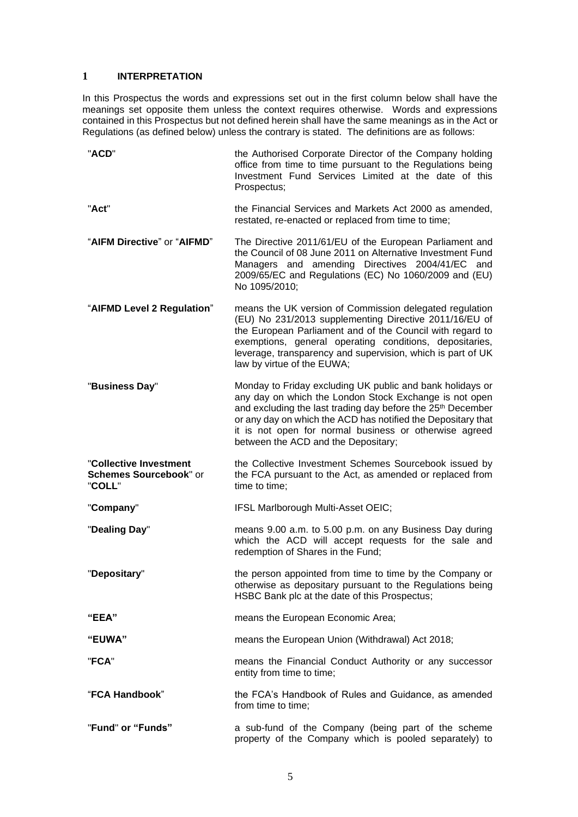# <span id="page-5-0"></span>**1 INTERPRETATION**

In this Prospectus the words and expressions set out in the first column below shall have the meanings set opposite them unless the context requires otherwise. Words and expressions contained in this Prospectus but not defined herein shall have the same meanings as in the Act or Regulations (as defined below) unless the contrary is stated. The definitions are as follows:

| "ACD"                                                      | the Authorised Corporate Director of the Company holding<br>office from time to time pursuant to the Regulations being<br>Investment Fund Services Limited at the date of this<br>Prospectus;                                                                                                                                                                   |  |
|------------------------------------------------------------|-----------------------------------------------------------------------------------------------------------------------------------------------------------------------------------------------------------------------------------------------------------------------------------------------------------------------------------------------------------------|--|
| "Act"                                                      | the Financial Services and Markets Act 2000 as amended,<br>restated, re-enacted or replaced from time to time;                                                                                                                                                                                                                                                  |  |
| "AIFM Directive" or "AIFMD"                                | The Directive 2011/61/EU of the European Parliament and<br>the Council of 08 June 2011 on Alternative Investment Fund<br>Managers and amending Directives 2004/41/EC<br>and<br>2009/65/EC and Regulations (EC) No 1060/2009 and (EU)<br>No 1095/2010;                                                                                                           |  |
| "AIFMD Level 2 Regulation"                                 | means the UK version of Commission delegated regulation<br>(EU) No 231/2013 supplementing Directive 2011/16/EU of<br>the European Parliament and of the Council with regard to<br>exemptions, general operating conditions, depositaries,<br>leverage, transparency and supervision, which is part of UK<br>law by virtue of the EUWA;                          |  |
| "Business Day"                                             | Monday to Friday excluding UK public and bank holidays or<br>any day on which the London Stock Exchange is not open<br>and excluding the last trading day before the 25 <sup>th</sup> December<br>or any day on which the ACD has notified the Depositary that<br>it is not open for normal business or otherwise agreed<br>between the ACD and the Depositary; |  |
| "Collective Investment<br>Schemes Sourcebook" or<br>"COLL" | the Collective Investment Schemes Sourcebook issued by<br>the FCA pursuant to the Act, as amended or replaced from<br>time to time;                                                                                                                                                                                                                             |  |
| "Company"                                                  | IFSL Marlborough Multi-Asset OEIC;                                                                                                                                                                                                                                                                                                                              |  |
| "Dealing Day"                                              | means 9.00 a.m. to 5.00 p.m. on any Business Day during<br>which the ACD will accept requests for the sale and<br>redemption of Shares in the Fund;                                                                                                                                                                                                             |  |
| "Depositary"                                               | the person appointed from time to time by the Company or<br>otherwise as depositary pursuant to the Regulations being<br>HSBC Bank plc at the date of this Prospectus;                                                                                                                                                                                          |  |
| "EEA"                                                      | means the European Economic Area;                                                                                                                                                                                                                                                                                                                               |  |
| "EUWA"                                                     | means the European Union (Withdrawal) Act 2018;                                                                                                                                                                                                                                                                                                                 |  |
| "FCA"                                                      | means the Financial Conduct Authority or any successor<br>entity from time to time;                                                                                                                                                                                                                                                                             |  |
| "FCA Handbook"                                             | the FCA's Handbook of Rules and Guidance, as amended<br>from time to time;                                                                                                                                                                                                                                                                                      |  |
| "Fund" or "Funds"                                          | a sub-fund of the Company (being part of the scheme<br>property of the Company which is pooled separately) to                                                                                                                                                                                                                                                   |  |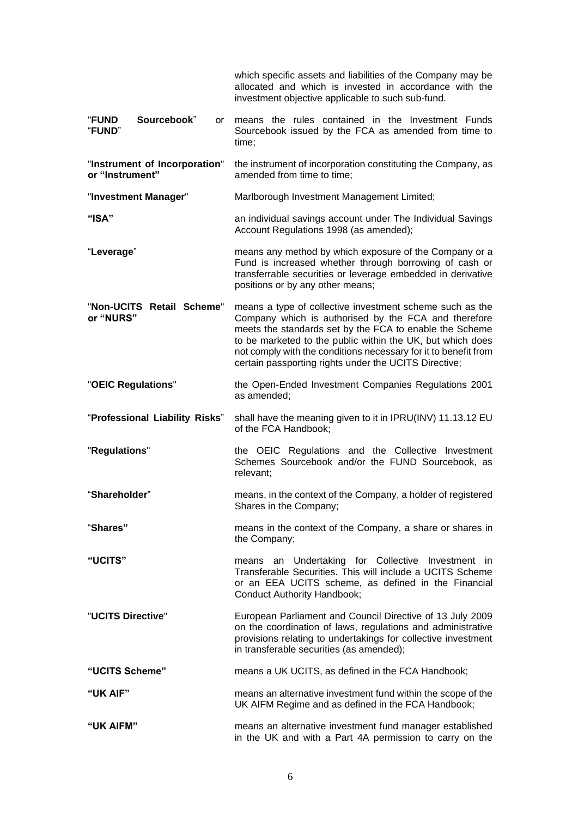|                                                  | which specific assets and liabilities of the Company may be<br>allocated and which is invested in accordance with the<br>investment objective applicable to such sub-fund.                                                                                                                                                                                            |  |
|--------------------------------------------------|-----------------------------------------------------------------------------------------------------------------------------------------------------------------------------------------------------------------------------------------------------------------------------------------------------------------------------------------------------------------------|--|
| Sourcebook"<br><b>"FUND</b><br>or<br>"FUND"      | means the rules contained in the Investment Funds<br>Sourcebook issued by the FCA as amended from time to<br>time;                                                                                                                                                                                                                                                    |  |
| "Instrument of Incorporation"<br>or "Instrument" | the instrument of incorporation constituting the Company, as<br>amended from time to time;                                                                                                                                                                                                                                                                            |  |
| "Investment Manager"                             | Marlborough Investment Management Limited;                                                                                                                                                                                                                                                                                                                            |  |
| "ISA"                                            | an individual savings account under The Individual Savings<br>Account Regulations 1998 (as amended);                                                                                                                                                                                                                                                                  |  |
| "Leverage"                                       | means any method by which exposure of the Company or a<br>Fund is increased whether through borrowing of cash or<br>transferrable securities or leverage embedded in derivative<br>positions or by any other means;                                                                                                                                                   |  |
| "Non-UCITS Retail Scheme"<br>or "NURS"           | means a type of collective investment scheme such as the<br>Company which is authorised by the FCA and therefore<br>meets the standards set by the FCA to enable the Scheme<br>to be marketed to the public within the UK, but which does<br>not comply with the conditions necessary for it to benefit from<br>certain passporting rights under the UCITS Directive; |  |
| "OEIC Regulations"                               | the Open-Ended Investment Companies Regulations 2001<br>as amended;                                                                                                                                                                                                                                                                                                   |  |
| "Professional Liability Risks"                   | shall have the meaning given to it in IPRU(INV) 11.13.12 EU<br>of the FCA Handbook;                                                                                                                                                                                                                                                                                   |  |
| "Regulations"                                    | the OEIC Regulations and the Collective Investment<br>Schemes Sourcebook and/or the FUND Sourcebook, as<br>relevant;                                                                                                                                                                                                                                                  |  |
| "Shareholder"                                    | means, in the context of the Company, a holder of registered<br>Shares in the Company;                                                                                                                                                                                                                                                                                |  |
| "Shares"                                         | means in the context of the Company, a share or shares in<br>the Company;                                                                                                                                                                                                                                                                                             |  |
| "UCITS"                                          | means an Undertaking for Collective Investment in<br>Transferable Securities. This will include a UCITS Scheme<br>or an EEA UCITS scheme, as defined in the Financial<br><b>Conduct Authority Handbook;</b>                                                                                                                                                           |  |
| "UCITS Directive"                                | European Parliament and Council Directive of 13 July 2009<br>on the coordination of laws, regulations and administrative<br>provisions relating to undertakings for collective investment<br>in transferable securities (as amended);                                                                                                                                 |  |
| "UCITS Scheme"                                   | means a UK UCITS, as defined in the FCA Handbook;                                                                                                                                                                                                                                                                                                                     |  |
| "UK AIF"                                         | means an alternative investment fund within the scope of the<br>UK AIFM Regime and as defined in the FCA Handbook;                                                                                                                                                                                                                                                    |  |
| "UK AIFM"                                        | means an alternative investment fund manager established<br>in the UK and with a Part 4A permission to carry on the                                                                                                                                                                                                                                                   |  |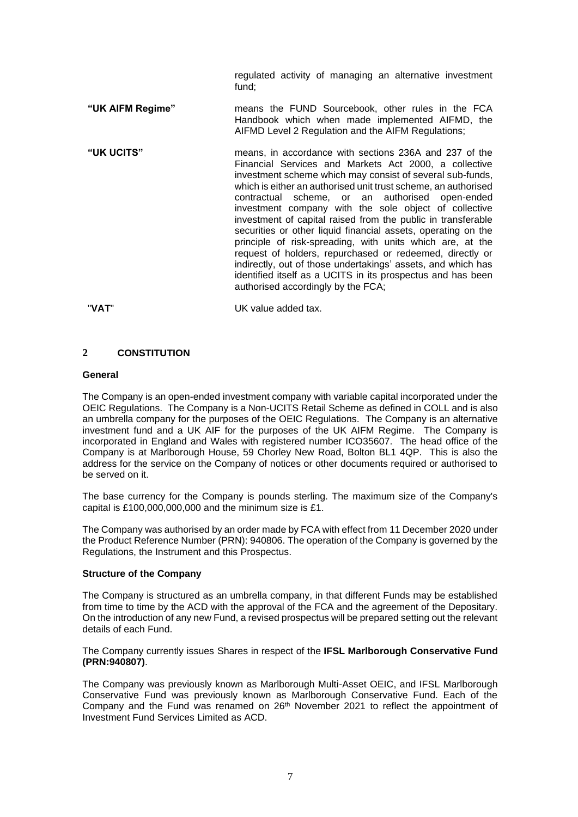regulated activity of managing an alternative investment fund;

- **"UK AIFM Regime"** means the FUND Sourcebook, other rules in the FCA Handbook which when made implemented AIFMD, the AIFMD Level 2 Regulation and the AIFM Regulations;
- **"UK UCITS"** means, in accordance with sections 236A and 237 of the Financial Services and Markets Act 2000, a collective investment scheme which may consist of several sub-funds, which is either an authorised unit trust scheme, an authorised contractual scheme, or an authorised open-ended investment company with the sole object of collective investment of capital raised from the public in transferable securities or other liquid financial assets, operating on the principle of risk-spreading, with units which are, at the request of holders, repurchased or redeemed, directly or indirectly, out of those undertakings' assets, and which has identified itself as a UCITS in its prospectus and has been authorised accordingly by the FCA;

"**VAT**" UK value added tax.

# <span id="page-7-0"></span>**2 CONSTITUTION**

# **General**

The Company is an open-ended investment company with variable capital incorporated under the OEIC Regulations. The Company is a Non-UCITS Retail Scheme as defined in COLL and is also an umbrella company for the purposes of the OEIC Regulations. The Company is an alternative investment fund and a UK AIF for the purposes of the UK AIFM Regime. The Company is incorporated in England and Wales with registered number ICO35607. The head office of the Company is at Marlborough House, 59 Chorley New Road, Bolton BL1 4QP. This is also the address for the service on the Company of notices or other documents required or authorised to be served on it.

The base currency for the Company is pounds sterling. The maximum size of the Company's capital is £100,000,000,000 and the minimum size is £1.

The Company was authorised by an order made by FCA with effect from 11 December 2020 under the Product Reference Number (PRN): 940806. The operation of the Company is governed by the Regulations, the Instrument and this Prospectus.

# **Structure of the Company**

The Company is structured as an umbrella company, in that different Funds may be established from time to time by the ACD with the approval of the FCA and the agreement of the Depositary. On the introduction of any new Fund, a revised prospectus will be prepared setting out the relevant details of each Fund.

The Company currently issues Shares in respect of the **IFSL Marlborough Conservative Fund (PRN:940807)**.

The Company was previously known as Marlborough Multi-Asset OEIC, and IFSL Marlborough Conservative Fund was previously known as Marlborough Conservative Fund. Each of the Company and the Fund was renamed on 26<sup>th</sup> November 2021 to reflect the appointment of Investment Fund Services Limited as ACD.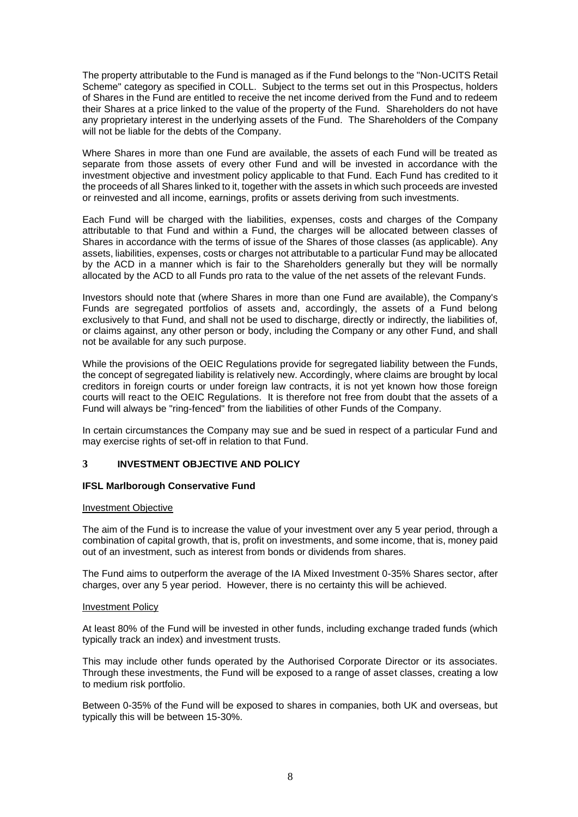The property attributable to the Fund is managed as if the Fund belongs to the "Non-UCITS Retail Scheme" category as specified in COLL. Subject to the terms set out in this Prospectus, holders of Shares in the Fund are entitled to receive the net income derived from the Fund and to redeem their Shares at a price linked to the value of the property of the Fund. Shareholders do not have any proprietary interest in the underlying assets of the Fund. The Shareholders of the Company will not be liable for the debts of the Company.

Where Shares in more than one Fund are available, the assets of each Fund will be treated as separate from those assets of every other Fund and will be invested in accordance with the investment objective and investment policy applicable to that Fund. Each Fund has credited to it the proceeds of all Shares linked to it, together with the assets in which such proceeds are invested or reinvested and all income, earnings, profits or assets deriving from such investments.

Each Fund will be charged with the liabilities, expenses, costs and charges of the Company attributable to that Fund and within a Fund, the charges will be allocated between classes of Shares in accordance with the terms of issue of the Shares of those classes (as applicable). Any assets, liabilities, expenses, costs or charges not attributable to a particular Fund may be allocated by the ACD in a manner which is fair to the Shareholders generally but they will be normally allocated by the ACD to all Funds pro rata to the value of the net assets of the relevant Funds.

Investors should note that (where Shares in more than one Fund are available), the Company's Funds are segregated portfolios of assets and, accordingly, the assets of a Fund belong exclusively to that Fund, and shall not be used to discharge, directly or indirectly, the liabilities of, or claims against, any other person or body, including the Company or any other Fund, and shall not be available for any such purpose.

While the provisions of the OEIC Regulations provide for segregated liability between the Funds, the concept of segregated liability is relatively new. Accordingly, where claims are brought by local creditors in foreign courts or under foreign law contracts, it is not yet known how those foreign courts will react to the OEIC Regulations. It is therefore not free from doubt that the assets of a Fund will always be "ring-fenced" from the liabilities of other Funds of the Company.

In certain circumstances the Company may sue and be sued in respect of a particular Fund and may exercise rights of set-off in relation to that Fund.

# <span id="page-8-0"></span>**3 INVESTMENT OBJECTIVE AND POLICY**

#### <span id="page-8-1"></span>**IFSL Marlborough Conservative Fund**

#### Investment Objective

The aim of the Fund is to increase the value of your investment over any 5 year period, through a combination of capital growth, that is, profit on investments, and some income, that is, money paid out of an investment, such as interest from bonds or dividends from shares.

The Fund aims to outperform the average of the IA Mixed Investment 0-35% Shares sector, after charges, over any 5 year period. However, there is no certainty this will be achieved.

#### Investment Policy

At least 80% of the Fund will be invested in other funds, including exchange traded funds (which typically track an index) and investment trusts.

This may include other funds operated by the Authorised Corporate Director or its associates. Through these investments, the Fund will be exposed to a range of asset classes, creating a low to medium risk portfolio.

Between 0-35% of the Fund will be exposed to shares in companies, both UK and overseas, but typically this will be between 15-30%.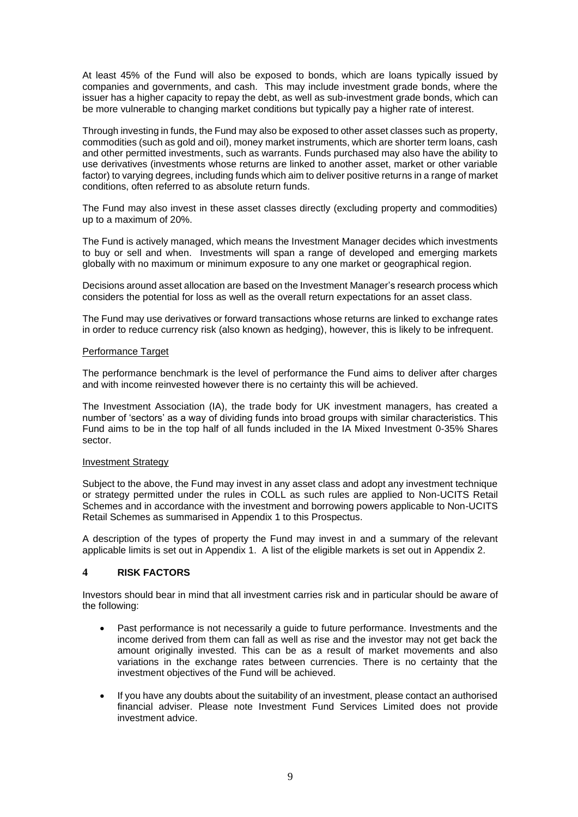At least 45% of the Fund will also be exposed to bonds, which are loans typically issued by companies and governments, and cash. This may include investment grade bonds, where the issuer has a higher capacity to repay the debt, as well as sub-investment grade bonds, which can be more vulnerable to changing market conditions but typically pay a higher rate of interest.

Through investing in funds, the Fund may also be exposed to other asset classes such as property, commodities (such as gold and oil), money market instruments, which are shorter term loans, cash and other permitted investments, such as warrants. Funds purchased may also have the ability to use derivatives (investments whose returns are linked to another asset, market or other variable factor) to varying degrees, including funds which aim to deliver positive returns in a range of market conditions, often referred to as absolute return funds.

The Fund may also invest in these asset classes directly (excluding property and commodities) up to a maximum of 20%.

The Fund is actively managed, which means the Investment Manager decides which investments to buy or sell and when. Investments will span a range of developed and emerging markets globally with no maximum or minimum exposure to any one market or geographical region.

Decisions around asset allocation are based on the Investment Manager's research process which considers the potential for loss as well as the overall return expectations for an asset class.

The Fund may use derivatives or forward transactions whose returns are linked to exchange rates in order to reduce currency risk (also known as hedging), however, this is likely to be infrequent.

#### Performance Target

The performance benchmark is the level of performance the Fund aims to deliver after charges and with income reinvested however there is no certainty this will be achieved.

The Investment Association (IA), the trade body for UK investment managers, has created a number of 'sectors' as a way of dividing funds into broad groups with similar characteristics. This Fund aims to be in the top half of all funds included in the IA Mixed Investment 0-35% Shares sector.

#### Investment Strategy

Subject to the above, the Fund may invest in any asset class and adopt any investment technique or strategy permitted under the rules in COLL as such rules are applied to Non-UCITS Retail Schemes and in accordance with the investment and borrowing powers applicable to Non-UCITS Retail Schemes as summarised in Appendix 1 to this Prospectus.

A description of the types of property the Fund may invest in and a summary of the relevant applicable limits is set out in Appendix 1. A list of the eligible markets is set out in Appendix 2.

# <span id="page-9-0"></span>**4 RISK FACTORS**

Investors should bear in mind that all investment carries risk and in particular should be aware of the following:

- Past performance is not necessarily a guide to future performance. Investments and the income derived from them can fall as well as rise and the investor may not get back the amount originally invested. This can be as a result of market movements and also variations in the exchange rates between currencies. There is no certainty that the investment objectives of the Fund will be achieved.
- If you have any doubts about the suitability of an investment, please contact an authorised financial adviser. Please note Investment Fund Services Limited does not provide investment advice.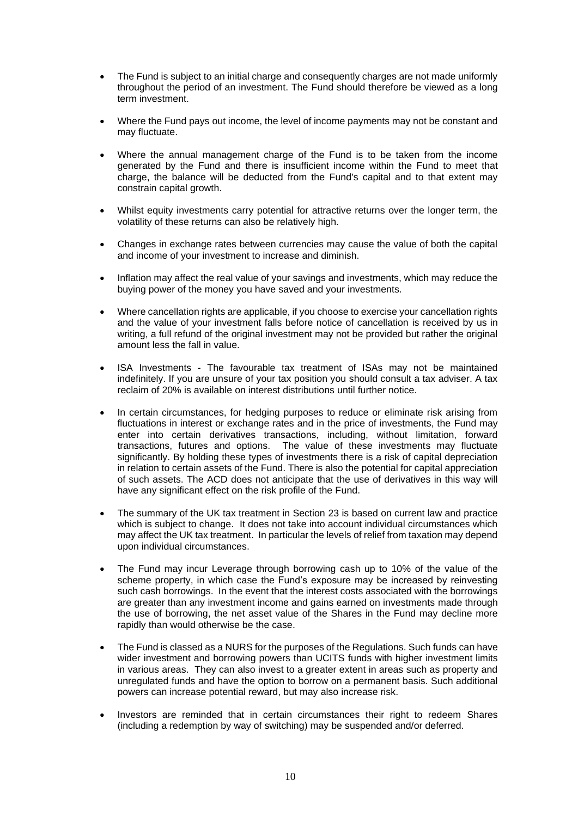- The Fund is subject to an initial charge and consequently charges are not made uniformly throughout the period of an investment. The Fund should therefore be viewed as a long term investment.
- Where the Fund pays out income, the level of income payments may not be constant and may fluctuate.
- Where the annual management charge of the Fund is to be taken from the income generated by the Fund and there is insufficient income within the Fund to meet that charge, the balance will be deducted from the Fund's capital and to that extent may constrain capital growth.
- Whilst equity investments carry potential for attractive returns over the longer term, the volatility of these returns can also be relatively high.
- Changes in exchange rates between currencies may cause the value of both the capital and income of your investment to increase and diminish.
- Inflation may affect the real value of your savings and investments, which may reduce the buying power of the money you have saved and your investments.
- Where cancellation rights are applicable, if you choose to exercise your cancellation rights and the value of your investment falls before notice of cancellation is received by us in writing, a full refund of the original investment may not be provided but rather the original amount less the fall in value.
- ISA Investments The favourable tax treatment of ISAs may not be maintained indefinitely. If you are unsure of your tax position you should consult a tax adviser. A tax reclaim of 20% is available on interest distributions until further notice.
- In certain circumstances, for hedging purposes to reduce or eliminate risk arising from fluctuations in interest or exchange rates and in the price of investments, the Fund may enter into certain derivatives transactions, including, without limitation, forward transactions, futures and options. The value of these investments may fluctuate significantly. By holding these types of investments there is a risk of capital depreciation in relation to certain assets of the Fund. There is also the potential for capital appreciation of such assets. The ACD does not anticipate that the use of derivatives in this way will have any significant effect on the risk profile of the Fund.
- The summary of the UK tax treatment in Section [23](#page-33-0) is based on current law and practice which is subject to change. It does not take into account individual circumstances which may affect the UK tax treatment. In particular the levels of relief from taxation may depend upon individual circumstances.
- The Fund may incur Leverage through borrowing cash up to 10% of the value of the scheme property, in which case the Fund's exposure may be increased by reinvesting such cash borrowings. In the event that the interest costs associated with the borrowings are greater than any investment income and gains earned on investments made through the use of borrowing, the net asset value of the Shares in the Fund may decline more rapidly than would otherwise be the case.
- The Fund is classed as a NURS for the purposes of the Regulations. Such funds can have wider investment and borrowing powers than UCITS funds with higher investment limits in various areas. They can also invest to a greater extent in areas such as property and unregulated funds and have the option to borrow on a permanent basis. Such additional powers can increase potential reward, but may also increase risk.
- Investors are reminded that in certain circumstances their right to redeem Shares (including a redemption by way of switching) may be suspended and/or deferred.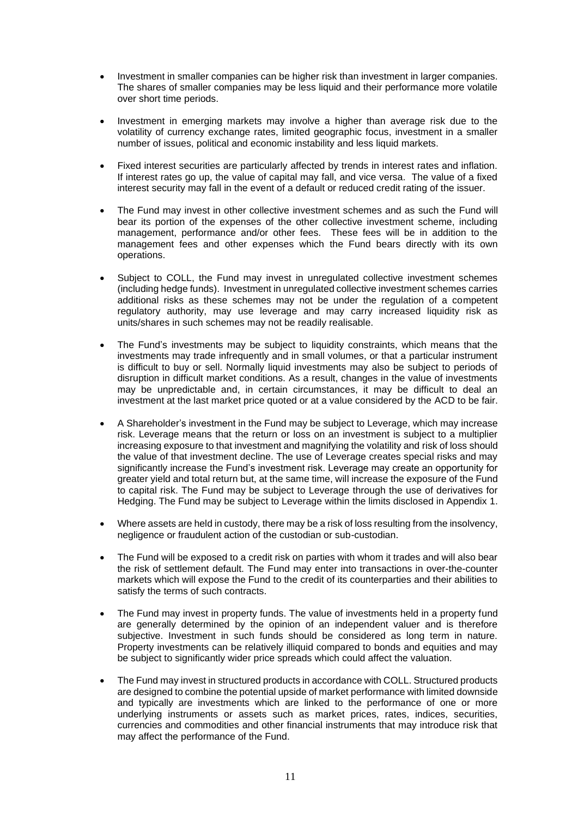- Investment in smaller companies can be higher risk than investment in larger companies. The shares of smaller companies may be less liquid and their performance more volatile over short time periods.
- Investment in emerging markets may involve a higher than average risk due to the volatility of currency exchange rates, limited geographic focus, investment in a smaller number of issues, political and economic instability and less liquid markets.
- Fixed interest securities are particularly affected by trends in interest rates and inflation. If interest rates go up, the value of capital may fall, and vice versa. The value of a fixed interest security may fall in the event of a default or reduced credit rating of the issuer.
- The Fund may invest in other collective investment schemes and as such the Fund will bear its portion of the expenses of the other collective investment scheme, including management, performance and/or other fees. These fees will be in addition to the management fees and other expenses which the Fund bears directly with its own operations.
- Subject to COLL, the Fund may invest in unregulated collective investment schemes (including hedge funds). Investment in unregulated collective investment schemes carries additional risks as these schemes may not be under the regulation of a competent regulatory authority, may use leverage and may carry increased liquidity risk as units/shares in such schemes may not be readily realisable.
- The Fund's investments may be subject to liquidity constraints, which means that the investments may trade infrequently and in small volumes, or that a particular instrument is difficult to buy or sell. Normally liquid investments may also be subject to periods of disruption in difficult market conditions. As a result, changes in the value of investments may be unpredictable and, in certain circumstances, it may be difficult to deal an investment at the last market price quoted or at a value considered by the ACD to be fair.
- A Shareholder's investment in the Fund may be subject to Leverage, which may increase risk. Leverage means that the return or loss on an investment is subject to a multiplier increasing exposure to that investment and magnifying the volatility and risk of loss should the value of that investment decline. The use of Leverage creates special risks and may significantly increase the Fund's investment risk. Leverage may create an opportunity for greater yield and total return but, at the same time, will increase the exposure of the Fund to capital risk. The Fund may be subject to Leverage through the use of derivatives for Hedging. The Fund may be subject to Leverage within the limits disclosed in Appendix 1.
- Where assets are held in custody, there may be a risk of loss resulting from the insolvency, negligence or fraudulent action of the custodian or sub-custodian.
- The Fund will be exposed to a credit risk on parties with whom it trades and will also bear the risk of settlement default. The Fund may enter into transactions in over-the-counter markets which will expose the Fund to the credit of its counterparties and their abilities to satisfy the terms of such contracts.
- The Fund may invest in property funds. The value of investments held in a property fund are generally determined by the opinion of an independent valuer and is therefore subjective. Investment in such funds should be considered as long term in nature. Property investments can be relatively illiquid compared to bonds and equities and may be subject to significantly wider price spreads which could affect the valuation.
- The Fund may invest in structured products in accordance with COLL. Structured products are designed to combine the potential upside of market performance with limited downside and typically are investments which are linked to the performance of one or more underlying instruments or assets such as market prices, rates, indices, securities, currencies and commodities and other financial instruments that may introduce risk that may affect the performance of the Fund.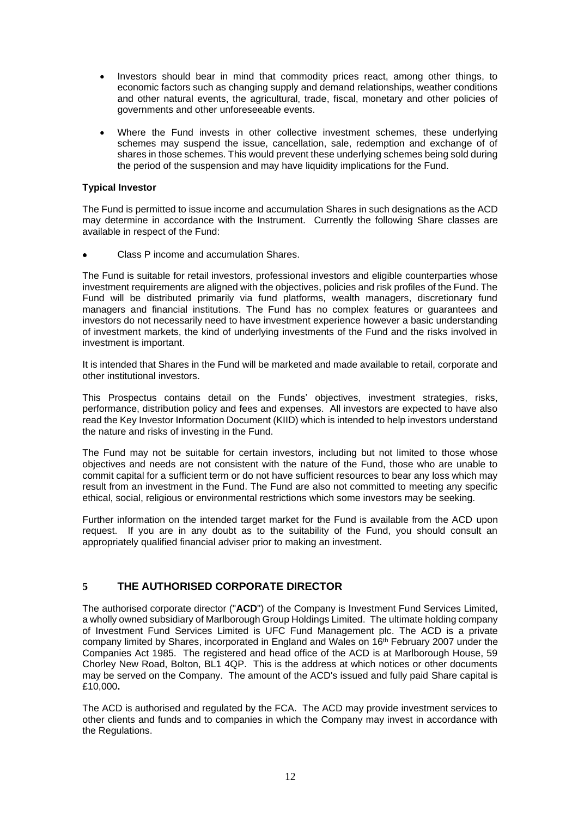- Investors should bear in mind that commodity prices react, among other things, to economic factors such as changing supply and demand relationships, weather conditions and other natural events, the agricultural, trade, fiscal, monetary and other policies of governments and other unforeseeable events.
- Where the Fund invests in other collective investment schemes, these underlying schemes may suspend the issue, cancellation, sale, redemption and exchange of of shares in those schemes. This would prevent these underlying schemes being sold during the period of the suspension and may have liquidity implications for the Fund.

# **Typical Investor**

The Fund is permitted to issue income and accumulation Shares in such designations as the ACD may determine in accordance with the Instrument. Currently the following Share classes are available in respect of the Fund:

Class P income and accumulation Shares.

The Fund is suitable for retail investors, professional investors and eligible counterparties whose investment requirements are aligned with the objectives, policies and risk profiles of the Fund. The Fund will be distributed primarily via fund platforms, wealth managers, discretionary fund managers and financial institutions. The Fund has no complex features or guarantees and investors do not necessarily need to have investment experience however a basic understanding of investment markets, the kind of underlying investments of the Fund and the risks involved in investment is important.

It is intended that Shares in the Fund will be marketed and made available to retail, corporate and other institutional investors.

This Prospectus contains detail on the Funds' objectives, investment strategies, risks, performance, distribution policy and fees and expenses. All investors are expected to have also read the Key Investor Information Document (KIID) which is intended to help investors understand the nature and risks of investing in the Fund.

The Fund may not be suitable for certain investors, including but not limited to those whose objectives and needs are not consistent with the nature of the Fund, those who are unable to commit capital for a sufficient term or do not have sufficient resources to bear any loss which may result from an investment in the Fund. The Fund are also not committed to meeting any specific ethical, social, religious or environmental restrictions which some investors may be seeking.

Further information on the intended target market for the Fund is available from the ACD upon request. If you are in any doubt as to the suitability of the Fund, you should consult an appropriately qualified financial adviser prior to making an investment.

# <span id="page-12-0"></span>**5 THE AUTHORISED CORPORATE DIRECTOR**

The authorised corporate director ("**ACD**") of the Company is Investment Fund Services Limited, a wholly owned subsidiary of Marlborough Group Holdings Limited. The ultimate holding company of Investment Fund Services Limited is UFC Fund Management plc. The ACD is a private company limited by Shares, incorporated in England and Wales on 16th February 2007 under the Companies Act 1985. The registered and head office of the ACD is at Marlborough House, 59 Chorley New Road, Bolton, BL1 4QP. This is the address at which notices or other documents may be served on the Company. The amount of the ACD's issued and fully paid Share capital is £10,000**.** 

The ACD is authorised and regulated by the FCA. The ACD may provide investment services to other clients and funds and to companies in which the Company may invest in accordance with the Regulations.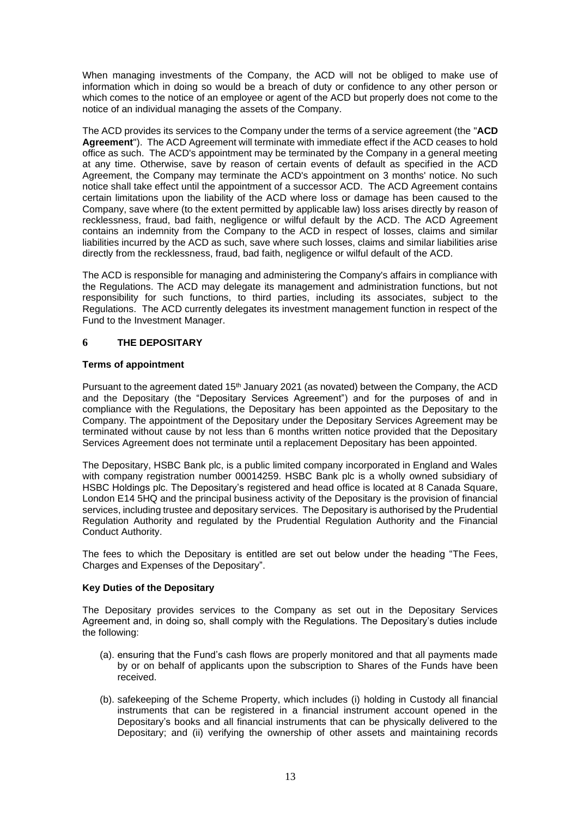When managing investments of the Company, the ACD will not be obliged to make use of information which in doing so would be a breach of duty or confidence to any other person or which comes to the notice of an employee or agent of the ACD but properly does not come to the notice of an individual managing the assets of the Company.

The ACD provides its services to the Company under the terms of a service agreement (the "**ACD Agreement**"). The ACD Agreement will terminate with immediate effect if the ACD ceases to hold office as such. The ACD's appointment may be terminated by the Company in a general meeting at any time. Otherwise, save by reason of certain events of default as specified in the ACD Agreement, the Company may terminate the ACD's appointment on 3 months' notice. No such notice shall take effect until the appointment of a successor ACD. The ACD Agreement contains certain limitations upon the liability of the ACD where loss or damage has been caused to the Company, save where (to the extent permitted by applicable law) loss arises directly by reason of recklessness, fraud, bad faith, negligence or wilful default by the ACD. The ACD Agreement contains an indemnity from the Company to the ACD in respect of losses, claims and similar liabilities incurred by the ACD as such, save where such losses, claims and similar liabilities arise directly from the recklessness, fraud, bad faith, negligence or wilful default of the ACD.

The ACD is responsible for managing and administering the Company's affairs in compliance with the Regulations. The ACD may delegate its management and administration functions, but not responsibility for such functions, to third parties, including its associates, subject to the Regulations. The ACD currently delegates its investment management function in respect of the Fund to the Investment Manager.

# <span id="page-13-0"></span>**6 THE DEPOSITARY**

# **Terms of appointment**

Pursuant to the agreement dated  $15<sup>th</sup>$  January 2021 (as novated) between the Company, the ACD and the Depositary (the "Depositary Services Agreement") and for the purposes of and in compliance with the Regulations, the Depositary has been appointed as the Depositary to the Company. The appointment of the Depositary under the Depositary Services Agreement may be terminated without cause by not less than 6 months written notice provided that the Depositary Services Agreement does not terminate until a replacement Depositary has been appointed.

The Depositary, HSBC Bank plc, is a public limited company incorporated in England and Wales with company registration number 00014259. HSBC Bank plc is a wholly owned subsidiary of HSBC Holdings plc. The Depositary's registered and head office is located at 8 Canada Square, London E14 5HQ and the principal business activity of the Depositary is the provision of financial services, including trustee and depositary services. The Depositary is authorised by the Prudential Regulation Authority and regulated by the Prudential Regulation Authority and the Financial Conduct Authority.

The fees to which the Depositary is entitled are set out below under the heading "The Fees, Charges and Expenses of the Depositary".

# **Key Duties of the Depositary**

The Depositary provides services to the Company as set out in the Depositary Services Agreement and, in doing so, shall comply with the Regulations. The Depositary's duties include the following:

- (a). ensuring that the Fund's cash flows are properly monitored and that all payments made by or on behalf of applicants upon the subscription to Shares of the Funds have been received.
- (b). safekeeping of the Scheme Property, which includes (i) holding in Custody all financial instruments that can be registered in a financial instrument account opened in the Depositary's books and all financial instruments that can be physically delivered to the Depositary; and (ii) verifying the ownership of other assets and maintaining records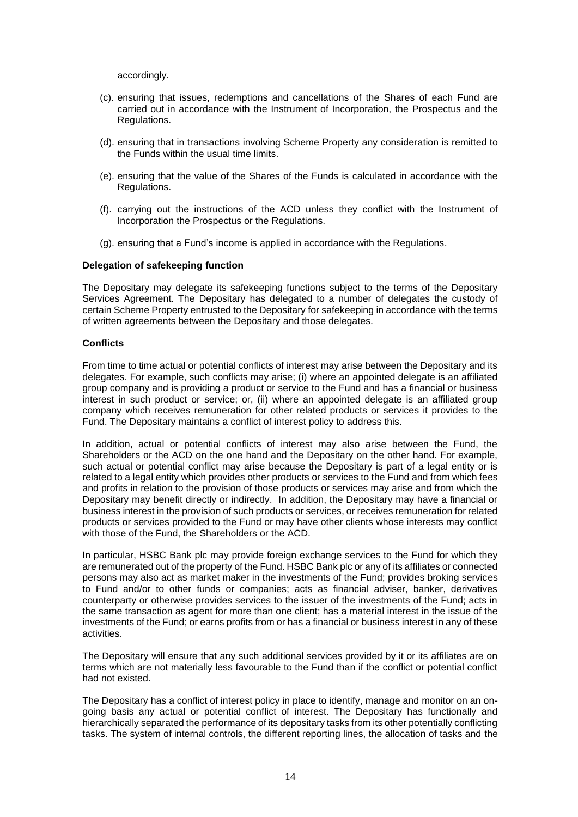accordingly.

- (c). ensuring that issues, redemptions and cancellations of the Shares of each Fund are carried out in accordance with the Instrument of Incorporation, the Prospectus and the Regulations.
- (d). ensuring that in transactions involving Scheme Property any consideration is remitted to the Funds within the usual time limits.
- (e). ensuring that the value of the Shares of the Funds is calculated in accordance with the Regulations.
- (f). carrying out the instructions of the ACD unless they conflict with the Instrument of Incorporation the Prospectus or the Regulations.
- (g). ensuring that a Fund's income is applied in accordance with the Regulations.

#### **Delegation of safekeeping function**

The Depositary may delegate its safekeeping functions subject to the terms of the Depositary Services Agreement. The Depositary has delegated to a number of delegates the custody of certain Scheme Property entrusted to the Depositary for safekeeping in accordance with the terms of written agreements between the Depositary and those delegates.

#### **Conflicts**

From time to time actual or potential conflicts of interest may arise between the Depositary and its delegates. For example, such conflicts may arise; (i) where an appointed delegate is an affiliated group company and is providing a product or service to the Fund and has a financial or business interest in such product or service; or, (ii) where an appointed delegate is an affiliated group company which receives remuneration for other related products or services it provides to the Fund. The Depositary maintains a conflict of interest policy to address this.

In addition, actual or potential conflicts of interest may also arise between the Fund, the Shareholders or the ACD on the one hand and the Depositary on the other hand. For example, such actual or potential conflict may arise because the Depositary is part of a legal entity or is related to a legal entity which provides other products or services to the Fund and from which fees and profits in relation to the provision of those products or services may arise and from which the Depositary may benefit directly or indirectly. In addition, the Depositary may have a financial or business interest in the provision of such products or services, or receives remuneration for related products or services provided to the Fund or may have other clients whose interests may conflict with those of the Fund, the Shareholders or the ACD.

In particular, HSBC Bank plc may provide foreign exchange services to the Fund for which they are remunerated out of the property of the Fund. HSBC Bank plc or any of its affiliates or connected persons may also act as market maker in the investments of the Fund; provides broking services to Fund and/or to other funds or companies; acts as financial adviser, banker, derivatives counterparty or otherwise provides services to the issuer of the investments of the Fund; acts in the same transaction as agent for more than one client; has a material interest in the issue of the investments of the Fund; or earns profits from or has a financial or business interest in any of these activities.

The Depositary will ensure that any such additional services provided by it or its affiliates are on terms which are not materially less favourable to the Fund than if the conflict or potential conflict had not existed.

The Depositary has a conflict of interest policy in place to identify, manage and monitor on an ongoing basis any actual or potential conflict of interest. The Depositary has functionally and hierarchically separated the performance of its depositary tasks from its other potentially conflicting tasks. The system of internal controls, the different reporting lines, the allocation of tasks and the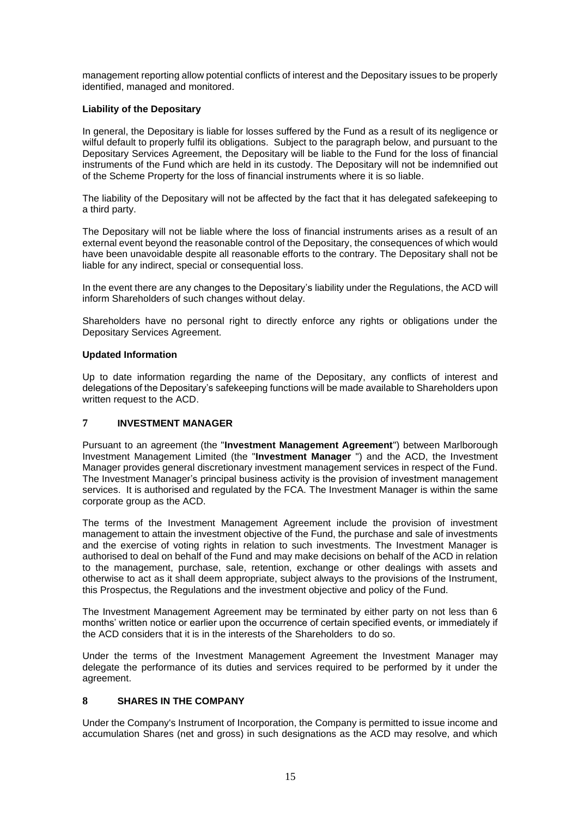management reporting allow potential conflicts of interest and the Depositary issues to be properly identified, managed and monitored.

# **Liability of the Depositary**

In general, the Depositary is liable for losses suffered by the Fund as a result of its negligence or wilful default to properly fulfil its obligations. Subject to the paragraph below, and pursuant to the Depositary Services Agreement, the Depositary will be liable to the Fund for the loss of financial instruments of the Fund which are held in its custody. The Depositary will not be indemnified out of the Scheme Property for the loss of financial instruments where it is so liable.

The liability of the Depositary will not be affected by the fact that it has delegated safekeeping to a third party.

The Depositary will not be liable where the loss of financial instruments arises as a result of an external event beyond the reasonable control of the Depositary, the consequences of which would have been unavoidable despite all reasonable efforts to the contrary. The Depositary shall not be liable for any indirect, special or consequential loss.

In the event there are any changes to the Depositary's liability under the Regulations, the ACD will inform Shareholders of such changes without delay.

Shareholders have no personal right to directly enforce any rights or obligations under the Depositary Services Agreement.

# **Updated Information**

Up to date information regarding the name of the Depositary, any conflicts of interest and delegations of the Depositary's safekeeping functions will be made available to Shareholders upon written request to the ACD.

# <span id="page-15-0"></span>**7 INVESTMENT MANAGER**

Pursuant to an agreement (the "**Investment Management Agreement**") between Marlborough Investment Management Limited (the "**Investment Manager** ") and the ACD, the Investment Manager provides general discretionary investment management services in respect of the Fund. The Investment Manager's principal business activity is the provision of investment management services. It is authorised and regulated by the FCA. The Investment Manager is within the same corporate group as the ACD.

The terms of the Investment Management Agreement include the provision of investment management to attain the investment objective of the Fund, the purchase and sale of investments and the exercise of voting rights in relation to such investments. The Investment Manager is authorised to deal on behalf of the Fund and may make decisions on behalf of the ACD in relation to the management, purchase, sale, retention, exchange or other dealings with assets and otherwise to act as it shall deem appropriate, subject always to the provisions of the Instrument, this Prospectus, the Regulations and the investment objective and policy of the Fund.

The Investment Management Agreement may be terminated by either party on not less than 6 months' written notice or earlier upon the occurrence of certain specified events, or immediately if the ACD considers that it is in the interests of the Shareholders to do so.

Under the terms of the Investment Management Agreement the Investment Manager may delegate the performance of its duties and services required to be performed by it under the agreement.

# <span id="page-15-1"></span>**8 SHARES IN THE COMPANY**

Under the Company's Instrument of Incorporation, the Company is permitted to issue income and accumulation Shares (net and gross) in such designations as the ACD may resolve, and which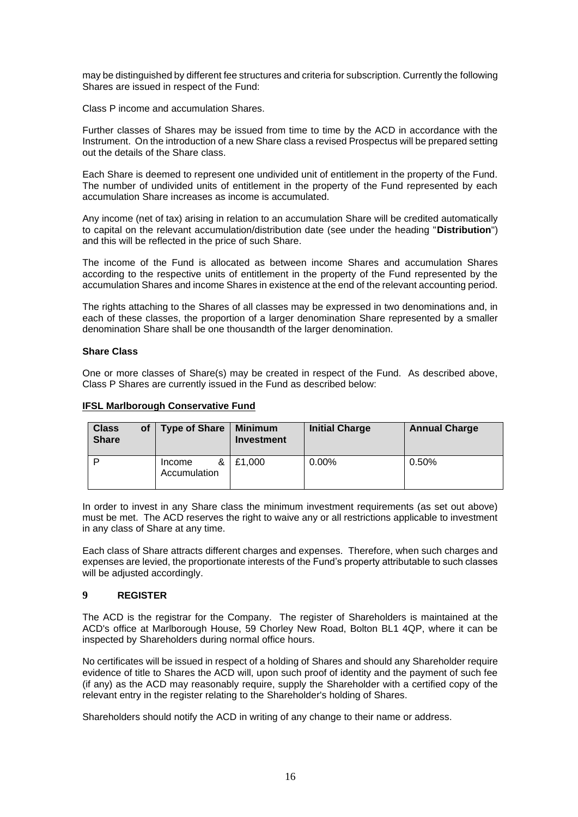may be distinguished by different fee structures and criteria for subscription. Currently the following Shares are issued in respect of the Fund:

Class P income and accumulation Shares.

Further classes of Shares may be issued from time to time by the ACD in accordance with the Instrument. On the introduction of a new Share class a revised Prospectus will be prepared setting out the details of the Share class.

Each Share is deemed to represent one undivided unit of entitlement in the property of the Fund. The number of undivided units of entitlement in the property of the Fund represented by each accumulation Share increases as income is accumulated.

Any income (net of tax) arising in relation to an accumulation Share will be credited automatically to capital on the relevant accumulation/distribution date (see under the heading "**Distribution**") and this will be reflected in the price of such Share.

The income of the Fund is allocated as between income Shares and accumulation Shares according to the respective units of entitlement in the property of the Fund represented by the accumulation Shares and income Shares in existence at the end of the relevant accounting period.

The rights attaching to the Shares of all classes may be expressed in two denominations and, in each of these classes, the proportion of a larger denomination Share represented by a smaller denomination Share shall be one thousandth of the larger denomination.

# **Share Class**

One or more classes of Share(s) may be created in respect of the Fund. As described above, Class P Shares are currently issued in the Fund as described below:

| <b>IFSL Marlborough Conservative Fund</b> |
|-------------------------------------------|
|-------------------------------------------|

| <b>Class</b><br><b>Share</b> | οf | <b>Type of Share</b>        | <b>Minimum</b><br>Investment | <b>Initial Charge</b> | <b>Annual Charge</b> |
|------------------------------|----|-----------------------------|------------------------------|-----------------------|----------------------|
| D                            |    | &<br>Income<br>Accumulation | £1.000                       | $0.00\%$              | 0.50%                |

In order to invest in any Share class the minimum investment requirements (as set out above) must be met. The ACD reserves the right to waive any or all restrictions applicable to investment in any class of Share at any time.

Each class of Share attracts different charges and expenses. Therefore, when such charges and expenses are levied, the proportionate interests of the Fund's property attributable to such classes will be adjusted accordingly.

# <span id="page-16-0"></span>**9 REGISTER**

The ACD is the registrar for the Company. The register of Shareholders is maintained at the ACD's office at Marlborough House, 59 Chorley New Road, Bolton BL1 4QP, where it can be inspected by Shareholders during normal office hours.

No certificates will be issued in respect of a holding of Shares and should any Shareholder require evidence of title to Shares the ACD will, upon such proof of identity and the payment of such fee (if any) as the ACD may reasonably require, supply the Shareholder with a certified copy of the relevant entry in the register relating to the Shareholder's holding of Shares.

Shareholders should notify the ACD in writing of any change to their name or address.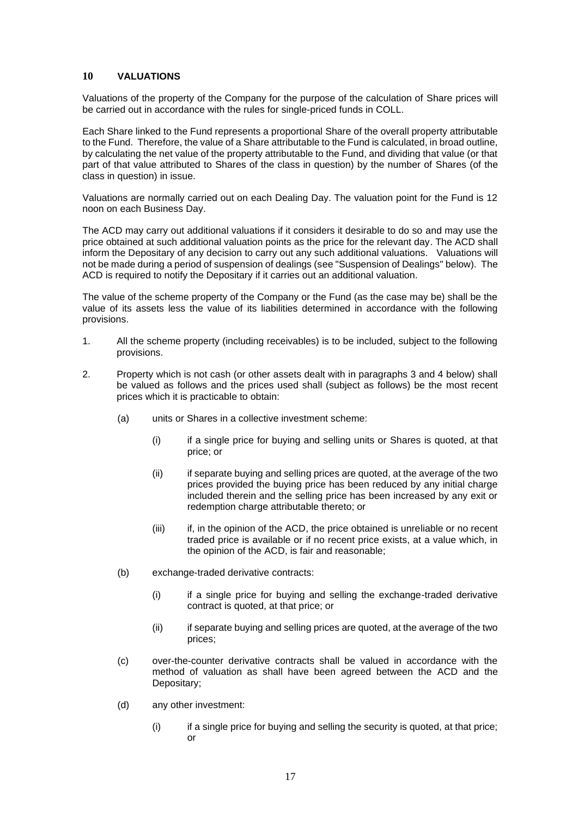# <span id="page-17-0"></span>**10 VALUATIONS**

Valuations of the property of the Company for the purpose of the calculation of Share prices will be carried out in accordance with the rules for single-priced funds in COLL.

Each Share linked to the Fund represents a proportional Share of the overall property attributable to the Fund. Therefore, the value of a Share attributable to the Fund is calculated, in broad outline, by calculating the net value of the property attributable to the Fund, and dividing that value (or that part of that value attributed to Shares of the class in question) by the number of Shares (of the class in question) in issue.

Valuations are normally carried out on each Dealing Day. The valuation point for the Fund is 12 noon on each Business Day.

The ACD may carry out additional valuations if it considers it desirable to do so and may use the price obtained at such additional valuation points as the price for the relevant day. The ACD shall inform the Depositary of any decision to carry out any such additional valuations. Valuations will not be made during a period of suspension of dealings (see "Suspension of Dealings" below). The ACD is required to notify the Depositary if it carries out an additional valuation.

The value of the scheme property of the Company or the Fund (as the case may be) shall be the value of its assets less the value of its liabilities determined in accordance with the following provisions.

- 1. All the scheme property (including receivables) is to be included, subject to the following provisions.
- 2. Property which is not cash (or other assets dealt with in paragraphs 3 and 4 below) shall be valued as follows and the prices used shall (subject as follows) be the most recent prices which it is practicable to obtain:
	- (a) units or Shares in a collective investment scheme:
		- (i) if a single price for buying and selling units or Shares is quoted, at that price; or
		- (ii) if separate buying and selling prices are quoted, at the average of the two prices provided the buying price has been reduced by any initial charge included therein and the selling price has been increased by any exit or redemption charge attributable thereto; or
		- (iii) if, in the opinion of the ACD, the price obtained is unreliable or no recent traded price is available or if no recent price exists, at a value which, in the opinion of the ACD, is fair and reasonable;
	- (b) exchange-traded derivative contracts:
		- (i) if a single price for buying and selling the exchange-traded derivative contract is quoted, at that price; or
		- (ii) if separate buying and selling prices are quoted, at the average of the two prices;
	- (c) over-the-counter derivative contracts shall be valued in accordance with the method of valuation as shall have been agreed between the ACD and the Depositary;
	- (d) any other investment:
		- (i) if a single price for buying and selling the security is quoted, at that price; or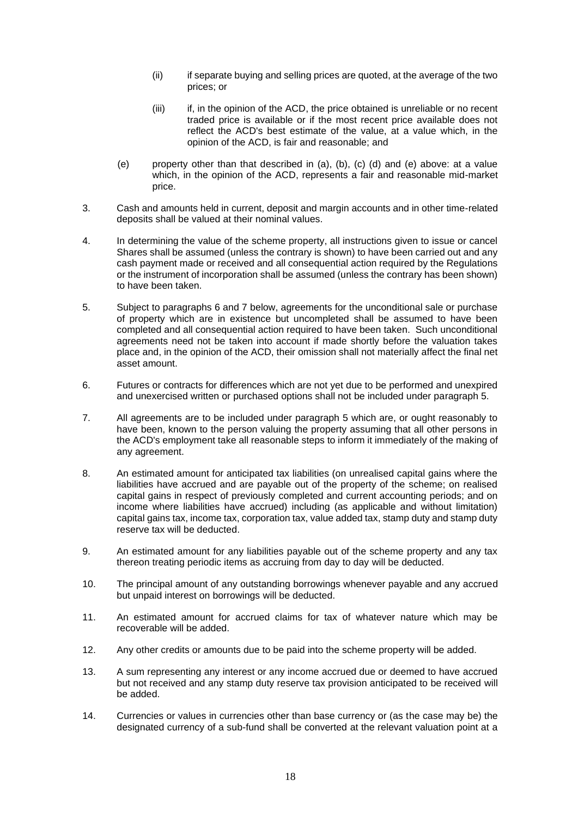- (ii) if separate buying and selling prices are quoted, at the average of the two prices; or
- (iii) if, in the opinion of the ACD, the price obtained is unreliable or no recent traded price is available or if the most recent price available does not reflect the ACD's best estimate of the value, at a value which, in the opinion of the ACD, is fair and reasonable; and
- (e) property other than that described in (a), (b), (c) (d) and (e) above: at a value which, in the opinion of the ACD, represents a fair and reasonable mid-market price.
- 3. Cash and amounts held in current, deposit and margin accounts and in other time-related deposits shall be valued at their nominal values.
- 4. In determining the value of the scheme property, all instructions given to issue or cancel Shares shall be assumed (unless the contrary is shown) to have been carried out and any cash payment made or received and all consequential action required by the Regulations or the instrument of incorporation shall be assumed (unless the contrary has been shown) to have been taken.
- 5. Subject to paragraphs 6 and 7 below, agreements for the unconditional sale or purchase of property which are in existence but uncompleted shall be assumed to have been completed and all consequential action required to have been taken. Such unconditional agreements need not be taken into account if made shortly before the valuation takes place and, in the opinion of the ACD, their omission shall not materially affect the final net asset amount.
- 6. Futures or contracts for differences which are not yet due to be performed and unexpired and unexercised written or purchased options shall not be included under paragraph 5.
- 7. All agreements are to be included under paragraph 5 which are, or ought reasonably to have been, known to the person valuing the property assuming that all other persons in the ACD's employment take all reasonable steps to inform it immediately of the making of any agreement.
- 8. An estimated amount for anticipated tax liabilities (on unrealised capital gains where the liabilities have accrued and are payable out of the property of the scheme; on realised capital gains in respect of previously completed and current accounting periods; and on income where liabilities have accrued) including (as applicable and without limitation) capital gains tax, income tax, corporation tax, value added tax, stamp duty and stamp duty reserve tax will be deducted.
- 9. An estimated amount for any liabilities payable out of the scheme property and any tax thereon treating periodic items as accruing from day to day will be deducted.
- 10. The principal amount of any outstanding borrowings whenever payable and any accrued but unpaid interest on borrowings will be deducted.
- 11. An estimated amount for accrued claims for tax of whatever nature which may be recoverable will be added.
- 12. Any other credits or amounts due to be paid into the scheme property will be added.
- 13. A sum representing any interest or any income accrued due or deemed to have accrued but not received and any stamp duty reserve tax provision anticipated to be received will be added.
- 14. Currencies or values in currencies other than base currency or (as the case may be) the designated currency of a sub-fund shall be converted at the relevant valuation point at a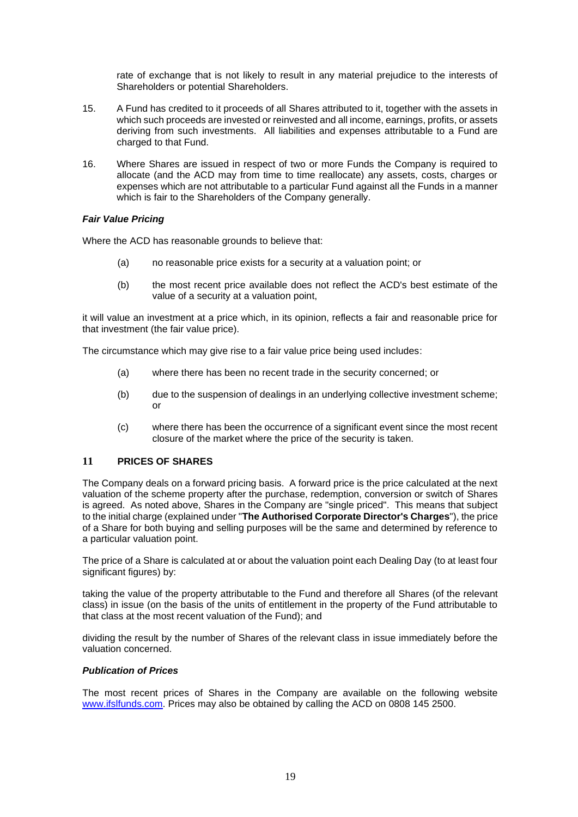rate of exchange that is not likely to result in any material prejudice to the interests of Shareholders or potential Shareholders.

- 15. A Fund has credited to it proceeds of all Shares attributed to it, together with the assets in which such proceeds are invested or reinvested and all income, earnings, profits, or assets deriving from such investments. All liabilities and expenses attributable to a Fund are charged to that Fund.
- 16. Where Shares are issued in respect of two or more Funds the Company is required to allocate (and the ACD may from time to time reallocate) any assets, costs, charges or expenses which are not attributable to a particular Fund against all the Funds in a manner which is fair to the Shareholders of the Company generally.

# *Fair Value Pricing*

Where the ACD has reasonable grounds to believe that:

- (a) no reasonable price exists for a security at a valuation point; or
- (b) the most recent price available does not reflect the ACD's best estimate of the value of a security at a valuation point,

it will value an investment at a price which, in its opinion, reflects a fair and reasonable price for that investment (the fair value price).

The circumstance which may give rise to a fair value price being used includes:

- (a) where there has been no recent trade in the security concerned; or
- (b) due to the suspension of dealings in an underlying collective investment scheme; or
- (c) where there has been the occurrence of a significant event since the most recent closure of the market where the price of the security is taken.

# <span id="page-19-0"></span>**11 PRICES OF SHARES**

The Company deals on a forward pricing basis. A forward price is the price calculated at the next valuation of the scheme property after the purchase, redemption, conversion or switch of Shares is agreed. As noted above, Shares in the Company are "single priced". This means that subject to the initial charge (explained under "**The Authorised Corporate Director's Charges**"), the price of a Share for both buying and selling purposes will be the same and determined by reference to a particular valuation point.

The price of a Share is calculated at or about the valuation point each Dealing Day (to at least four significant figures) by:

taking the value of the property attributable to the Fund and therefore all Shares (of the relevant class) in issue (on the basis of the units of entitlement in the property of the Fund attributable to that class at the most recent valuation of the Fund); and

dividing the result by the number of Shares of the relevant class in issue immediately before the valuation concerned.

# *Publication of Prices*

The most recent prices of Shares in the Company are available on the following website [www.ifslfunds.com.](http://www.ifslfunds.com/) Prices may also be obtained by calling the ACD on 0808 145 2500.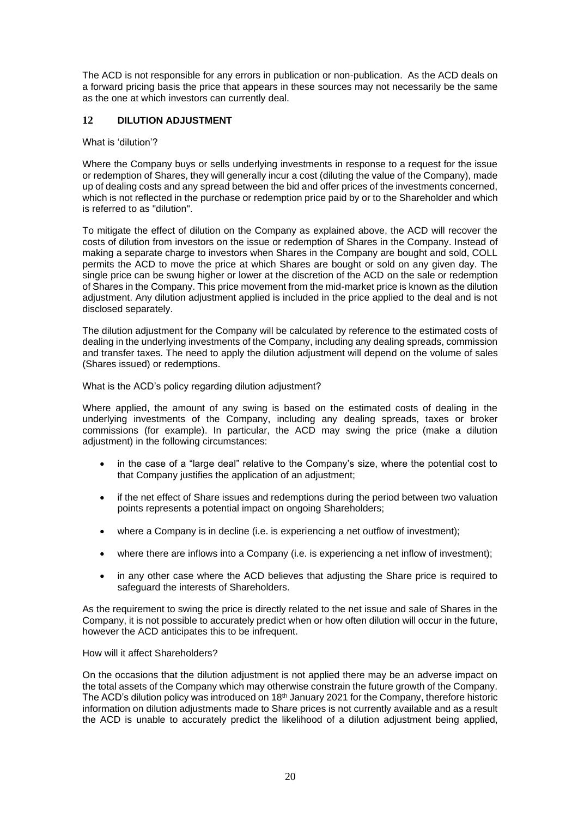The ACD is not responsible for any errors in publication or non-publication. As the ACD deals on a forward pricing basis the price that appears in these sources may not necessarily be the same as the one at which investors can currently deal.

# <span id="page-20-0"></span>**12 DILUTION ADJUSTMENT**

#### What is 'dilution'?

Where the Company buys or sells underlying investments in response to a request for the issue or redemption of Shares, they will generally incur a cost (diluting the value of the Company), made up of dealing costs and any spread between the bid and offer prices of the investments concerned, which is not reflected in the purchase or redemption price paid by or to the Shareholder and which is referred to as "dilution".

To mitigate the effect of dilution on the Company as explained above, the ACD will recover the costs of dilution from investors on the issue or redemption of Shares in the Company. Instead of making a separate charge to investors when Shares in the Company are bought and sold, COLL permits the ACD to move the price at which Shares are bought or sold on any given day. The single price can be swung higher or lower at the discretion of the ACD on the sale or redemption of Shares in the Company. This price movement from the mid-market price is known as the dilution adjustment. Any dilution adjustment applied is included in the price applied to the deal and is not disclosed separately.

The dilution adjustment for the Company will be calculated by reference to the estimated costs of dealing in the underlying investments of the Company, including any dealing spreads, commission and transfer taxes. The need to apply the dilution adjustment will depend on the volume of sales (Shares issued) or redemptions.

What is the ACD's policy regarding dilution adjustment?

Where applied, the amount of any swing is based on the estimated costs of dealing in the underlying investments of the Company, including any dealing spreads, taxes or broker commissions (for example). In particular, the ACD may swing the price (make a dilution adjustment) in the following circumstances:

- in the case of a "large deal" relative to the Company's size, where the potential cost to that Company justifies the application of an adjustment;
- if the net effect of Share issues and redemptions during the period between two valuation points represents a potential impact on ongoing Shareholders;
- where a Company is in decline (i.e. is experiencing a net outflow of investment);
- where there are inflows into a Company (i.e. is experiencing a net inflow of investment);
- in any other case where the ACD believes that adjusting the Share price is required to safeguard the interests of Shareholders.

As the requirement to swing the price is directly related to the net issue and sale of Shares in the Company, it is not possible to accurately predict when or how often dilution will occur in the future, however the ACD anticipates this to be infrequent.

How will it affect Shareholders?

On the occasions that the dilution adjustment is not applied there may be an adverse impact on the total assets of the Company which may otherwise constrain the future growth of the Company. The ACD's dilution policy was introduced on 18<sup>th</sup> January 2021 for the Company, therefore historic information on dilution adjustments made to Share prices is not currently available and as a result the ACD is unable to accurately predict the likelihood of a dilution adjustment being applied,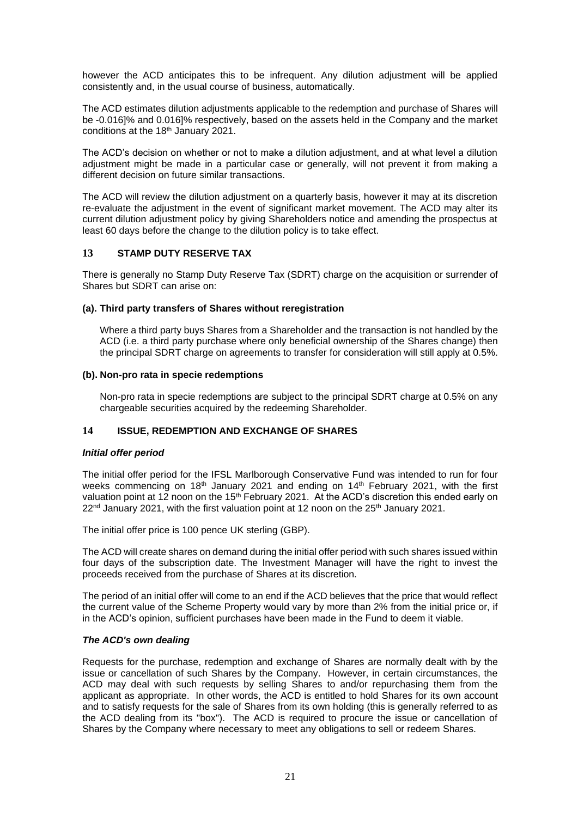however the ACD anticipates this to be infrequent. Any dilution adjustment will be applied consistently and, in the usual course of business, automatically.

The ACD estimates dilution adjustments applicable to the redemption and purchase of Shares will be -0.016]% and 0.016]% respectively, based on the assets held in the Company and the market conditions at the 18<sup>th</sup> January 2021.

The ACD's decision on whether or not to make a dilution adjustment, and at what level a dilution adjustment might be made in a particular case or generally, will not prevent it from making a different decision on future similar transactions.

The ACD will review the dilution adjustment on a quarterly basis, however it may at its discretion re-evaluate the adjustment in the event of significant market movement. The ACD may alter its current dilution adjustment policy by giving Shareholders notice and amending the prospectus at least 60 days before the change to the dilution policy is to take effect.

# <span id="page-21-0"></span>**13 STAMP DUTY RESERVE TAX**

There is generally no Stamp Duty Reserve Tax (SDRT) charge on the acquisition or surrender of Shares but SDRT can arise on:

# **(a). Third party transfers of Shares without reregistration**

Where a third party buys Shares from a Shareholder and the transaction is not handled by the ACD (i.e. a third party purchase where only beneficial ownership of the Shares change) then the principal SDRT charge on agreements to transfer for consideration will still apply at 0.5%.

# **(b). Non-pro rata in specie redemptions**

Non-pro rata in specie redemptions are subject to the principal SDRT charge at 0.5% on any chargeable securities acquired by the redeeming Shareholder.

# <span id="page-21-1"></span>**14 ISSUE, REDEMPTION AND EXCHANGE OF SHARES**

# *Initial offer period*

The initial offer period for the IFSL Marlborough Conservative Fund was intended to run for four weeks commencing on 18<sup>th</sup> January 2021 and ending on 14<sup>th</sup> February 2021, with the first valuation point at 12 noon on the 15<sup>th</sup> February 2021. At the ACD's discretion this ended early on 22<sup>nd</sup> January 2021, with the first valuation point at 12 noon on the 25<sup>th</sup> January 2021.

The initial offer price is 100 pence UK sterling (GBP).

The ACD will create shares on demand during the initial offer period with such shares issued within four days of the subscription date. The Investment Manager will have the right to invest the proceeds received from the purchase of Shares at its discretion.

The period of an initial offer will come to an end if the ACD believes that the price that would reflect the current value of the Scheme Property would vary by more than 2% from the initial price or, if in the ACD's opinion, sufficient purchases have been made in the Fund to deem it viable.

# *The ACD's own dealing*

Requests for the purchase, redemption and exchange of Shares are normally dealt with by the issue or cancellation of such Shares by the Company. However, in certain circumstances, the ACD may deal with such requests by selling Shares to and/or repurchasing them from the applicant as appropriate. In other words, the ACD is entitled to hold Shares for its own account and to satisfy requests for the sale of Shares from its own holding (this is generally referred to as the ACD dealing from its "box"). The ACD is required to procure the issue or cancellation of Shares by the Company where necessary to meet any obligations to sell or redeem Shares.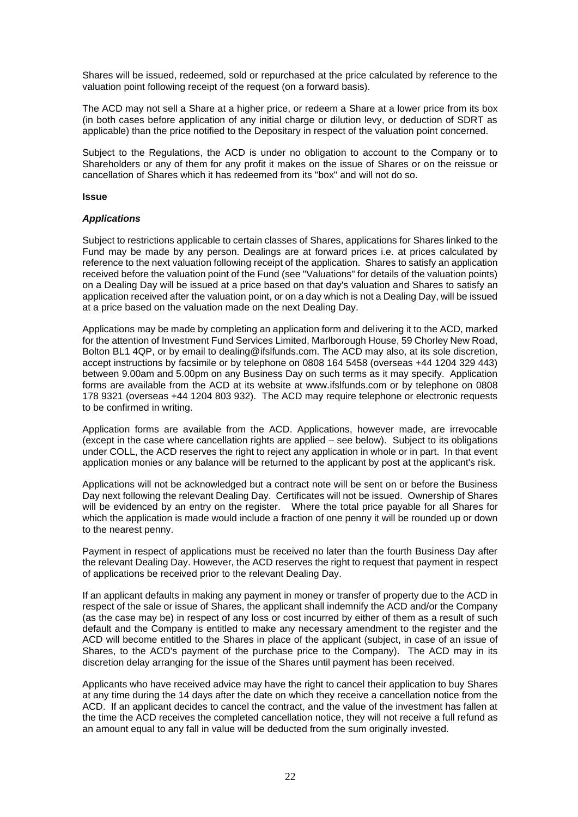Shares will be issued, redeemed, sold or repurchased at the price calculated by reference to the valuation point following receipt of the request (on a forward basis).

The ACD may not sell a Share at a higher price, or redeem a Share at a lower price from its box (in both cases before application of any initial charge or dilution levy, or deduction of SDRT as applicable) than the price notified to the Depositary in respect of the valuation point concerned.

Subject to the Regulations, the ACD is under no obligation to account to the Company or to Shareholders or any of them for any profit it makes on the issue of Shares or on the reissue or cancellation of Shares which it has redeemed from its "box" and will not do so.

#### **Issue**

# *Applications*

Subject to restrictions applicable to certain classes of Shares, applications for Shares linked to the Fund may be made by any person. Dealings are at forward prices i.e. at prices calculated by reference to the next valuation following receipt of the application. Shares to satisfy an application received before the valuation point of the Fund (see "Valuations" for details of the valuation points) on a Dealing Day will be issued at a price based on that day's valuation and Shares to satisfy an application received after the valuation point, or on a day which is not a Dealing Day, will be issued at a price based on the valuation made on the next Dealing Day.

Applications may be made by completing an application form and delivering it to the ACD, marked for the attention of Investment Fund Services Limited, Marlborough House, 59 Chorley New Road, Bolton BL1 4QP, or by email to dealing@ifslfunds.com. The ACD may also, at its sole discretion, accept instructions by facsimile or by telephone on 0808 164 5458 (overseas +44 1204 329 443) between 9.00am and 5.00pm on any Business Day on such terms as it may specify. Application forms are available from the ACD at its website at www.ifslfunds.com or by telephone on 0808 178 9321 (overseas +44 1204 803 932). The ACD may require telephone or electronic requests to be confirmed in writing.

Application forms are available from the ACD. Applications, however made, are irrevocable (except in the case where cancellation rights are applied – see below). Subject to its obligations under COLL, the ACD reserves the right to reject any application in whole or in part. In that event application monies or any balance will be returned to the applicant by post at the applicant's risk.

Applications will not be acknowledged but a contract note will be sent on or before the Business Day next following the relevant Dealing Day. Certificates will not be issued. Ownership of Shares will be evidenced by an entry on the register. Where the total price payable for all Shares for which the application is made would include a fraction of one penny it will be rounded up or down to the nearest penny.

Payment in respect of applications must be received no later than the fourth Business Day after the relevant Dealing Day. However, the ACD reserves the right to request that payment in respect of applications be received prior to the relevant Dealing Day.

If an applicant defaults in making any payment in money or transfer of property due to the ACD in respect of the sale or issue of Shares, the applicant shall indemnify the ACD and/or the Company (as the case may be) in respect of any loss or cost incurred by either of them as a result of such default and the Company is entitled to make any necessary amendment to the register and the ACD will become entitled to the Shares in place of the applicant (subject, in case of an issue of Shares, to the ACD's payment of the purchase price to the Company). The ACD may in its discretion delay arranging for the issue of the Shares until payment has been received.

Applicants who have received advice may have the right to cancel their application to buy Shares at any time during the 14 days after the date on which they receive a cancellation notice from the ACD. If an applicant decides to cancel the contract, and the value of the investment has fallen at the time the ACD receives the completed cancellation notice, they will not receive a full refund as an amount equal to any fall in value will be deducted from the sum originally invested.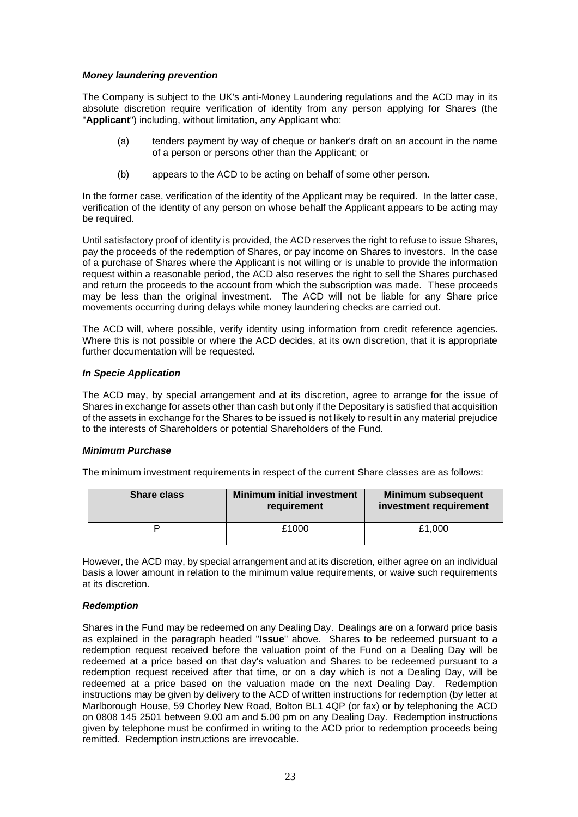# *Money laundering prevention*

The Company is subject to the UK's anti-Money Laundering regulations and the ACD may in its absolute discretion require verification of identity from any person applying for Shares (the "**Applicant**") including, without limitation, any Applicant who:

- (a) tenders payment by way of cheque or banker's draft on an account in the name of a person or persons other than the Applicant; or
- (b) appears to the ACD to be acting on behalf of some other person.

In the former case, verification of the identity of the Applicant may be required. In the latter case, verification of the identity of any person on whose behalf the Applicant appears to be acting may be required.

Until satisfactory proof of identity is provided, the ACD reserves the right to refuse to issue Shares, pay the proceeds of the redemption of Shares, or pay income on Shares to investors. In the case of a purchase of Shares where the Applicant is not willing or is unable to provide the information request within a reasonable period, the ACD also reserves the right to sell the Shares purchased and return the proceeds to the account from which the subscription was made. These proceeds may be less than the original investment. The ACD will not be liable for any Share price movements occurring during delays while money laundering checks are carried out.

The ACD will, where possible, verify identity using information from credit reference agencies. Where this is not possible or where the ACD decides, at its own discretion, that it is appropriate further documentation will be requested.

# *In Specie Application*

The ACD may, by special arrangement and at its discretion, agree to arrange for the issue of Shares in exchange for assets other than cash but only if the Depositary is satisfied that acquisition of the assets in exchange for the Shares to be issued is not likely to result in any material prejudice to the interests of Shareholders or potential Shareholders of the Fund.

# *Minimum Purchase*

The minimum investment requirements in respect of the current Share classes are as follows:

| <b>Share class</b> | <b>Minimum initial investment</b><br>requirement | <b>Minimum subsequent</b><br>investment requirement |
|--------------------|--------------------------------------------------|-----------------------------------------------------|
|                    | £1000                                            | £1.000                                              |

However, the ACD may, by special arrangement and at its discretion, either agree on an individual basis a lower amount in relation to the minimum value requirements, or waive such requirements at its discretion.

# *Redemption*

Shares in the Fund may be redeemed on any Dealing Day. Dealings are on a forward price basis as explained in the paragraph headed "**Issue**" above. Shares to be redeemed pursuant to a redemption request received before the valuation point of the Fund on a Dealing Day will be redeemed at a price based on that day's valuation and Shares to be redeemed pursuant to a redemption request received after that time, or on a day which is not a Dealing Day, will be redeemed at a price based on the valuation made on the next Dealing Day. Redemption instructions may be given by delivery to the ACD of written instructions for redemption (by letter at Marlborough House, 59 Chorley New Road, Bolton BL1 4QP (or fax) or by telephoning the ACD on 0808 145 2501 between 9.00 am and 5.00 pm on any Dealing Day. Redemption instructions given by telephone must be confirmed in writing to the ACD prior to redemption proceeds being remitted. Redemption instructions are irrevocable.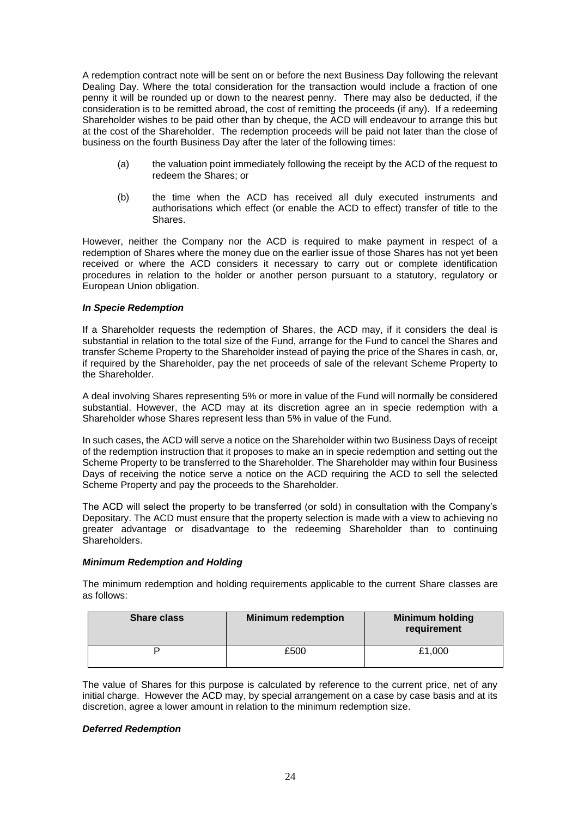A redemption contract note will be sent on or before the next Business Day following the relevant Dealing Day. Where the total consideration for the transaction would include a fraction of one penny it will be rounded up or down to the nearest penny. There may also be deducted, if the consideration is to be remitted abroad, the cost of remitting the proceeds (if any). If a redeeming Shareholder wishes to be paid other than by cheque, the ACD will endeavour to arrange this but at the cost of the Shareholder. The redemption proceeds will be paid not later than the close of business on the fourth Business Day after the later of the following times:

- (a) the valuation point immediately following the receipt by the ACD of the request to redeem the Shares; or
- (b) the time when the ACD has received all duly executed instruments and authorisations which effect (or enable the ACD to effect) transfer of title to the Shares.

However, neither the Company nor the ACD is required to make payment in respect of a redemption of Shares where the money due on the earlier issue of those Shares has not yet been received or where the ACD considers it necessary to carry out or complete identification procedures in relation to the holder or another person pursuant to a statutory, regulatory or European Union obligation.

# *In Specie Redemption*

If a Shareholder requests the redemption of Shares, the ACD may, if it considers the deal is substantial in relation to the total size of the Fund, arrange for the Fund to cancel the Shares and transfer Scheme Property to the Shareholder instead of paying the price of the Shares in cash, or, if required by the Shareholder, pay the net proceeds of sale of the relevant Scheme Property to the Shareholder.

A deal involving Shares representing 5% or more in value of the Fund will normally be considered substantial. However, the ACD may at its discretion agree an in specie redemption with a Shareholder whose Shares represent less than 5% in value of the Fund.

In such cases, the ACD will serve a notice on the Shareholder within two Business Days of receipt of the redemption instruction that it proposes to make an in specie redemption and setting out the Scheme Property to be transferred to the Shareholder. The Shareholder may within four Business Days of receiving the notice serve a notice on the ACD requiring the ACD to sell the selected Scheme Property and pay the proceeds to the Shareholder.

The ACD will select the property to be transferred (or sold) in consultation with the Company's Depositary. The ACD must ensure that the property selection is made with a view to achieving no greater advantage or disadvantage to the redeeming Shareholder than to continuing Shareholders.

#### *Minimum Redemption and Holding*

The minimum redemption and holding requirements applicable to the current Share classes are as follows:

| <b>Share class</b> | <b>Minimum redemption</b> | <b>Minimum holding</b><br>requirement |
|--------------------|---------------------------|---------------------------------------|
|                    | £500                      | £1,000                                |

The value of Shares for this purpose is calculated by reference to the current price, net of any initial charge. However the ACD may, by special arrangement on a case by case basis and at its discretion, agree a lower amount in relation to the minimum redemption size.

#### *Deferred Redemption*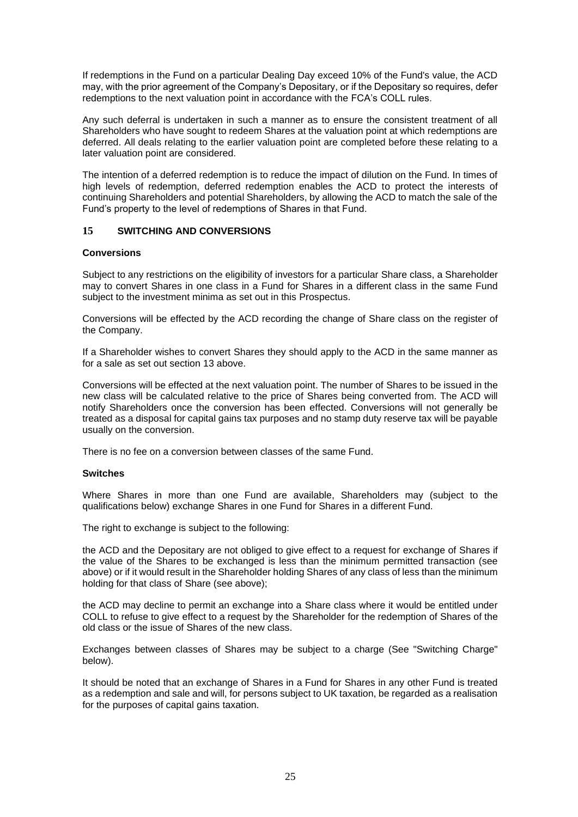If redemptions in the Fund on a particular Dealing Day exceed 10% of the Fund's value, the ACD may, with the prior agreement of the Company's Depositary, or if the Depositary so requires, defer redemptions to the next valuation point in accordance with the FCA's COLL rules.

Any such deferral is undertaken in such a manner as to ensure the consistent treatment of all Shareholders who have sought to redeem Shares at the valuation point at which redemptions are deferred. All deals relating to the earlier valuation point are completed before these relating to a later valuation point are considered.

The intention of a deferred redemption is to reduce the impact of dilution on the Fund. In times of high levels of redemption, deferred redemption enables the ACD to protect the interests of continuing Shareholders and potential Shareholders, by allowing the ACD to match the sale of the Fund's property to the level of redemptions of Shares in that Fund.

# <span id="page-25-0"></span>**15 SWITCHING AND CONVERSIONS**

# **Conversions**

Subject to any restrictions on the eligibility of investors for a particular Share class, a Shareholder may to convert Shares in one class in a Fund for Shares in a different class in the same Fund subject to the investment minima as set out in this Prospectus.

Conversions will be effected by the ACD recording the change of Share class on the register of the Company.

If a Shareholder wishes to convert Shares they should apply to the ACD in the same manner as for a sale as set out section 13 above.

Conversions will be effected at the next valuation point. The number of Shares to be issued in the new class will be calculated relative to the price of Shares being converted from. The ACD will notify Shareholders once the conversion has been effected. Conversions will not generally be treated as a disposal for capital gains tax purposes and no stamp duty reserve tax will be payable usually on the conversion.

There is no fee on a conversion between classes of the same Fund.

#### **Switches**

Where Shares in more than one Fund are available, Shareholders may (subject to the qualifications below) exchange Shares in one Fund for Shares in a different Fund.

The right to exchange is subject to the following:

the ACD and the Depositary are not obliged to give effect to a request for exchange of Shares if the value of the Shares to be exchanged is less than the minimum permitted transaction (see above) or if it would result in the Shareholder holding Shares of any class of less than the minimum holding for that class of Share (see above);

the ACD may decline to permit an exchange into a Share class where it would be entitled under COLL to refuse to give effect to a request by the Shareholder for the redemption of Shares of the old class or the issue of Shares of the new class.

Exchanges between classes of Shares may be subject to a charge (See "Switching Charge" below).

It should be noted that an exchange of Shares in a Fund for Shares in any other Fund is treated as a redemption and sale and will, for persons subject to UK taxation, be regarded as a realisation for the purposes of capital gains taxation.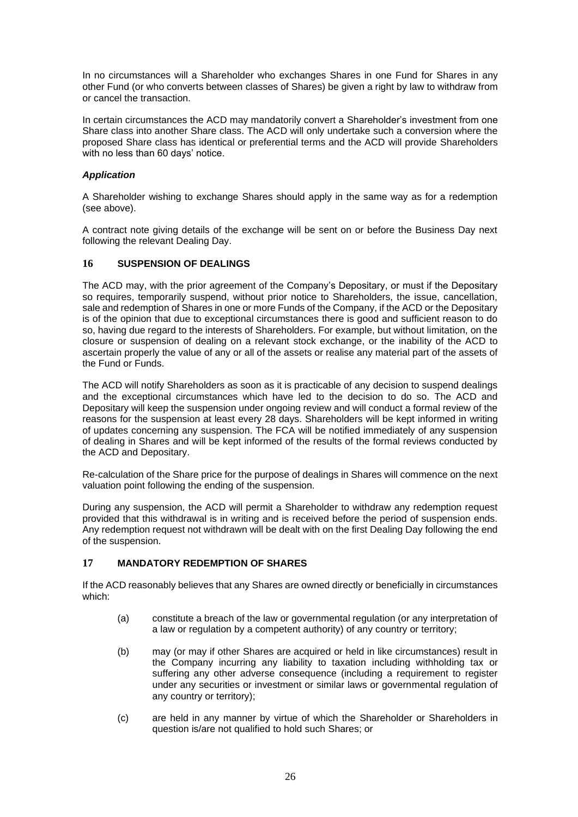In no circumstances will a Shareholder who exchanges Shares in one Fund for Shares in any other Fund (or who converts between classes of Shares) be given a right by law to withdraw from or cancel the transaction.

In certain circumstances the ACD may mandatorily convert a Shareholder's investment from one Share class into another Share class. The ACD will only undertake such a conversion where the proposed Share class has identical or preferential terms and the ACD will provide Shareholders with no less than 60 days' notice.

# *Application*

A Shareholder wishing to exchange Shares should apply in the same way as for a redemption (see above).

A contract note giving details of the exchange will be sent on or before the Business Day next following the relevant Dealing Day.

# <span id="page-26-0"></span>**16 SUSPENSION OF DEALINGS**

The ACD may, with the prior agreement of the Company's Depositary, or must if the Depositary so requires, temporarily suspend, without prior notice to Shareholders, the issue, cancellation, sale and redemption of Shares in one or more Funds of the Company, if the ACD or the Depositary is of the opinion that due to exceptional circumstances there is good and sufficient reason to do so, having due regard to the interests of Shareholders. For example, but without limitation, on the closure or suspension of dealing on a relevant stock exchange, or the inability of the ACD to ascertain properly the value of any or all of the assets or realise any material part of the assets of the Fund or Funds.

The ACD will notify Shareholders as soon as it is practicable of any decision to suspend dealings and the exceptional circumstances which have led to the decision to do so. The ACD and Depositary will keep the suspension under ongoing review and will conduct a formal review of the reasons for the suspension at least every 28 days. Shareholders will be kept informed in writing of updates concerning any suspension. The FCA will be notified immediately of any suspension of dealing in Shares and will be kept informed of the results of the formal reviews conducted by the ACD and Depositary.

Re-calculation of the Share price for the purpose of dealings in Shares will commence on the next valuation point following the ending of the suspension.

During any suspension, the ACD will permit a Shareholder to withdraw any redemption request provided that this withdrawal is in writing and is received before the period of suspension ends. Any redemption request not withdrawn will be dealt with on the first Dealing Day following the end of the suspension.

# <span id="page-26-1"></span>**17 MANDATORY REDEMPTION OF SHARES**

If the ACD reasonably believes that any Shares are owned directly or beneficially in circumstances which:

- (a) constitute a breach of the law or governmental regulation (or any interpretation of a law or regulation by a competent authority) of any country or territory;
- (b) may (or may if other Shares are acquired or held in like circumstances) result in the Company incurring any liability to taxation including withholding tax or suffering any other adverse consequence (including a requirement to register under any securities or investment or similar laws or governmental regulation of any country or territory);
- (c) are held in any manner by virtue of which the Shareholder or Shareholders in question is/are not qualified to hold such Shares; or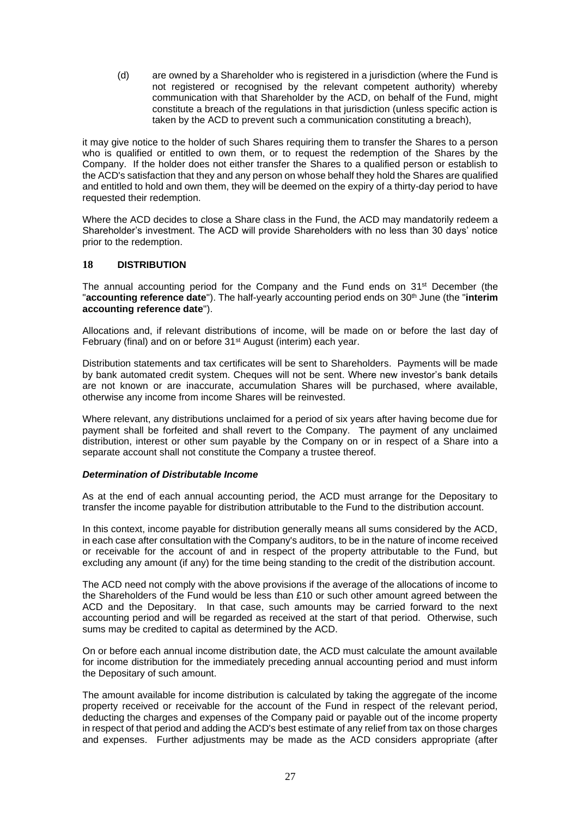(d) are owned by a Shareholder who is registered in a jurisdiction (where the Fund is not registered or recognised by the relevant competent authority) whereby communication with that Shareholder by the ACD, on behalf of the Fund, might constitute a breach of the regulations in that jurisdiction (unless specific action is taken by the ACD to prevent such a communication constituting a breach),

it may give notice to the holder of such Shares requiring them to transfer the Shares to a person who is qualified or entitled to own them, or to request the redemption of the Shares by the Company. If the holder does not either transfer the Shares to a qualified person or establish to the ACD's satisfaction that they and any person on whose behalf they hold the Shares are qualified and entitled to hold and own them, they will be deemed on the expiry of a thirty-day period to have requested their redemption.

Where the ACD decides to close a Share class in the Fund, the ACD may mandatorily redeem a Shareholder's investment. The ACD will provide Shareholders with no less than 30 days' notice prior to the redemption.

# <span id="page-27-0"></span>**18 DISTRIBUTION**

The annual accounting period for the Company and the Fund ends on 31<sup>st</sup> December (the "accounting reference date"). The half-yearly accounting period ends on 30<sup>th</sup> June (the "interim **accounting reference date**").

Allocations and, if relevant distributions of income, will be made on or before the last day of February (final) and on or before 31<sup>st</sup> August (interim) each year.

Distribution statements and tax certificates will be sent to Shareholders. Payments will be made by bank automated credit system. Cheques will not be sent. Where new investor's bank details are not known or are inaccurate, accumulation Shares will be purchased, where available, otherwise any income from income Shares will be reinvested.

Where relevant, any distributions unclaimed for a period of six years after having become due for payment shall be forfeited and shall revert to the Company. The payment of any unclaimed distribution, interest or other sum payable by the Company on or in respect of a Share into a separate account shall not constitute the Company a trustee thereof.

#### *Determination of Distributable Income*

As at the end of each annual accounting period, the ACD must arrange for the Depositary to transfer the income payable for distribution attributable to the Fund to the distribution account.

In this context, income payable for distribution generally means all sums considered by the ACD, in each case after consultation with the Company's auditors, to be in the nature of income received or receivable for the account of and in respect of the property attributable to the Fund, but excluding any amount (if any) for the time being standing to the credit of the distribution account.

The ACD need not comply with the above provisions if the average of the allocations of income to the Shareholders of the Fund would be less than £10 or such other amount agreed between the ACD and the Depositary. In that case, such amounts may be carried forward to the next accounting period and will be regarded as received at the start of that period. Otherwise, such sums may be credited to capital as determined by the ACD.

On or before each annual income distribution date, the ACD must calculate the amount available for income distribution for the immediately preceding annual accounting period and must inform the Depositary of such amount.

The amount available for income distribution is calculated by taking the aggregate of the income property received or receivable for the account of the Fund in respect of the relevant period, deducting the charges and expenses of the Company paid or payable out of the income property in respect of that period and adding the ACD's best estimate of any relief from tax on those charges and expenses. Further adjustments may be made as the ACD considers appropriate (after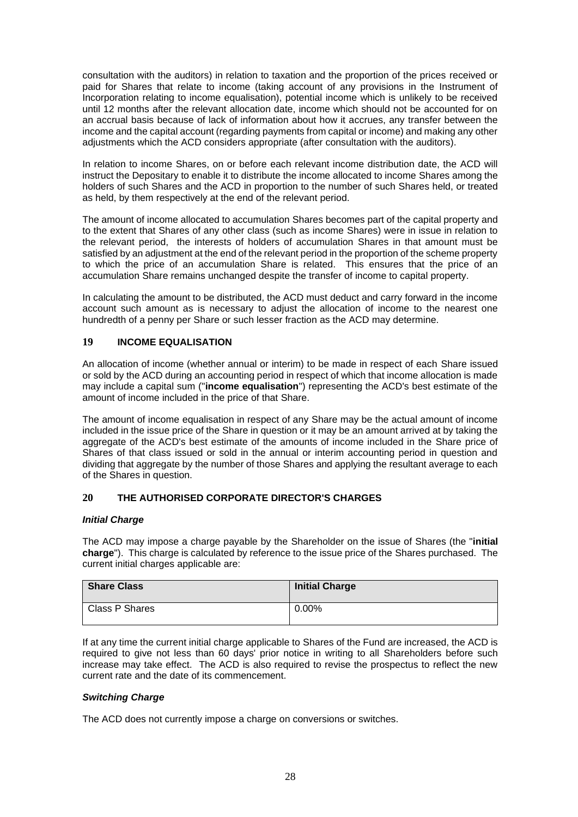consultation with the auditors) in relation to taxation and the proportion of the prices received or paid for Shares that relate to income (taking account of any provisions in the Instrument of Incorporation relating to income equalisation), potential income which is unlikely to be received until 12 months after the relevant allocation date, income which should not be accounted for on an accrual basis because of lack of information about how it accrues, any transfer between the income and the capital account (regarding payments from capital or income) and making any other adjustments which the ACD considers appropriate (after consultation with the auditors).

In relation to income Shares, on or before each relevant income distribution date, the ACD will instruct the Depositary to enable it to distribute the income allocated to income Shares among the holders of such Shares and the ACD in proportion to the number of such Shares held, or treated as held, by them respectively at the end of the relevant period.

The amount of income allocated to accumulation Shares becomes part of the capital property and to the extent that Shares of any other class (such as income Shares) were in issue in relation to the relevant period, the interests of holders of accumulation Shares in that amount must be satisfied by an adjustment at the end of the relevant period in the proportion of the scheme property to which the price of an accumulation Share is related. This ensures that the price of an accumulation Share remains unchanged despite the transfer of income to capital property.

In calculating the amount to be distributed, the ACD must deduct and carry forward in the income account such amount as is necessary to adjust the allocation of income to the nearest one hundredth of a penny per Share or such lesser fraction as the ACD may determine.

# <span id="page-28-0"></span>**19 INCOME EQUALISATION**

An allocation of income (whether annual or interim) to be made in respect of each Share issued or sold by the ACD during an accounting period in respect of which that income allocation is made may include a capital sum ("**income equalisation**") representing the ACD's best estimate of the amount of income included in the price of that Share.

The amount of income equalisation in respect of any Share may be the actual amount of income included in the issue price of the Share in question or it may be an amount arrived at by taking the aggregate of the ACD's best estimate of the amounts of income included in the Share price of Shares of that class issued or sold in the annual or interim accounting period in question and dividing that aggregate by the number of those Shares and applying the resultant average to each of the Shares in question.

# <span id="page-28-1"></span>**20 THE AUTHORISED CORPORATE DIRECTOR'S CHARGES**

# *Initial Charge*

The ACD may impose a charge payable by the Shareholder on the issue of Shares (the "**initial charge**"). This charge is calculated by reference to the issue price of the Shares purchased. The current initial charges applicable are:

| <b>Share Class</b> | <b>Initial Charge</b> |
|--------------------|-----------------------|
| Class P Shares     | $0.00\%$              |

If at any time the current initial charge applicable to Shares of the Fund are increased, the ACD is required to give not less than 60 days' prior notice in writing to all Shareholders before such increase may take effect. The ACD is also required to revise the prospectus to reflect the new current rate and the date of its commencement.

# *Switching Charge*

The ACD does not currently impose a charge on conversions or switches.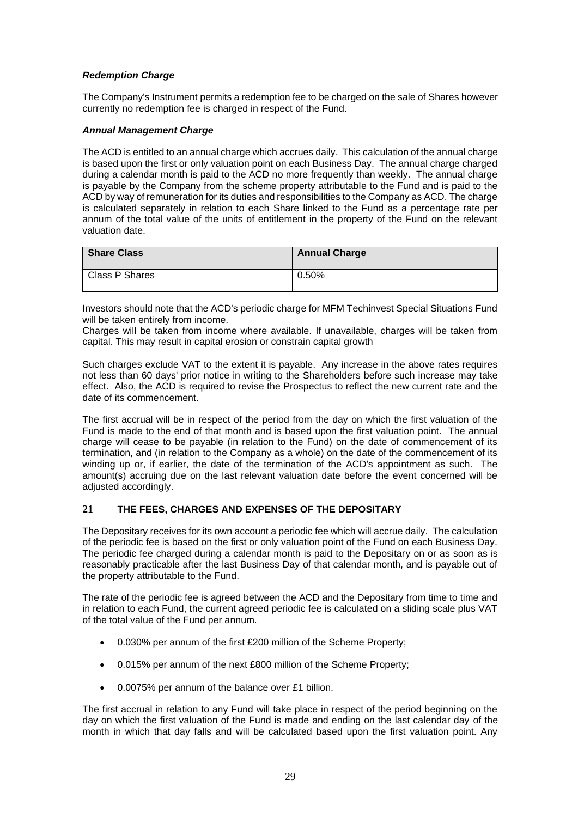# *Redemption Charge*

The Company's Instrument permits a redemption fee to be charged on the sale of Shares however currently no redemption fee is charged in respect of the Fund.

# *Annual Management Charge*

The ACD is entitled to an annual charge which accrues daily. This calculation of the annual charge is based upon the first or only valuation point on each Business Day. The annual charge charged during a calendar month is paid to the ACD no more frequently than weekly. The annual charge is payable by the Company from the scheme property attributable to the Fund and is paid to the ACD by way of remuneration for its duties and responsibilities to the Company as ACD. The charge is calculated separately in relation to each Share linked to the Fund as a percentage rate per annum of the total value of the units of entitlement in the property of the Fund on the relevant valuation date.

| <b>Share Class</b> | <b>Annual Charge</b> |
|--------------------|----------------------|
| l Class P Shares   | 0.50%                |

Investors should note that the ACD's periodic charge for MFM Techinvest Special Situations Fund will be taken entirely from income.

Charges will be taken from income where available. If unavailable, charges will be taken from capital. This may result in capital erosion or constrain capital growth

Such charges exclude VAT to the extent it is payable. Any increase in the above rates requires not less than 60 days' prior notice in writing to the Shareholders before such increase may take effect. Also, the ACD is required to revise the Prospectus to reflect the new current rate and the date of its commencement.

The first accrual will be in respect of the period from the day on which the first valuation of the Fund is made to the end of that month and is based upon the first valuation point. The annual charge will cease to be payable (in relation to the Fund) on the date of commencement of its termination, and (in relation to the Company as a whole) on the date of the commencement of its winding up or, if earlier, the date of the termination of the ACD's appointment as such. The amount(s) accruing due on the last relevant valuation date before the event concerned will be adjusted accordingly.

# <span id="page-29-0"></span>**21 THE FEES, CHARGES AND EXPENSES OF THE DEPOSITARY**

The Depositary receives for its own account a periodic fee which will accrue daily. The calculation of the periodic fee is based on the first or only valuation point of the Fund on each Business Day. The periodic fee charged during a calendar month is paid to the Depositary on or as soon as is reasonably practicable after the last Business Day of that calendar month, and is payable out of the property attributable to the Fund.

The rate of the periodic fee is agreed between the ACD and the Depositary from time to time and in relation to each Fund, the current agreed periodic fee is calculated on a sliding scale plus VAT of the total value of the Fund per annum.

- 0.030% per annum of the first £200 million of the Scheme Property;
- 0.015% per annum of the next £800 million of the Scheme Property;
- 0.0075% per annum of the balance over £1 billion.

The first accrual in relation to any Fund will take place in respect of the period beginning on the day on which the first valuation of the Fund is made and ending on the last calendar day of the month in which that day falls and will be calculated based upon the first valuation point. Any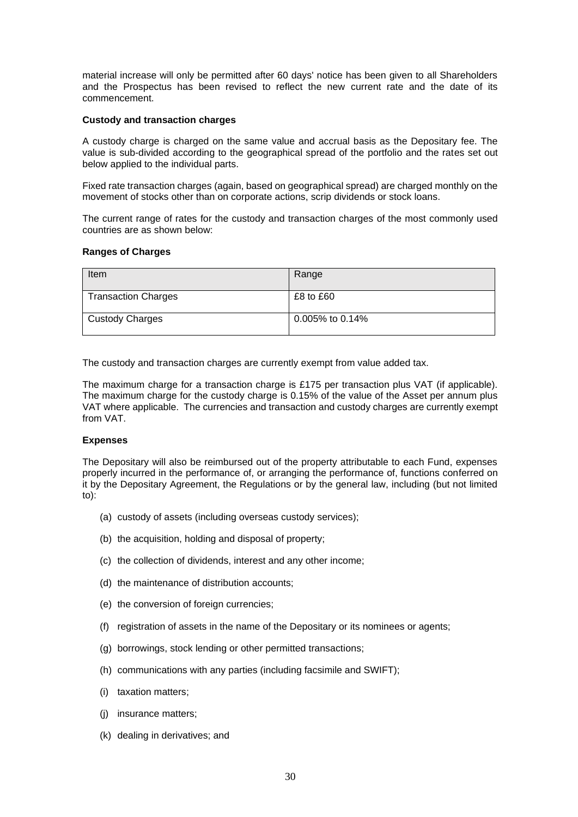material increase will only be permitted after 60 days' notice has been given to all Shareholders and the Prospectus has been revised to reflect the new current rate and the date of its commencement.

#### **Custody and transaction charges**

A custody charge is charged on the same value and accrual basis as the Depositary fee. The value is sub-divided according to the geographical spread of the portfolio and the rates set out below applied to the individual parts.

Fixed rate transaction charges (again, based on geographical spread) are charged monthly on the movement of stocks other than on corporate actions, scrip dividends or stock loans.

The current range of rates for the custody and transaction charges of the most commonly used countries are as shown below:

# **Ranges of Charges**

| Item                       | Range              |
|----------------------------|--------------------|
| <b>Transaction Charges</b> | $£8$ to $£60$      |
| <b>Custody Charges</b>     | $0.005\%$ to 0.14% |

The custody and transaction charges are currently exempt from value added tax.

The maximum charge for a transaction charge is £175 per transaction plus VAT (if applicable). The maximum charge for the custody charge is 0.15% of the value of the Asset per annum plus VAT where applicable. The currencies and transaction and custody charges are currently exempt from VAT.

#### **Expenses**

The Depositary will also be reimbursed out of the property attributable to each Fund, expenses properly incurred in the performance of, or arranging the performance of, functions conferred on it by the Depositary Agreement, the Regulations or by the general law, including (but not limited to):

- (a) custody of assets (including overseas custody services);
- (b) the acquisition, holding and disposal of property;
- (c) the collection of dividends, interest and any other income;
- (d) the maintenance of distribution accounts;
- (e) the conversion of foreign currencies;
- (f) registration of assets in the name of the Depositary or its nominees or agents;
- (g) borrowings, stock lending or other permitted transactions;
- (h) communications with any parties (including facsimile and SWIFT);
- (i) taxation matters;
- (j) insurance matters;
- (k) dealing in derivatives; and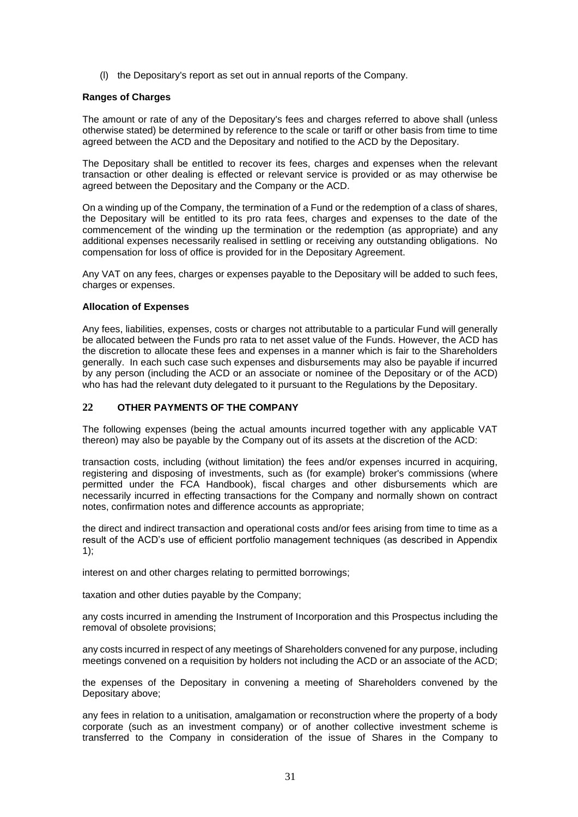(l) the Depositary's report as set out in annual reports of the Company.

# **Ranges of Charges**

The amount or rate of any of the Depositary's fees and charges referred to above shall (unless otherwise stated) be determined by reference to the scale or tariff or other basis from time to time agreed between the ACD and the Depositary and notified to the ACD by the Depositary.

The Depositary shall be entitled to recover its fees, charges and expenses when the relevant transaction or other dealing is effected or relevant service is provided or as may otherwise be agreed between the Depositary and the Company or the ACD.

On a winding up of the Company, the termination of a Fund or the redemption of a class of shares, the Depositary will be entitled to its pro rata fees, charges and expenses to the date of the commencement of the winding up the termination or the redemption (as appropriate) and any additional expenses necessarily realised in settling or receiving any outstanding obligations. No compensation for loss of office is provided for in the Depositary Agreement.

Any VAT on any fees, charges or expenses payable to the Depositary will be added to such fees, charges or expenses.

#### **Allocation of Expenses**

Any fees, liabilities, expenses, costs or charges not attributable to a particular Fund will generally be allocated between the Funds pro rata to net asset value of the Funds. However, the ACD has the discretion to allocate these fees and expenses in a manner which is fair to the Shareholders generally. In each such case such expenses and disbursements may also be payable if incurred by any person (including the ACD or an associate or nominee of the Depositary or of the ACD) who has had the relevant duty delegated to it pursuant to the Regulations by the Depositary.

# <span id="page-31-0"></span>**22 OTHER PAYMENTS OF THE COMPANY**

The following expenses (being the actual amounts incurred together with any applicable VAT thereon) may also be payable by the Company out of its assets at the discretion of the ACD:

transaction costs, including (without limitation) the fees and/or expenses incurred in acquiring, registering and disposing of investments, such as (for example) broker's commissions (where permitted under the FCA Handbook), fiscal charges and other disbursements which are necessarily incurred in effecting transactions for the Company and normally shown on contract notes, confirmation notes and difference accounts as appropriate;

the direct and indirect transaction and operational costs and/or fees arising from time to time as a result of the ACD's use of efficient portfolio management techniques (as described in Appendix 1);

interest on and other charges relating to permitted borrowings;

taxation and other duties payable by the Company;

any costs incurred in amending the Instrument of Incorporation and this Prospectus including the removal of obsolete provisions;

any costs incurred in respect of any meetings of Shareholders convened for any purpose, including meetings convened on a requisition by holders not including the ACD or an associate of the ACD;

the expenses of the Depositary in convening a meeting of Shareholders convened by the Depositary above;

any fees in relation to a unitisation, amalgamation or reconstruction where the property of a body corporate (such as an investment company) or of another collective investment scheme is transferred to the Company in consideration of the issue of Shares in the Company to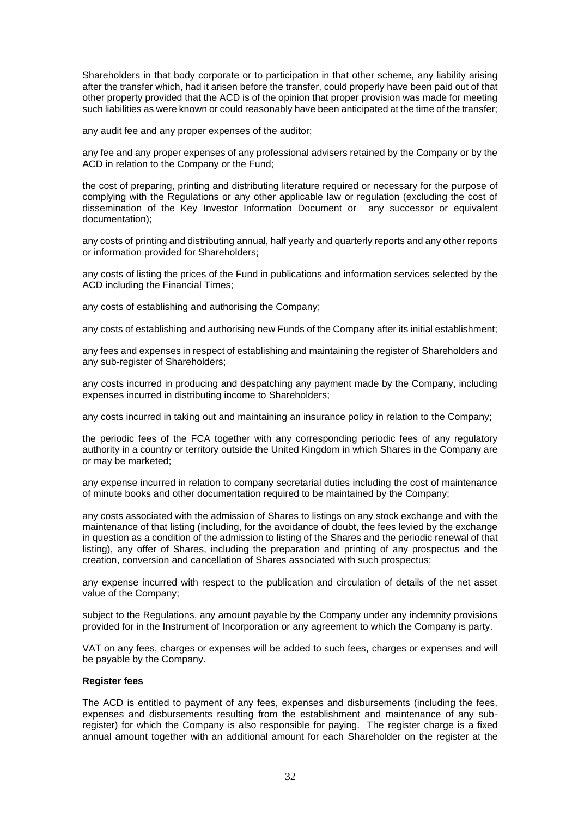Shareholders in that body corporate or to participation in that other scheme, any liability arising after the transfer which, had it arisen before the transfer, could properly have been paid out of that other property provided that the ACD is of the opinion that proper provision was made for meeting such liabilities as were known or could reasonably have been anticipated at the time of the transfer;

any audit fee and any proper expenses of the auditor;

any fee and any proper expenses of any professional advisers retained by the Company or by the ACD in relation to the Company or the Fund;

the cost of preparing, printing and distributing literature required or necessary for the purpose of complying with the Regulations or any other applicable law or regulation (excluding the cost of dissemination of the Key Investor Information Document or any successor or equivalent documentation);

any costs of printing and distributing annual, half yearly and quarterly reports and any other reports or information provided for Shareholders;

any costs of listing the prices of the Fund in publications and information services selected by the ACD including the Financial Times;

any costs of establishing and authorising the Company;

any costs of establishing and authorising new Funds of the Company after its initial establishment;

any fees and expenses in respect of establishing and maintaining the register of Shareholders and any sub-register of Shareholders;

any costs incurred in producing and despatching any payment made by the Company, including expenses incurred in distributing income to Shareholders;

any costs incurred in taking out and maintaining an insurance policy in relation to the Company;

the periodic fees of the FCA together with any corresponding periodic fees of any regulatory authority in a country or territory outside the United Kingdom in which Shares in the Company are or may be marketed;

any expense incurred in relation to company secretarial duties including the cost of maintenance of minute books and other documentation required to be maintained by the Company;

any costs associated with the admission of Shares to listings on any stock exchange and with the maintenance of that listing (including, for the avoidance of doubt, the fees levied by the exchange in question as a condition of the admission to listing of the Shares and the periodic renewal of that listing), any offer of Shares, including the preparation and printing of any prospectus and the creation, conversion and cancellation of Shares associated with such prospectus;

any expense incurred with respect to the publication and circulation of details of the net asset value of the Company;

subject to the Regulations, any amount payable by the Company under any indemnity provisions provided for in the Instrument of Incorporation or any agreement to which the Company is party.

VAT on any fees, charges or expenses will be added to such fees, charges or expenses and will be payable by the Company.

#### **Register fees**

The ACD is entitled to payment of any fees, expenses and disbursements (including the fees, expenses and disbursements resulting from the establishment and maintenance of any subregister) for which the Company is also responsible for paying. The register charge is a fixed annual amount together with an additional amount for each Shareholder on the register at the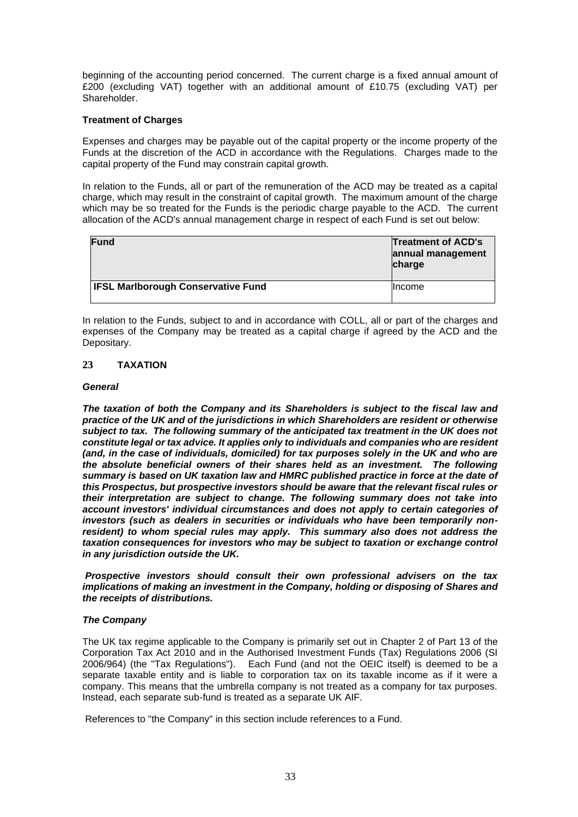beginning of the accounting period concerned. The current charge is a fixed annual amount of £200 (excluding VAT) together with an additional amount of £10.75 (excluding VAT) per Shareholder.

# **Treatment of Charges**

Expenses and charges may be payable out of the capital property or the income property of the Funds at the discretion of the ACD in accordance with the Regulations. Charges made to the capital property of the Fund may constrain capital growth.

In relation to the Funds, all or part of the remuneration of the ACD may be treated as a capital charge, which may result in the constraint of capital growth. The maximum amount of the charge which may be so treated for the Funds is the periodic charge payable to the ACD. The current allocation of the ACD's annual management charge in respect of each Fund is set out below:

| Fund                                      | <b>Treatment of ACD's</b><br>annual management<br>charge |
|-------------------------------------------|----------------------------------------------------------|
| <b>IFSL Marlborough Conservative Fund</b> | <b>Income</b>                                            |

In relation to the Funds, subject to and in accordance with COLL, all or part of the charges and expenses of the Company may be treated as a capital charge if agreed by the ACD and the Depositary.

# <span id="page-33-0"></span>**23 TAXATION**

# *General*

*The taxation of both the Company and its Shareholders is subject to the fiscal law and practice of the UK and of the jurisdictions in which Shareholders are resident or otherwise subject to tax. The following summary of the anticipated tax treatment in the UK does not constitute legal or tax advice. It applies only to individuals and companies who are resident (and, in the case of individuals, domiciled) for tax purposes solely in the UK and who are the absolute beneficial owners of their shares held as an investment. The following summary is based on UK taxation law and HMRC published practice in force at the date of this Prospectus, but prospective investors should be aware that the relevant fiscal rules or their interpretation are subject to change. The following summary does not take into account investors' individual circumstances and does not apply to certain categories of investors (such as dealers in securities or individuals who have been temporarily nonresident) to whom special rules may apply. This summary also does not address the taxation consequences for investors who may be subject to taxation or exchange control in any jurisdiction outside the UK.*

*Prospective investors should consult their own professional advisers on the tax implications of making an investment in the Company, holding or disposing of Shares and the receipts of distributions.* 

# *The Company*

The UK tax regime applicable to the Company is primarily set out in Chapter 2 of Part 13 of the Corporation Tax Act 2010 and in the Authorised Investment Funds (Tax) Regulations 2006 (SI 2006/964) (the "Tax Regulations"). Each Fund (and not the OEIC itself) is deemed to be a separate taxable entity and is liable to corporation tax on its taxable income as if it were a company. This means that the umbrella company is not treated as a company for tax purposes. Instead, each separate sub-fund is treated as a separate UK AIF.

References to "the Company" in this section include references to a Fund.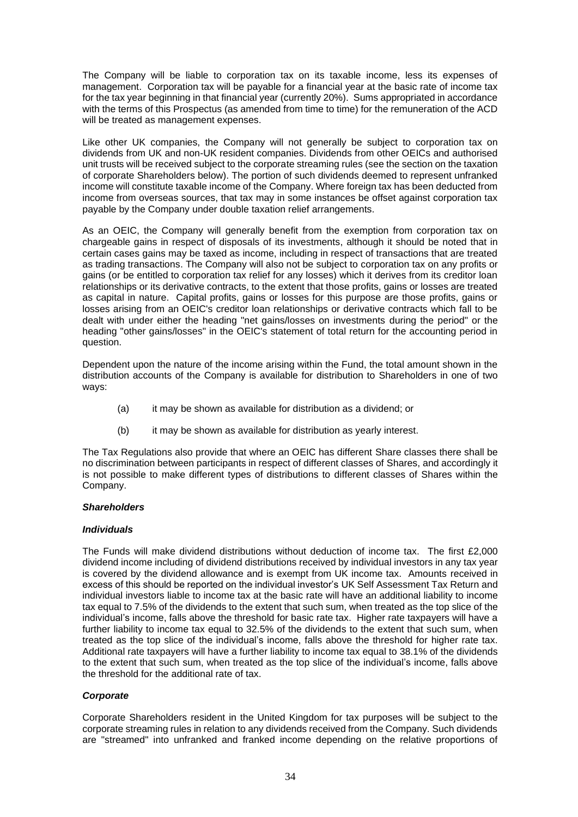The Company will be liable to corporation tax on its taxable income, less its expenses of management. Corporation tax will be payable for a financial year at the basic rate of income tax for the tax year beginning in that financial year (currently 20%). Sums appropriated in accordance with the terms of this Prospectus (as amended from time to time) for the remuneration of the ACD will be treated as management expenses.

Like other UK companies, the Company will not generally be subject to corporation tax on dividends from UK and non-UK resident companies. Dividends from other OEICs and authorised unit trusts will be received subject to the corporate streaming rules (see the section on the taxation of corporate Shareholders below). The portion of such dividends deemed to represent unfranked income will constitute taxable income of the Company. Where foreign tax has been deducted from income from overseas sources, that tax may in some instances be offset against corporation tax payable by the Company under double taxation relief arrangements.

As an OEIC, the Company will generally benefit from the exemption from corporation tax on chargeable gains in respect of disposals of its investments, although it should be noted that in certain cases gains may be taxed as income, including in respect of transactions that are treated as trading transactions. The Company will also not be subject to corporation tax on any profits or gains (or be entitled to corporation tax relief for any losses) which it derives from its creditor loan relationships or its derivative contracts, to the extent that those profits, gains or losses are treated as capital in nature. Capital profits, gains or losses for this purpose are those profits, gains or losses arising from an OEIC's creditor loan relationships or derivative contracts which fall to be dealt with under either the heading "net gains/losses on investments during the period" or the heading "other gains/losses" in the OEIC's statement of total return for the accounting period in question.

Dependent upon the nature of the income arising within the Fund, the total amount shown in the distribution accounts of the Company is available for distribution to Shareholders in one of two ways:

- (a) it may be shown as available for distribution as a dividend; or
- (b) it may be shown as available for distribution as yearly interest.

The Tax Regulations also provide that where an OEIC has different Share classes there shall be no discrimination between participants in respect of different classes of Shares, and accordingly it is not possible to make different types of distributions to different classes of Shares within the Company.

# *Shareholders*

#### *Individuals*

The Funds will make dividend distributions without deduction of income tax. The first £2,000 dividend income including of dividend distributions received by individual investors in any tax year is covered by the dividend allowance and is exempt from UK income tax. Amounts received in excess of this should be reported on the individual investor's UK Self Assessment Tax Return and individual investors liable to income tax at the basic rate will have an additional liability to income tax equal to 7.5% of the dividends to the extent that such sum, when treated as the top slice of the individual's income, falls above the threshold for basic rate tax. Higher rate taxpayers will have a further liability to income tax equal to 32.5% of the dividends to the extent that such sum, when treated as the top slice of the individual's income, falls above the threshold for higher rate tax. Additional rate taxpayers will have a further liability to income tax equal to 38.1% of the dividends to the extent that such sum, when treated as the top slice of the individual's income, falls above the threshold for the additional rate of tax.

# *Corporate*

Corporate Shareholders resident in the United Kingdom for tax purposes will be subject to the corporate streaming rules in relation to any dividends received from the Company. Such dividends are "streamed" into unfranked and franked income depending on the relative proportions of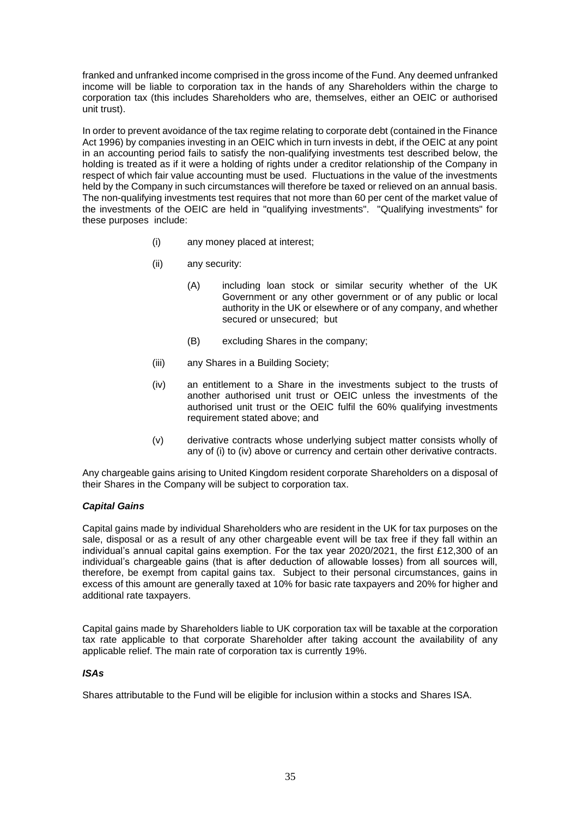franked and unfranked income comprised in the gross income of the Fund. Any deemed unfranked income will be liable to corporation tax in the hands of any Shareholders within the charge to corporation tax (this includes Shareholders who are, themselves, either an OEIC or authorised unit trust).

In order to prevent avoidance of the tax regime relating to corporate debt (contained in the Finance Act 1996) by companies investing in an OEIC which in turn invests in debt, if the OEIC at any point in an accounting period fails to satisfy the non-qualifying investments test described below, the holding is treated as if it were a holding of rights under a creditor relationship of the Company in respect of which fair value accounting must be used. Fluctuations in the value of the investments held by the Company in such circumstances will therefore be taxed or relieved on an annual basis. The non-qualifying investments test requires that not more than 60 per cent of the market value of the investments of the OEIC are held in "qualifying investments". "Qualifying investments" for these purposes include:

- (i) any money placed at interest;
- (ii) any security:
	- (A) including loan stock or similar security whether of the UK Government or any other government or of any public or local authority in the UK or elsewhere or of any company, and whether secured or unsecured; but
	- (B) excluding Shares in the company;
- (iii) any Shares in a Building Society;
- (iv) an entitlement to a Share in the investments subject to the trusts of another authorised unit trust or OEIC unless the investments of the authorised unit trust or the OEIC fulfil the 60% qualifying investments requirement stated above; and
- (v) derivative contracts whose underlying subject matter consists wholly of any of (i) to (iv) above or currency and certain other derivative contracts.

Any chargeable gains arising to United Kingdom resident corporate Shareholders on a disposal of their Shares in the Company will be subject to corporation tax.

# *Capital Gains*

Capital gains made by individual Shareholders who are resident in the UK for tax purposes on the sale, disposal or as a result of any other chargeable event will be tax free if they fall within an individual's annual capital gains exemption. For the tax year 2020/2021, the first £12,300 of an individual's chargeable gains (that is after deduction of allowable losses) from all sources will, therefore, be exempt from capital gains tax. Subject to their personal circumstances, gains in excess of this amount are generally taxed at 10% for basic rate taxpayers and 20% for higher and additional rate taxpayers.

Capital gains made by Shareholders liable to UK corporation tax will be taxable at the corporation tax rate applicable to that corporate Shareholder after taking account the availability of any applicable relief. The main rate of corporation tax is currently 19%.

# *ISAs*

Shares attributable to the Fund will be eligible for inclusion within a stocks and Shares ISA.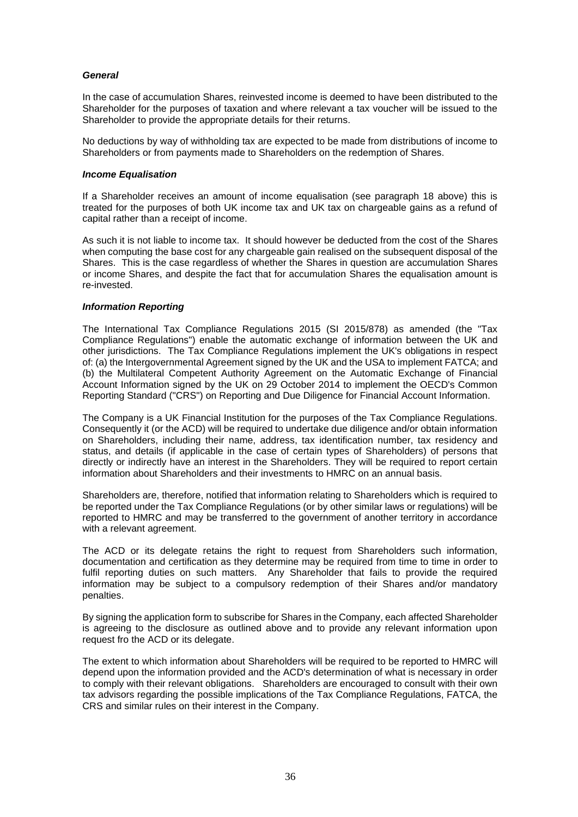# *General*

In the case of accumulation Shares, reinvested income is deemed to have been distributed to the Shareholder for the purposes of taxation and where relevant a tax voucher will be issued to the Shareholder to provide the appropriate details for their returns.

No deductions by way of withholding tax are expected to be made from distributions of income to Shareholders or from payments made to Shareholders on the redemption of Shares.

# *Income Equalisation*

If a Shareholder receives an amount of income equalisation (see paragraph 18 above) this is treated for the purposes of both UK income tax and UK tax on chargeable gains as a refund of capital rather than a receipt of income.

As such it is not liable to income tax. It should however be deducted from the cost of the Shares when computing the base cost for any chargeable gain realised on the subsequent disposal of the Shares. This is the case regardless of whether the Shares in question are accumulation Shares or income Shares, and despite the fact that for accumulation Shares the equalisation amount is re-invested.

# *Information Reporting*

The International Tax Compliance Regulations 2015 (SI 2015/878) as amended (the "Tax Compliance Regulations") enable the automatic exchange of information between the UK and other jurisdictions. The Tax Compliance Regulations implement the UK's obligations in respect of: (a) the Intergovernmental Agreement signed by the UK and the USA to implement FATCA; and (b) the Multilateral Competent Authority Agreement on the Automatic Exchange of Financial Account Information signed by the UK on 29 October 2014 to implement the OECD's Common Reporting Standard ("CRS") on Reporting and Due Diligence for Financial Account Information.

The Company is a UK Financial Institution for the purposes of the Tax Compliance Regulations. Consequently it (or the ACD) will be required to undertake due diligence and/or obtain information on Shareholders, including their name, address, tax identification number, tax residency and status, and details (if applicable in the case of certain types of Shareholders) of persons that directly or indirectly have an interest in the Shareholders. They will be required to report certain information about Shareholders and their investments to HMRC on an annual basis.

Shareholders are, therefore, notified that information relating to Shareholders which is required to be reported under the Tax Compliance Regulations (or by other similar laws or regulations) will be reported to HMRC and may be transferred to the government of another territory in accordance with a relevant agreement.

The ACD or its delegate retains the right to request from Shareholders such information, documentation and certification as they determine may be required from time to time in order to fulfil reporting duties on such matters. Any Shareholder that fails to provide the required information may be subject to a compulsory redemption of their Shares and/or mandatory penalties.

By signing the application form to subscribe for Shares in the Company, each affected Shareholder is agreeing to the disclosure as outlined above and to provide any relevant information upon request fro the ACD or its delegate.

The extent to which information about Shareholders will be required to be reported to HMRC will depend upon the information provided and the ACD's determination of what is necessary in order to comply with their relevant obligations. Shareholders are encouraged to consult with their own tax advisors regarding the possible implications of the Tax Compliance Regulations, FATCA, the CRS and similar rules on their interest in the Company.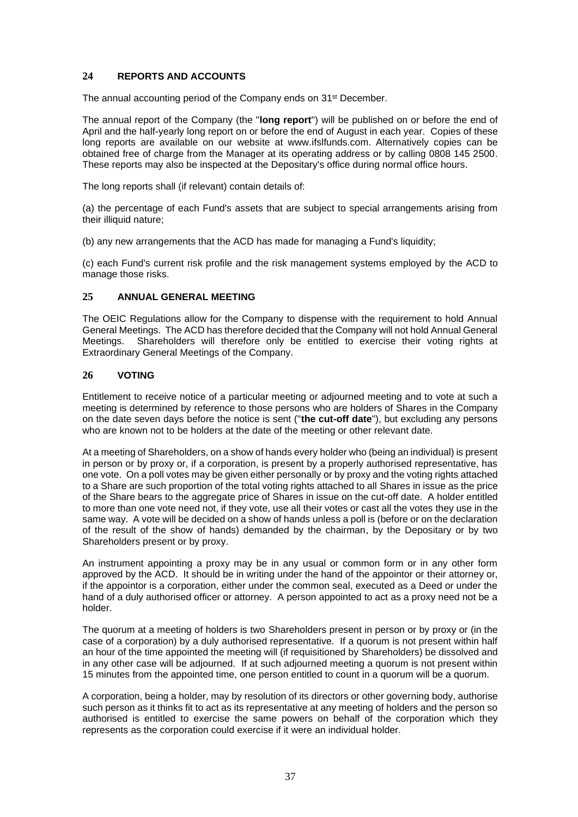# <span id="page-37-0"></span>**24 REPORTS AND ACCOUNTS**

The annual accounting period of the Company ends on 31<sup>st</sup> December.

The annual report of the Company (the "**long report**") will be published on or before the end of April and the half-yearly long report on or before the end of August in each year. Copies of these long reports are available on our website at www.ifslfunds.com. Alternatively copies can be obtained free of charge from the Manager at its operating address or by calling 0808 145 2500. These reports may also be inspected at the Depositary's office during normal office hours.

The long reports shall (if relevant) contain details of:

(a) the percentage of each Fund's assets that are subject to special arrangements arising from their illiquid nature;

(b) any new arrangements that the ACD has made for managing a Fund's liquidity;

(c) each Fund's current risk profile and the risk management systems employed by the ACD to manage those risks.

# <span id="page-37-1"></span>**25 ANNUAL GENERAL MEETING**

The OEIC Regulations allow for the Company to dispense with the requirement to hold Annual General Meetings. The ACD has therefore decided that the Company will not hold Annual General Meetings. Shareholders will therefore only be entitled to exercise their voting rights at Extraordinary General Meetings of the Company.

# <span id="page-37-2"></span>**26 VOTING**

Entitlement to receive notice of a particular meeting or adjourned meeting and to vote at such a meeting is determined by reference to those persons who are holders of Shares in the Company on the date seven days before the notice is sent ("**the cut-off date**"), but excluding any persons who are known not to be holders at the date of the meeting or other relevant date.

At a meeting of Shareholders, on a show of hands every holder who (being an individual) is present in person or by proxy or, if a corporation, is present by a properly authorised representative, has one vote. On a poll votes may be given either personally or by proxy and the voting rights attached to a Share are such proportion of the total voting rights attached to all Shares in issue as the price of the Share bears to the aggregate price of Shares in issue on the cut-off date. A holder entitled to more than one vote need not, if they vote, use all their votes or cast all the votes they use in the same way. A vote will be decided on a show of hands unless a poll is (before or on the declaration of the result of the show of hands) demanded by the chairman, by the Depositary or by two Shareholders present or by proxy.

An instrument appointing a proxy may be in any usual or common form or in any other form approved by the ACD. It should be in writing under the hand of the appointor or their attorney or, if the appointor is a corporation, either under the common seal, executed as a Deed or under the hand of a duly authorised officer or attorney. A person appointed to act as a proxy need not be a holder.

The quorum at a meeting of holders is two Shareholders present in person or by proxy or (in the case of a corporation) by a duly authorised representative. If a quorum is not present within half an hour of the time appointed the meeting will (if requisitioned by Shareholders) be dissolved and in any other case will be adjourned. If at such adjourned meeting a quorum is not present within 15 minutes from the appointed time, one person entitled to count in a quorum will be a quorum.

A corporation, being a holder, may by resolution of its directors or other governing body, authorise such person as it thinks fit to act as its representative at any meeting of holders and the person so authorised is entitled to exercise the same powers on behalf of the corporation which they represents as the corporation could exercise if it were an individual holder.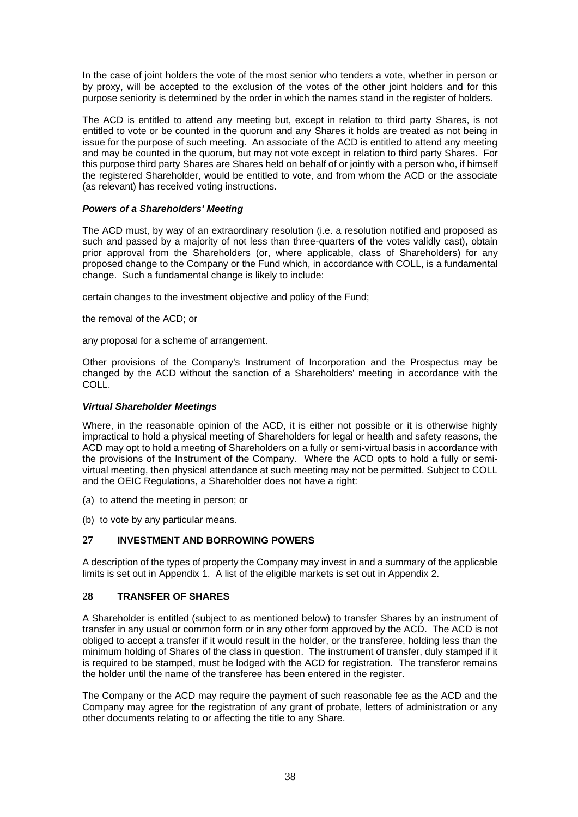In the case of joint holders the vote of the most senior who tenders a vote, whether in person or by proxy, will be accepted to the exclusion of the votes of the other joint holders and for this purpose seniority is determined by the order in which the names stand in the register of holders.

The ACD is entitled to attend any meeting but, except in relation to third party Shares, is not entitled to vote or be counted in the quorum and any Shares it holds are treated as not being in issue for the purpose of such meeting. An associate of the ACD is entitled to attend any meeting and may be counted in the quorum, but may not vote except in relation to third party Shares. For this purpose third party Shares are Shares held on behalf of or jointly with a person who, if himself the registered Shareholder, would be entitled to vote, and from whom the ACD or the associate (as relevant) has received voting instructions.

# *Powers of a Shareholders' Meeting*

The ACD must, by way of an extraordinary resolution (i.e. a resolution notified and proposed as such and passed by a majority of not less than three-quarters of the votes validly cast), obtain prior approval from the Shareholders (or, where applicable, class of Shareholders) for any proposed change to the Company or the Fund which, in accordance with COLL, is a fundamental change. Such a fundamental change is likely to include:

certain changes to the investment objective and policy of the Fund;

the removal of the ACD; or

any proposal for a scheme of arrangement.

Other provisions of the Company's Instrument of Incorporation and the Prospectus may be changed by the ACD without the sanction of a Shareholders' meeting in accordance with the COLL.

# *Virtual Shareholder Meetings*

Where, in the reasonable opinion of the ACD, it is either not possible or it is otherwise highly impractical to hold a physical meeting of Shareholders for legal or health and safety reasons, the ACD may opt to hold a meeting of Shareholders on a fully or semi-virtual basis in accordance with the provisions of the Instrument of the Company. Where the ACD opts to hold a fully or semivirtual meeting, then physical attendance at such meeting may not be permitted. Subject to COLL and the OEIC Regulations, a Shareholder does not have a right:

- (a) to attend the meeting in person; or
- (b) to vote by any particular means.

# <span id="page-38-0"></span>**27 INVESTMENT AND BORROWING POWERS**

A description of the types of property the Company may invest in and a summary of the applicable limits is set out in Appendix 1. A list of the eligible markets is set out in Appendix 2.

# <span id="page-38-1"></span>**28 TRANSFER OF SHARES**

A Shareholder is entitled (subject to as mentioned below) to transfer Shares by an instrument of transfer in any usual or common form or in any other form approved by the ACD. The ACD is not obliged to accept a transfer if it would result in the holder, or the transferee, holding less than the minimum holding of Shares of the class in question. The instrument of transfer, duly stamped if it is required to be stamped, must be lodged with the ACD for registration. The transferor remains the holder until the name of the transferee has been entered in the register.

The Company or the ACD may require the payment of such reasonable fee as the ACD and the Company may agree for the registration of any grant of probate, letters of administration or any other documents relating to or affecting the title to any Share.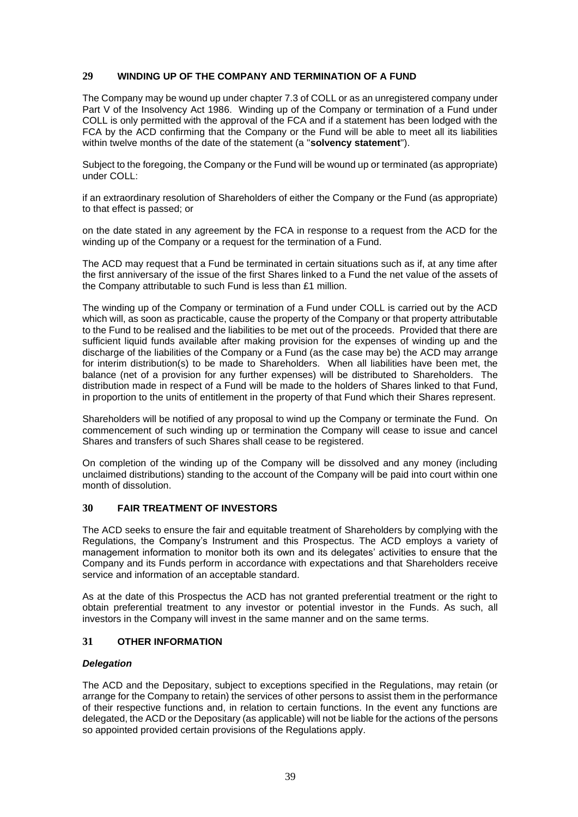# <span id="page-39-0"></span>**29 WINDING UP OF THE COMPANY AND TERMINATION OF A FUND**

The Company may be wound up under chapter 7.3 of COLL or as an unregistered company under Part V of the Insolvency Act 1986. Winding up of the Company or termination of a Fund under COLL is only permitted with the approval of the FCA and if a statement has been lodged with the FCA by the ACD confirming that the Company or the Fund will be able to meet all its liabilities within twelve months of the date of the statement (a "**solvency statement**").

Subject to the foregoing, the Company or the Fund will be wound up or terminated (as appropriate) under COLL:

if an extraordinary resolution of Shareholders of either the Company or the Fund (as appropriate) to that effect is passed; or

on the date stated in any agreement by the FCA in response to a request from the ACD for the winding up of the Company or a request for the termination of a Fund.

The ACD may request that a Fund be terminated in certain situations such as if, at any time after the first anniversary of the issue of the first Shares linked to a Fund the net value of the assets of the Company attributable to such Fund is less than £1 million.

The winding up of the Company or termination of a Fund under COLL is carried out by the ACD which will, as soon as practicable, cause the property of the Company or that property attributable to the Fund to be realised and the liabilities to be met out of the proceeds. Provided that there are sufficient liquid funds available after making provision for the expenses of winding up and the discharge of the liabilities of the Company or a Fund (as the case may be) the ACD may arrange for interim distribution(s) to be made to Shareholders. When all liabilities have been met, the balance (net of a provision for any further expenses) will be distributed to Shareholders. The distribution made in respect of a Fund will be made to the holders of Shares linked to that Fund, in proportion to the units of entitlement in the property of that Fund which their Shares represent.

Shareholders will be notified of any proposal to wind up the Company or terminate the Fund. On commencement of such winding up or termination the Company will cease to issue and cancel Shares and transfers of such Shares shall cease to be registered.

On completion of the winding up of the Company will be dissolved and any money (including unclaimed distributions) standing to the account of the Company will be paid into court within one month of dissolution.

# <span id="page-39-1"></span>**30 FAIR TREATMENT OF INVESTORS**

The ACD seeks to ensure the fair and equitable treatment of Shareholders by complying with the Regulations, the Company's Instrument and this Prospectus. The ACD employs a variety of management information to monitor both its own and its delegates' activities to ensure that the Company and its Funds perform in accordance with expectations and that Shareholders receive service and information of an acceptable standard.

As at the date of this Prospectus the ACD has not granted preferential treatment or the right to obtain preferential treatment to any investor or potential investor in the Funds. As such, all investors in the Company will invest in the same manner and on the same terms.

# <span id="page-39-2"></span>**31 OTHER INFORMATION**

# *Delegation*

The ACD and the Depositary, subject to exceptions specified in the Regulations, may retain (or arrange for the Company to retain) the services of other persons to assist them in the performance of their respective functions and, in relation to certain functions. In the event any functions are delegated, the ACD or the Depositary (as applicable) will not be liable for the actions of the persons so appointed provided certain provisions of the Regulations apply.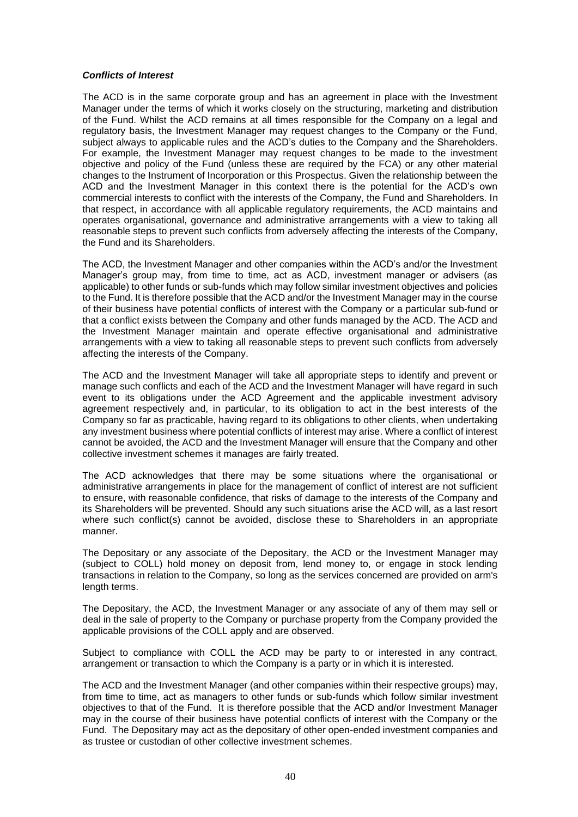# *Conflicts of Interest*

The ACD is in the same corporate group and has an agreement in place with the Investment Manager under the terms of which it works closely on the structuring, marketing and distribution of the Fund. Whilst the ACD remains at all times responsible for the Company on a legal and regulatory basis, the Investment Manager may request changes to the Company or the Fund, subject always to applicable rules and the ACD's duties to the Company and the Shareholders. For example, the Investment Manager may request changes to be made to the investment objective and policy of the Fund (unless these are required by the FCA) or any other material changes to the Instrument of Incorporation or this Prospectus. Given the relationship between the ACD and the Investment Manager in this context there is the potential for the ACD's own commercial interests to conflict with the interests of the Company, the Fund and Shareholders. In that respect, in accordance with all applicable regulatory requirements, the ACD maintains and operates organisational, governance and administrative arrangements with a view to taking all reasonable steps to prevent such conflicts from adversely affecting the interests of the Company, the Fund and its Shareholders.

The ACD, the Investment Manager and other companies within the ACD's and/or the Investment Manager's group may, from time to time, act as ACD, investment manager or advisers (as applicable) to other funds or sub-funds which may follow similar investment objectives and policies to the Fund. It is therefore possible that the ACD and/or the Investment Manager may in the course of their business have potential conflicts of interest with the Company or a particular sub-fund or that a conflict exists between the Company and other funds managed by the ACD. The ACD and the Investment Manager maintain and operate effective organisational and administrative arrangements with a view to taking all reasonable steps to prevent such conflicts from adversely affecting the interests of the Company.

The ACD and the Investment Manager will take all appropriate steps to identify and prevent or manage such conflicts and each of the ACD and the Investment Manager will have regard in such event to its obligations under the ACD Agreement and the applicable investment advisory agreement respectively and, in particular, to its obligation to act in the best interests of the Company so far as practicable, having regard to its obligations to other clients, when undertaking any investment business where potential conflicts of interest may arise. Where a conflict of interest cannot be avoided, the ACD and the Investment Manager will ensure that the Company and other collective investment schemes it manages are fairly treated.

The ACD acknowledges that there may be some situations where the organisational or administrative arrangements in place for the management of conflict of interest are not sufficient to ensure, with reasonable confidence, that risks of damage to the interests of the Company and its Shareholders will be prevented. Should any such situations arise the ACD will, as a last resort where such conflict(s) cannot be avoided, disclose these to Shareholders in an appropriate manner.

The Depositary or any associate of the Depositary, the ACD or the Investment Manager may (subject to COLL) hold money on deposit from, lend money to, or engage in stock lending transactions in relation to the Company, so long as the services concerned are provided on arm's length terms.

The Depositary, the ACD, the Investment Manager or any associate of any of them may sell or deal in the sale of property to the Company or purchase property from the Company provided the applicable provisions of the COLL apply and are observed.

Subject to compliance with COLL the ACD may be party to or interested in any contract, arrangement or transaction to which the Company is a party or in which it is interested.

The ACD and the Investment Manager (and other companies within their respective groups) may, from time to time, act as managers to other funds or sub-funds which follow similar investment objectives to that of the Fund. It is therefore possible that the ACD and/or Investment Manager may in the course of their business have potential conflicts of interest with the Company or the Fund. The Depositary may act as the depositary of other open-ended investment companies and as trustee or custodian of other collective investment schemes.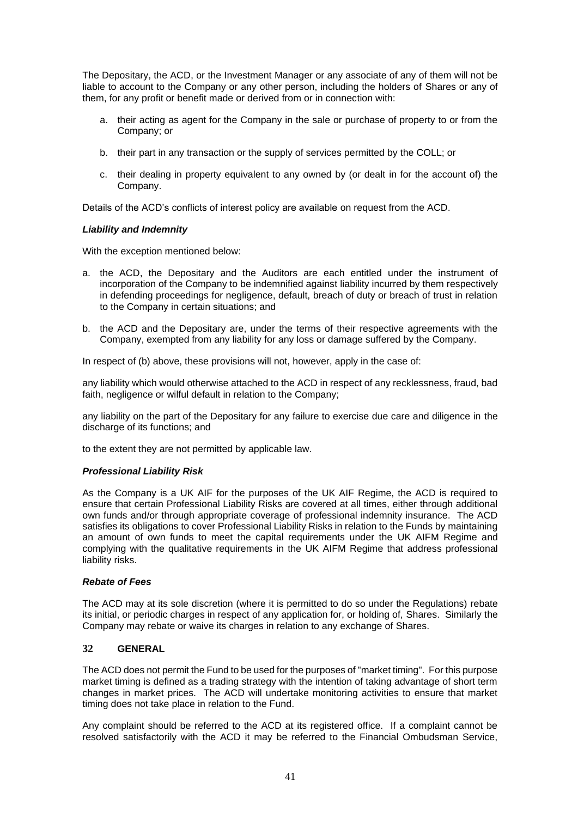The Depositary, the ACD, or the Investment Manager or any associate of any of them will not be liable to account to the Company or any other person, including the holders of Shares or any of them, for any profit or benefit made or derived from or in connection with:

- a. their acting as agent for the Company in the sale or purchase of property to or from the Company; or
- b. their part in any transaction or the supply of services permitted by the COLL; or
- c. their dealing in property equivalent to any owned by (or dealt in for the account of) the Company.

Details of the ACD's conflicts of interest policy are available on request from the ACD.

# *Liability and Indemnity*

With the exception mentioned below:

- a. the ACD, the Depositary and the Auditors are each entitled under the instrument of incorporation of the Company to be indemnified against liability incurred by them respectively in defending proceedings for negligence, default, breach of duty or breach of trust in relation to the Company in certain situations; and
- b. the ACD and the Depositary are, under the terms of their respective agreements with the Company, exempted from any liability for any loss or damage suffered by the Company.

In respect of (b) above, these provisions will not, however, apply in the case of:

any liability which would otherwise attached to the ACD in respect of any recklessness, fraud, bad faith, negligence or wilful default in relation to the Company;

any liability on the part of the Depositary for any failure to exercise due care and diligence in the discharge of its functions; and

to the extent they are not permitted by applicable law.

# *Professional Liability Risk*

As the Company is a UK AIF for the purposes of the UK AIF Regime, the ACD is required to ensure that certain Professional Liability Risks are covered at all times, either through additional own funds and/or through appropriate coverage of professional indemnity insurance. The ACD satisfies its obligations to cover Professional Liability Risks in relation to the Funds by maintaining an amount of own funds to meet the capital requirements under the UK AIFM Regime and complying with the qualitative requirements in the UK AIFM Regime that address professional liability risks.

# *Rebate of Fees*

The ACD may at its sole discretion (where it is permitted to do so under the Regulations) rebate its initial, or periodic charges in respect of any application for, or holding of, Shares. Similarly the Company may rebate or waive its charges in relation to any exchange of Shares.

# <span id="page-41-0"></span>**32 GENERAL**

The ACD does not permit the Fund to be used for the purposes of "market timing". For this purpose market timing is defined as a trading strategy with the intention of taking advantage of short term changes in market prices. The ACD will undertake monitoring activities to ensure that market timing does not take place in relation to the Fund.

Any complaint should be referred to the ACD at its registered office. If a complaint cannot be resolved satisfactorily with the ACD it may be referred to the Financial Ombudsman Service,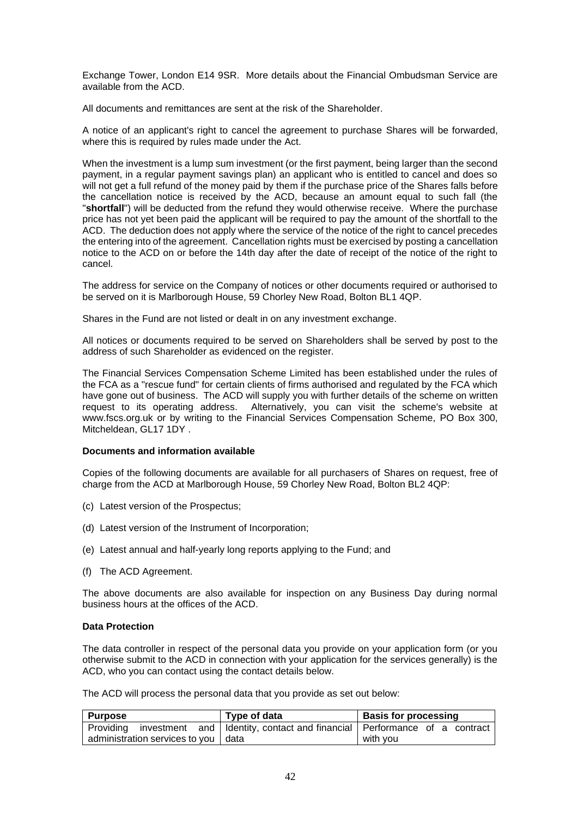Exchange Tower, London E14 9SR. More details about the Financial Ombudsman Service are available from the ACD.

All documents and remittances are sent at the risk of the Shareholder.

A notice of an applicant's right to cancel the agreement to purchase Shares will be forwarded, where this is required by rules made under the Act.

When the investment is a lump sum investment (or the first payment, being larger than the second payment, in a regular payment savings plan) an applicant who is entitled to cancel and does so will not get a full refund of the money paid by them if the purchase price of the Shares falls before the cancellation notice is received by the ACD, because an amount equal to such fall (the "**shortfall**") will be deducted from the refund they would otherwise receive. Where the purchase price has not yet been paid the applicant will be required to pay the amount of the shortfall to the ACD. The deduction does not apply where the service of the notice of the right to cancel precedes the entering into of the agreement. Cancellation rights must be exercised by posting a cancellation notice to the ACD on or before the 14th day after the date of receipt of the notice of the right to cancel.

The address for service on the Company of notices or other documents required or authorised to be served on it is Marlborough House, 59 Chorley New Road, Bolton BL1 4QP.

Shares in the Fund are not listed or dealt in on any investment exchange.

All notices or documents required to be served on Shareholders shall be served by post to the address of such Shareholder as evidenced on the register.

The Financial Services Compensation Scheme Limited has been established under the rules of the FCA as a "rescue fund" for certain clients of firms authorised and regulated by the FCA which have gone out of business. The ACD will supply you with further details of the scheme on written request to its operating address. Alternatively, you can visit the scheme's website at www.fscs.org.uk or by writing to the Financial Services Compensation Scheme, PO Box 300, Mitcheldean, GL17 1DY .

# **Documents and information available**

Copies of the following documents are available for all purchasers of Shares on request, free of charge from the ACD at Marlborough House, 59 Chorley New Road, Bolton BL2 4QP:

- (c) Latest version of the Prospectus;
- (d) Latest version of the Instrument of Incorporation;
- (e) Latest annual and half-yearly long reports applying to the Fund; and
- (f) The ACD Agreement.

The above documents are also available for inspection on any Business Day during normal business hours at the offices of the ACD.

#### **Data Protection**

The data controller in respect of the personal data you provide on your application form (or you otherwise submit to the ACD in connection with your application for the services generally) is the ACD, who you can contact using the contact details below.

The ACD will process the personal data that you provide as set out below:

| <b>Purpose</b>                        | Type of data                                                                         | <b>Basis for processing</b> |
|---------------------------------------|--------------------------------------------------------------------------------------|-----------------------------|
|                                       | Providing investment and I Identity, contact and financial Performance of a contract |                             |
| administration services to you   data |                                                                                      | with you                    |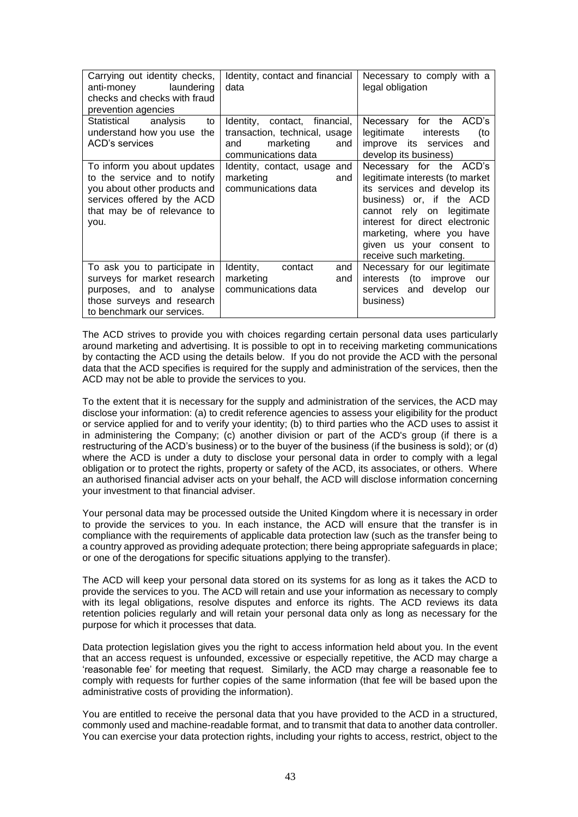| Carrying out identity checks,<br>laundering<br>anti-money<br>checks and checks with fraud<br>prevention agencies                                                  | Identity, contact and financial<br>data                                                                             | Necessary to comply with a<br>legal obligation                                                                                                                                                                                                                            |
|-------------------------------------------------------------------------------------------------------------------------------------------------------------------|---------------------------------------------------------------------------------------------------------------------|---------------------------------------------------------------------------------------------------------------------------------------------------------------------------------------------------------------------------------------------------------------------------|
| Statistical analysis<br>to<br>understand how you use the<br>ACD's services                                                                                        | Identity,<br>contact, financial,<br>transaction, technical, usage<br>marketing<br>and<br>and<br>communications data | for the ACD's<br>Necessary<br>legitimate<br>(to<br>interests<br>improve its services<br>and<br>develop its business)                                                                                                                                                      |
| To inform you about updates<br>to the service and to notify<br>you about other products and<br>services offered by the ACD<br>that may be of relevance to<br>you. | Identity, contact, usage and<br>marketing<br>and<br>communications data                                             | Necessary for the ACD's<br>legitimate interests (to market<br>its services and develop its<br>business) or, if the ACD<br>cannot rely on legitimate<br>interest for direct electronic<br>marketing, where you have<br>given us your consent to<br>receive such marketing. |
| To ask you to participate in<br>surveys for market research<br>purposes, and to analyse<br>those surveys and research<br>to benchmark our services.               | Identity,<br>contact<br>and<br>marketing<br>and<br>communications data                                              | Necessary for our legitimate<br>interests (to improve<br>our<br>services and develop<br>our<br>business)                                                                                                                                                                  |

The ACD strives to provide you with choices regarding certain personal data uses particularly around marketing and advertising. It is possible to opt in to receiving marketing communications by contacting the ACD using the details below. If you do not provide the ACD with the personal data that the ACD specifies is required for the supply and administration of the services, then the ACD may not be able to provide the services to you.

To the extent that it is necessary for the supply and administration of the services, the ACD may disclose your information: (a) to credit reference agencies to assess your eligibility for the product or service applied for and to verify your identity; (b) to third parties who the ACD uses to assist it in administering the Company; (c) another division or part of the ACD's group (if there is a restructuring of the ACD's business) or to the buyer of the business (if the business is sold); or (d) where the ACD is under a duty to disclose your personal data in order to comply with a legal obligation or to protect the rights, property or safety of the ACD, its associates, or others. Where an authorised financial adviser acts on your behalf, the ACD will disclose information concerning your investment to that financial adviser.

Your personal data may be processed outside the United Kingdom where it is necessary in order to provide the services to you. In each instance, the ACD will ensure that the transfer is in compliance with the requirements of applicable data protection law (such as the transfer being to a country approved as providing adequate protection; there being appropriate safeguards in place; or one of the derogations for specific situations applying to the transfer).

The ACD will keep your personal data stored on its systems for as long as it takes the ACD to provide the services to you. The ACD will retain and use your information as necessary to comply with its legal obligations, resolve disputes and enforce its rights. The ACD reviews its data retention policies regularly and will retain your personal data only as long as necessary for the purpose for which it processes that data.

Data protection legislation gives you the right to access information held about you. In the event that an access request is unfounded, excessive or especially repetitive, the ACD may charge a 'reasonable fee' for meeting that request. Similarly, the ACD may charge a reasonable fee to comply with requests for further copies of the same information (that fee will be based upon the administrative costs of providing the information).

You are entitled to receive the personal data that you have provided to the ACD in a structured, commonly used and machine-readable format, and to transmit that data to another data controller. You can exercise your data protection rights, including your rights to access, restrict, object to the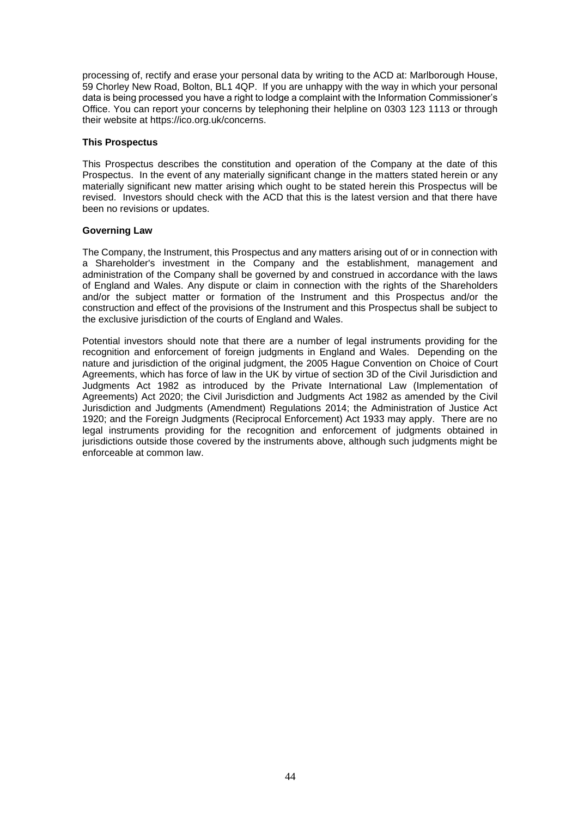processing of, rectify and erase your personal data by writing to the ACD at: Marlborough House, 59 Chorley New Road, Bolton, BL1 4QP. If you are unhappy with the way in which your personal data is being processed you have a right to lodge a complaint with the Information Commissioner's Office. You can report your concerns by telephoning their helpline on 0303 123 1113 or through their website at https://ico.org.uk/concerns.

#### **This Prospectus**

This Prospectus describes the constitution and operation of the Company at the date of this Prospectus. In the event of any materially significant change in the matters stated herein or any materially significant new matter arising which ought to be stated herein this Prospectus will be revised. Investors should check with the ACD that this is the latest version and that there have been no revisions or updates.

# **Governing Law**

The Company, the Instrument, this Prospectus and any matters arising out of or in connection with a Shareholder's investment in the Company and the establishment, management and administration of the Company shall be governed by and construed in accordance with the laws of England and Wales. Any dispute or claim in connection with the rights of the Shareholders and/or the subject matter or formation of the Instrument and this Prospectus and/or the construction and effect of the provisions of the Instrument and this Prospectus shall be subject to the exclusive jurisdiction of the courts of England and Wales.

Potential investors should note that there are a number of legal instruments providing for the recognition and enforcement of foreign judgments in England and Wales. Depending on the nature and jurisdiction of the original judgment, the 2005 Hague Convention on Choice of Court Agreements, which has force of law in the UK by virtue of section 3D of the Civil Jurisdiction and Judgments Act 1982 as introduced by the Private International Law (Implementation of Agreements) Act 2020; the Civil Jurisdiction and Judgments Act 1982 as amended by the Civil Jurisdiction and Judgments (Amendment) Regulations 2014; the Administration of Justice Act 1920; and the Foreign Judgments (Reciprocal Enforcement) Act 1933 may apply. There are no legal instruments providing for the recognition and enforcement of judgments obtained in jurisdictions outside those covered by the instruments above, although such judgments might be enforceable at common law.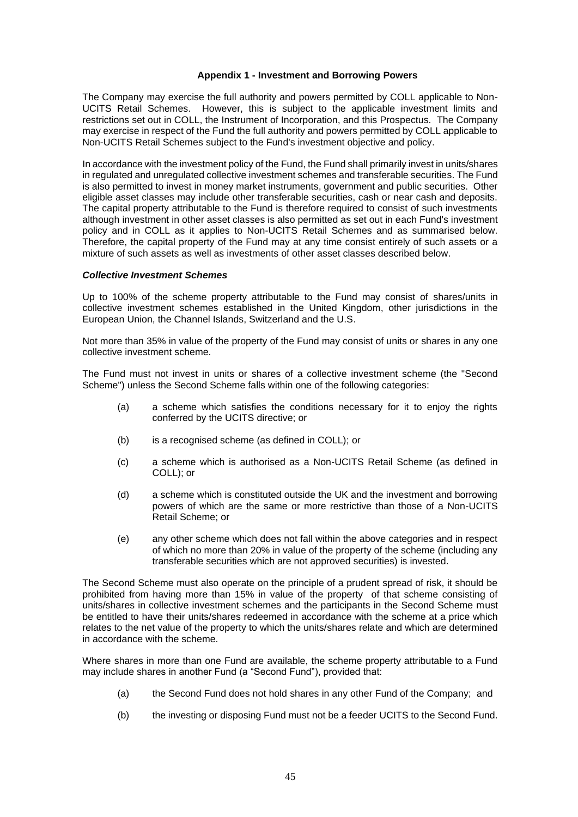# **Appendix 1 - Investment and Borrowing Powers**

<span id="page-45-0"></span>The Company may exercise the full authority and powers permitted by COLL applicable to Non-UCITS Retail Schemes. However, this is subject to the applicable investment limits and restrictions set out in COLL, the Instrument of Incorporation, and this Prospectus. The Company may exercise in respect of the Fund the full authority and powers permitted by COLL applicable to Non-UCITS Retail Schemes subject to the Fund's investment objective and policy.

In accordance with the investment policy of the Fund, the Fund shall primarily invest in units/shares in regulated and unregulated collective investment schemes and transferable securities. The Fund is also permitted to invest in money market instruments, government and public securities. Other eligible asset classes may include other transferable securities, cash or near cash and deposits. The capital property attributable to the Fund is therefore required to consist of such investments although investment in other asset classes is also permitted as set out in each Fund's investment policy and in COLL as it applies to Non-UCITS Retail Schemes and as summarised below. Therefore, the capital property of the Fund may at any time consist entirely of such assets or a mixture of such assets as well as investments of other asset classes described below.

#### *Collective Investment Schemes*

Up to 100% of the scheme property attributable to the Fund may consist of shares/units in collective investment schemes established in the United Kingdom, other jurisdictions in the European Union, the Channel Islands, Switzerland and the U.S.

Not more than 35% in value of the property of the Fund may consist of units or shares in any one collective investment scheme.

The Fund must not invest in units or shares of a collective investment scheme (the "Second Scheme") unless the Second Scheme falls within one of the following categories:

- (a) a scheme which satisfies the conditions necessary for it to enjoy the rights conferred by the UCITS directive; or
- (b) is a recognised scheme (as defined in COLL); or
- (c) a scheme which is authorised as a Non-UCITS Retail Scheme (as defined in COLL); or
- (d) a scheme which is constituted outside the UK and the investment and borrowing powers of which are the same or more restrictive than those of a Non-UCITS Retail Scheme; or
- (e) any other scheme which does not fall within the above categories and in respect of which no more than 20% in value of the property of the scheme (including any transferable securities which are not approved securities) is invested.

The Second Scheme must also operate on the principle of a prudent spread of risk, it should be prohibited from having more than 15% in value of the property of that scheme consisting of units/shares in collective investment schemes and the participants in the Second Scheme must be entitled to have their units/shares redeemed in accordance with the scheme at a price which relates to the net value of the property to which the units/shares relate and which are determined in accordance with the scheme.

Where shares in more than one Fund are available, the scheme property attributable to a Fund may include shares in another Fund (a "Second Fund"), provided that:

- (a) the Second Fund does not hold shares in any other Fund of the Company; and
- (b) the investing or disposing Fund must not be a feeder UCITS to the Second Fund.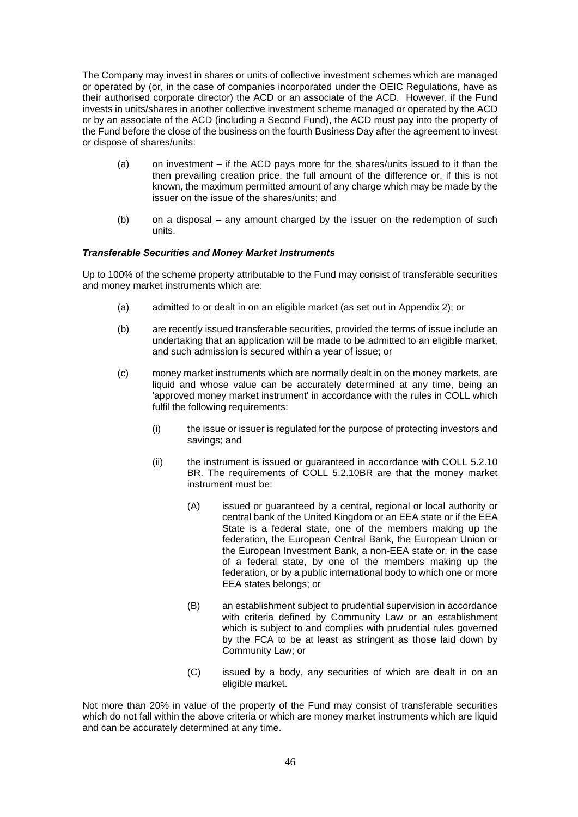The Company may invest in shares or units of collective investment schemes which are managed or operated by (or, in the case of companies incorporated under the OEIC Regulations, have as their authorised corporate director) the ACD or an associate of the ACD. However, if the Fund invests in units/shares in another collective investment scheme managed or operated by the ACD or by an associate of the ACD (including a Second Fund), the ACD must pay into the property of the Fund before the close of the business on the fourth Business Day after the agreement to invest or dispose of shares/units:

- (a) on investment if the ACD pays more for the shares/units issued to it than the then prevailing creation price, the full amount of the difference or, if this is not known, the maximum permitted amount of any charge which may be made by the issuer on the issue of the shares/units; and
- (b) on a disposal any amount charged by the issuer on the redemption of such units.

# *Transferable Securities and Money Market Instruments*

Up to 100% of the scheme property attributable to the Fund may consist of transferable securities and money market instruments which are:

- (a) admitted to or dealt in on an eligible market (as set out in Appendix 2); or
- (b) are recently issued transferable securities, provided the terms of issue include an undertaking that an application will be made to be admitted to an eligible market, and such admission is secured within a year of issue; or
- (c) money market instruments which are normally dealt in on the money markets, are liquid and whose value can be accurately determined at any time, being an 'approved money market instrument' in accordance with the rules in COLL which fulfil the following requirements:
	- (i) the issue or issuer is regulated for the purpose of protecting investors and savings; and
	- (ii) the instrument is issued or guaranteed in accordance with COLL 5.2.10 BR. The requirements of COLL 5.2.10BR are that the money market instrument must be:
		- (A) issued or guaranteed by a central, regional or local authority or central bank of the United Kingdom or an EEA state or if the EEA State is a federal state, one of the members making up the federation, the European Central Bank, the European Union or the European Investment Bank, a non-EEA state or, in the case of a federal state, by one of the members making up the federation, or by a public international body to which one or more EEA states belongs; or
		- (B) an establishment subject to prudential supervision in accordance with criteria defined by Community Law or an establishment which is subject to and complies with prudential rules governed by the FCA to be at least as stringent as those laid down by Community Law; or
		- (C) issued by a body, any securities of which are dealt in on an eligible market.

Not more than 20% in value of the property of the Fund may consist of transferable securities which do not fall within the above criteria or which are money market instruments which are liquid and can be accurately determined at any time.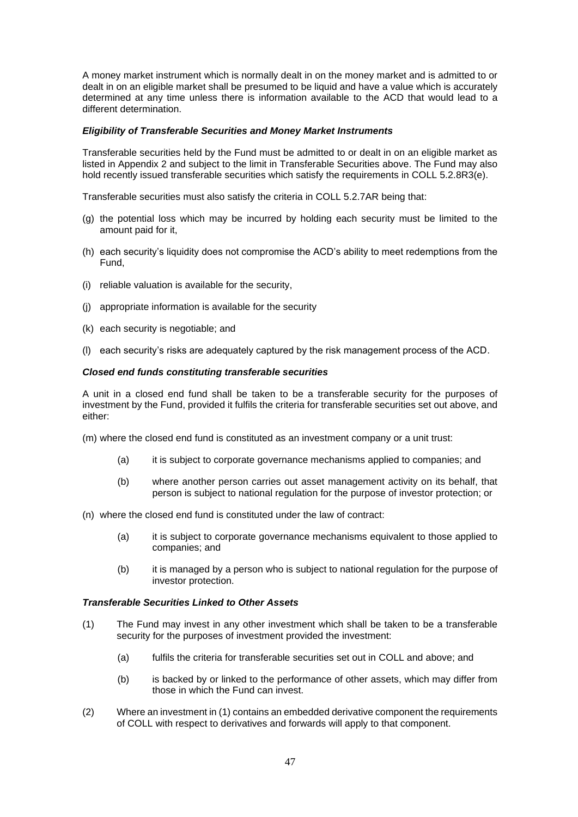A money market instrument which is normally dealt in on the money market and is admitted to or dealt in on an eligible market shall be presumed to be liquid and have a value which is accurately determined at any time unless there is information available to the ACD that would lead to a different determination.

#### *Eligibility of Transferable Securities and Money Market Instruments*

Transferable securities held by the Fund must be admitted to or dealt in on an eligible market as listed in Appendix 2 and subject to the limit in Transferable Securities above. The Fund may also hold recently issued transferable securities which satisfy the requirements in COLL 5.2.8R3(e).

Transferable securities must also satisfy the criteria in COLL 5.2.7AR being that:

- (g) the potential loss which may be incurred by holding each security must be limited to the amount paid for it,
- (h) each security's liquidity does not compromise the ACD's ability to meet redemptions from the Fund,
- (i) reliable valuation is available for the security,
- (j) appropriate information is available for the security
- (k) each security is negotiable; and
- (l) each security's risks are adequately captured by the risk management process of the ACD.

#### *Closed end funds constituting transferable securities*

A unit in a closed end fund shall be taken to be a transferable security for the purposes of investment by the Fund, provided it fulfils the criteria for transferable securities set out above, and either:

(m) where the closed end fund is constituted as an investment company or a unit trust:

- (a) it is subject to corporate governance mechanisms applied to companies; and
- (b) where another person carries out asset management activity on its behalf, that person is subject to national regulation for the purpose of investor protection; or
- (n) where the closed end fund is constituted under the law of contract:
	- (a) it is subject to corporate governance mechanisms equivalent to those applied to companies; and
	- (b) it is managed by a person who is subject to national regulation for the purpose of investor protection.

# *Transferable Securities Linked to Other Assets*

- (1) The Fund may invest in any other investment which shall be taken to be a transferable security for the purposes of investment provided the investment:
	- (a) fulfils the criteria for transferable securities set out in COLL and above; and
	- (b) is backed by or linked to the performance of other assets, which may differ from those in which the Fund can invest.
- (2) Where an investment in (1) contains an embedded derivative component the requirements of COLL with respect to derivatives and forwards will apply to that component.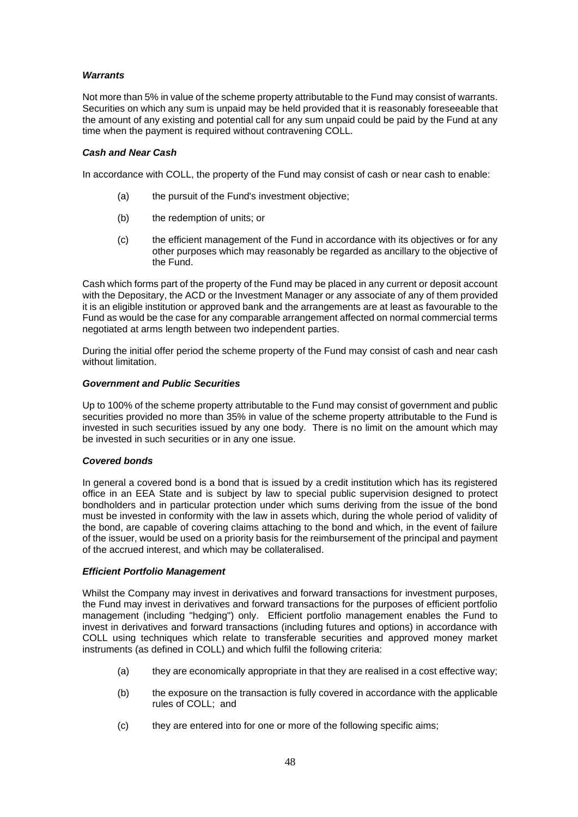# *Warrants*

Not more than 5% in value of the scheme property attributable to the Fund may consist of warrants. Securities on which any sum is unpaid may be held provided that it is reasonably foreseeable that the amount of any existing and potential call for any sum unpaid could be paid by the Fund at any time when the payment is required without contravening COLL.

#### *Cash and Near Cash*

In accordance with COLL, the property of the Fund may consist of cash or near cash to enable:

- (a) the pursuit of the Fund's investment objective;
- (b) the redemption of units; or
- (c) the efficient management of the Fund in accordance with its objectives or for any other purposes which may reasonably be regarded as ancillary to the objective of the Fund.

Cash which forms part of the property of the Fund may be placed in any current or deposit account with the Depositary, the ACD or the Investment Manager or any associate of any of them provided it is an eligible institution or approved bank and the arrangements are at least as favourable to the Fund as would be the case for any comparable arrangement affected on normal commercial terms negotiated at arms length between two independent parties.

During the initial offer period the scheme property of the Fund may consist of cash and near cash without limitation.

# *Government and Public Securities*

Up to 100% of the scheme property attributable to the Fund may consist of government and public securities provided no more than 35% in value of the scheme property attributable to the Fund is invested in such securities issued by any one body. There is no limit on the amount which may be invested in such securities or in any one issue.

#### *Covered bonds*

In general a covered bond is a bond that is issued by a credit institution which has its registered office in an EEA State and is subject by law to special public supervision designed to protect bondholders and in particular protection under which sums deriving from the issue of the bond must be invested in conformity with the law in assets which, during the whole period of validity of the bond, are capable of covering claims attaching to the bond and which, in the event of failure of the issuer, would be used on a priority basis for the reimbursement of the principal and payment of the accrued interest, and which may be collateralised.

#### *Efficient Portfolio Management*

Whilst the Company may invest in derivatives and forward transactions for investment purposes, the Fund may invest in derivatives and forward transactions for the purposes of efficient portfolio management (including "hedging") only. Efficient portfolio management enables the Fund to invest in derivatives and forward transactions (including futures and options) in accordance with COLL using techniques which relate to transferable securities and approved money market instruments (as defined in COLL) and which fulfil the following criteria:

- (a) they are economically appropriate in that they are realised in a cost effective way;
- (b) the exposure on the transaction is fully covered in accordance with the applicable rules of COLL; and
- (c) they are entered into for one or more of the following specific aims;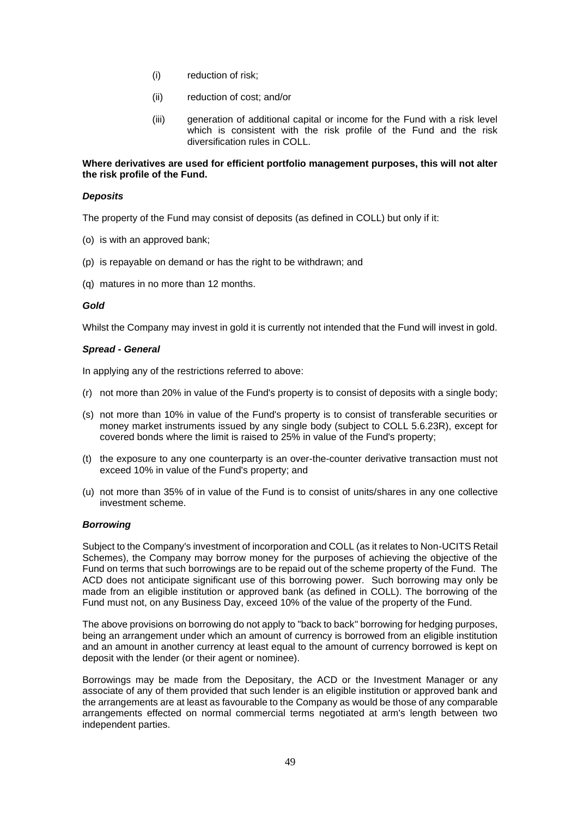- (i) reduction of risk;
- (ii) reduction of cost; and/or
- (iii) generation of additional capital or income for the Fund with a risk level which is consistent with the risk profile of the Fund and the risk diversification rules in COLL.

# **Where derivatives are used for efficient portfolio management purposes, this will not alter the risk profile of the Fund.**

#### *Deposits*

The property of the Fund may consist of deposits (as defined in COLL) but only if it:

- (o) is with an approved bank;
- (p) is repayable on demand or has the right to be withdrawn; and
- (q) matures in no more than 12 months.

#### *Gold*

Whilst the Company may invest in gold it is currently not intended that the Fund will invest in gold.

#### *Spread - General*

In applying any of the restrictions referred to above:

- (r) not more than 20% in value of the Fund's property is to consist of deposits with a single body;
- (s) not more than 10% in value of the Fund's property is to consist of transferable securities or money market instruments issued by any single body (subject to COLL 5.6.23R), except for covered bonds where the limit is raised to 25% in value of the Fund's property;
- (t) the exposure to any one counterparty is an over-the-counter derivative transaction must not exceed 10% in value of the Fund's property; and
- (u) not more than 35% of in value of the Fund is to consist of units/shares in any one collective investment scheme.

#### *Borrowing*

Subject to the Company's investment of incorporation and COLL (as it relates to Non-UCITS Retail Schemes), the Company may borrow money for the purposes of achieving the objective of the Fund on terms that such borrowings are to be repaid out of the scheme property of the Fund. The ACD does not anticipate significant use of this borrowing power. Such borrowing may only be made from an eligible institution or approved bank (as defined in COLL). The borrowing of the Fund must not, on any Business Day, exceed 10% of the value of the property of the Fund.

The above provisions on borrowing do not apply to "back to back" borrowing for hedging purposes, being an arrangement under which an amount of currency is borrowed from an eligible institution and an amount in another currency at least equal to the amount of currency borrowed is kept on deposit with the lender (or their agent or nominee).

Borrowings may be made from the Depositary, the ACD or the Investment Manager or any associate of any of them provided that such lender is an eligible institution or approved bank and the arrangements are at least as favourable to the Company as would be those of any comparable arrangements effected on normal commercial terms negotiated at arm's length between two independent parties.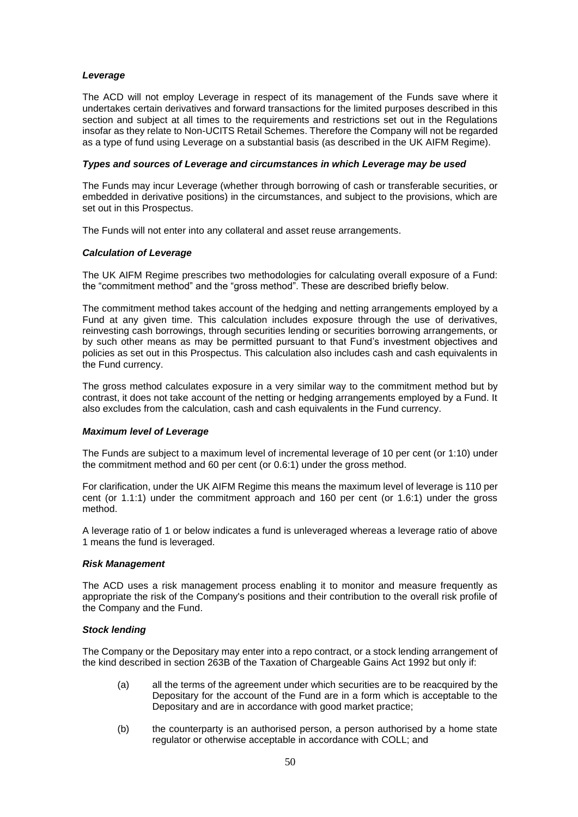# *Leverage*

The ACD will not employ Leverage in respect of its management of the Funds save where it undertakes certain derivatives and forward transactions for the limited purposes described in this section and subject at all times to the requirements and restrictions set out in the Regulations insofar as they relate to Non-UCITS Retail Schemes. Therefore the Company will not be regarded as a type of fund using Leverage on a substantial basis (as described in the UK AIFM Regime).

# *Types and sources of Leverage and circumstances in which Leverage may be used*

The Funds may incur Leverage (whether through borrowing of cash or transferable securities, or embedded in derivative positions) in the circumstances, and subject to the provisions, which are set out in this Prospectus.

The Funds will not enter into any collateral and asset reuse arrangements.

# *Calculation of Leverage*

The UK AIFM Regime prescribes two methodologies for calculating overall exposure of a Fund: the "commitment method" and the "gross method". These are described briefly below.

The commitment method takes account of the hedging and netting arrangements employed by a Fund at any given time. This calculation includes exposure through the use of derivatives, reinvesting cash borrowings, through securities lending or securities borrowing arrangements, or by such other means as may be permitted pursuant to that Fund's investment objectives and policies as set out in this Prospectus. This calculation also includes cash and cash equivalents in the Fund currency.

The gross method calculates exposure in a very similar way to the commitment method but by contrast, it does not take account of the netting or hedging arrangements employed by a Fund. It also excludes from the calculation, cash and cash equivalents in the Fund currency.

#### *Maximum level of Leverage*

The Funds are subject to a maximum level of incremental leverage of 10 per cent (or 1:10) under the commitment method and 60 per cent (or 0.6:1) under the gross method.

For clarification, under the UK AIFM Regime this means the maximum level of leverage is 110 per cent (or 1.1:1) under the commitment approach and 160 per cent (or 1.6:1) under the gross method.

A leverage ratio of 1 or below indicates a fund is unleveraged whereas a leverage ratio of above 1 means the fund is leveraged.

#### *Risk Management*

The ACD uses a risk management process enabling it to monitor and measure frequently as appropriate the risk of the Company's positions and their contribution to the overall risk profile of the Company and the Fund.

# *Stock lending*

The Company or the Depositary may enter into a repo contract, or a stock lending arrangement of the kind described in section 263B of the Taxation of Chargeable Gains Act 1992 but only if:

- (a) all the terms of the agreement under which securities are to be reacquired by the Depositary for the account of the Fund are in a form which is acceptable to the Depositary and are in accordance with good market practice;
- (b) the counterparty is an authorised person, a person authorised by a home state regulator or otherwise acceptable in accordance with COLL; and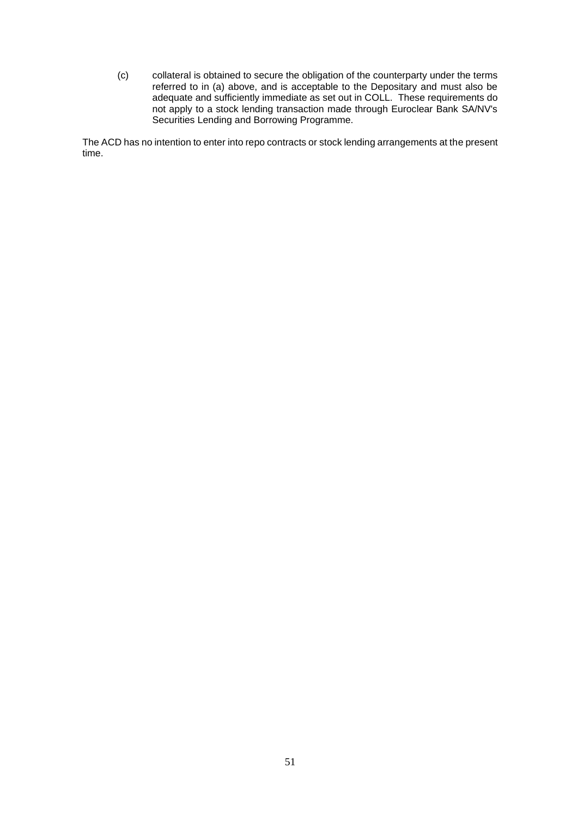(c) collateral is obtained to secure the obligation of the counterparty under the terms referred to in (a) above, and is acceptable to the Depositary and must also be adequate and sufficiently immediate as set out in COLL. These requirements do not apply to a stock lending transaction made through Euroclear Bank SA/NV's Securities Lending and Borrowing Programme.

The ACD has no intention to enter into repo contracts or stock lending arrangements at the present time.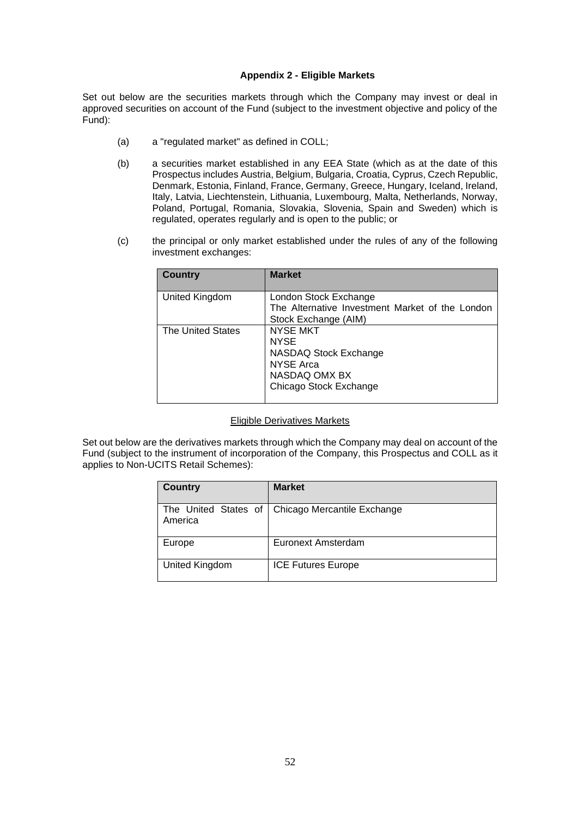#### **Appendix 2 - Eligible Markets**

<span id="page-52-0"></span>Set out below are the securities markets through which the Company may invest or deal in approved securities on account of the Fund (subject to the investment objective and policy of the Fund):

- (a) a "regulated market" as defined in COLL;
- (b) a securities market established in any EEA State (which as at the date of this Prospectus includes Austria, Belgium, Bulgaria, Croatia, Cyprus, Czech Republic, Denmark, Estonia, Finland, France, Germany, Greece, Hungary, Iceland, Ireland, Italy, Latvia, Liechtenstein, Lithuania, Luxembourg, Malta, Netherlands, Norway, Poland, Portugal, Romania, Slovakia, Slovenia, Spain and Sweden) which is regulated, operates regularly and is open to the public; or
- (c) the principal or only market established under the rules of any of the following investment exchanges:

| <b>Country</b>    | <b>Market</b>                                                                                                          |
|-------------------|------------------------------------------------------------------------------------------------------------------------|
| United Kingdom    | London Stock Exchange<br>The Alternative Investment Market of the London<br>Stock Exchange (AIM)                       |
| The United States | <b>NYSE MKT</b><br><b>NYSE</b><br>NASDAQ Stock Exchange<br><b>NYSE Arca</b><br>NASDAQ OMX BX<br>Chicago Stock Exchange |

#### Eligible Derivatives Markets

Set out below are the derivatives markets through which the Company may deal on account of the Fund (subject to the instrument of incorporation of the Company, this Prospectus and COLL as it applies to Non-UCITS Retail Schemes):

| <b>Country</b>                  | <b>Market</b>               |
|---------------------------------|-----------------------------|
| The United States of<br>America | Chicago Mercantile Exchange |
| Europe                          | Euronext Amsterdam          |
| United Kingdom                  | <b>ICE Futures Europe</b>   |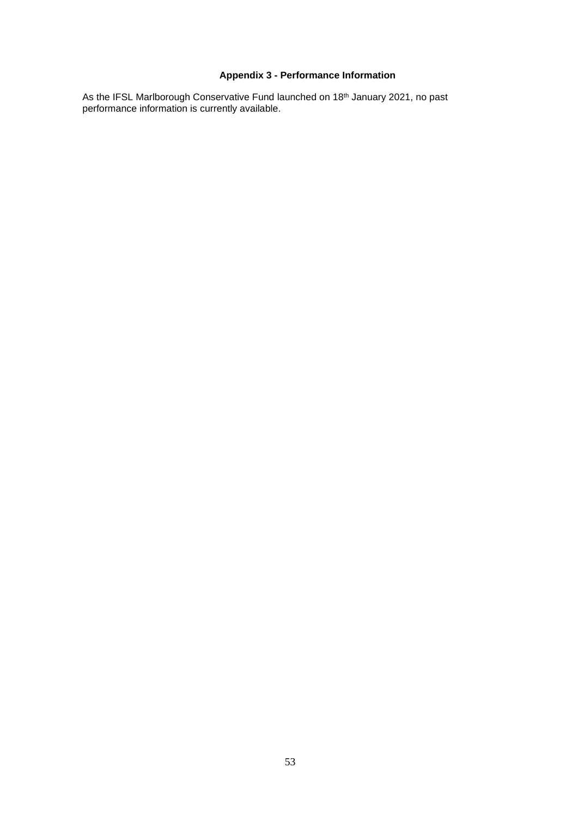# **Appendix 3 - Performance Information**

<span id="page-53-0"></span>As the IFSL Marlborough Conservative Fund launched on 18<sup>th</sup> January 2021, no past performance information is currently available.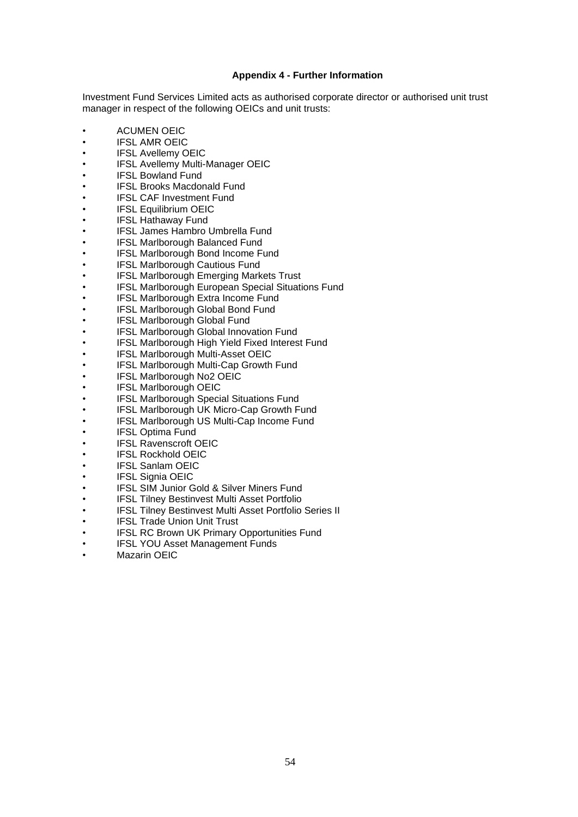# **Appendix 4 - Further Information**

<span id="page-54-0"></span>Investment Fund Services Limited acts as authorised corporate director or authorised unit trust manager in respect of the following OEICs and unit trusts:

- ACUMEN OEIC
- IFSL AMR OEIC
- **IFSL Avellemy OEIC**
- IFSL Avellemy Multi-Manager OEIC
- **IFSL Bowland Fund**
- IFSL Brooks Macdonald Fund
- **IFSL CAF Investment Fund**
- **IFSL Equilibrium OEIC**
- **IFSL Hathaway Fund**
- IFSL James Hambro Umbrella Fund
- IFSL Marlborough Balanced Fund
- **IFSL Marlborough Bond Income Fund**
- **IFSL Marlborough Cautious Fund**
- IFSL Marlborough Emerging Markets Trust
- **IFSL Marlborough European Special Situations Fund**
- **IFSL Marlborough Extra Income Fund**
- IFSL Marlborough Global Bond Fund
- **IFSL Marlborough Global Fund**
- IFSL Marlborough Global Innovation Fund
- **IFSL Marlborough High Yield Fixed Interest Fund**
- **IFSL Marlborough Multi-Asset OEIC**
- IFSL Marlborough Multi-Cap Growth Fund
- **IFSL Marlborough No2 OEIC**
- **IFSL Marlborough OEIC**
- **IFSL Marlborough Special Situations Fund**
- IFSL Marlborough UK Micro-Cap Growth Fund
- IFSL Marlborough US Multi-Cap Income Fund
- **IFSL Optima Fund**
- **IFSL Ravenscroft OEIC**
- IFSL Rockhold OEIC
- **IFSL Sanlam OEIC**
- **IFSL Signia OEIC**
- **IFSL SIM Junior Gold & Silver Miners Fund**
- IFSL Tilney Bestinvest Multi Asset Portfolio
- IFSL Tilney Bestinvest Multi Asset Portfolio Series II
- **IFSL Trade Union Unit Trust**
- IFSL RC Brown UK Primary Opportunities Fund
- **IFSL YOU Asset Management Funds**
- Mazarin OEIC